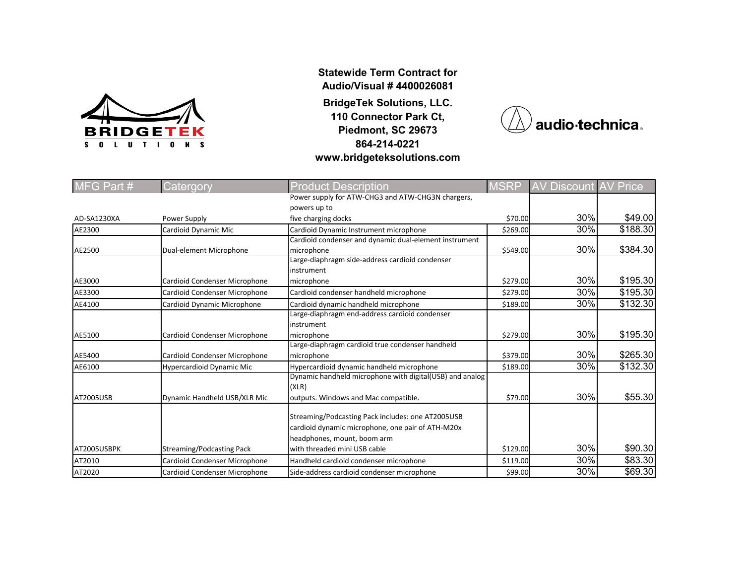

**Statewide Term Contract for Audio/Visual # 4400026081**

**BridgeTek Solutions, LLC. 110 Connector Park Ct, Piedmont, SC 29673 864-214-0221 www.bridgeteksolutions.com**



| MFG Part #  | Catergory                        | <b>Product Description</b>                               | <b>MSRP</b> | AV Discount | <b>AV Price</b> |
|-------------|----------------------------------|----------------------------------------------------------|-------------|-------------|-----------------|
|             |                                  | Power supply for ATW-CHG3 and ATW-CHG3N chargers,        |             |             |                 |
|             |                                  | powers up to                                             |             |             |                 |
| AD-SA1230XA | Power Supply                     | five charging docks                                      | \$70.00     | 30%         | \$49.00         |
| AE2300      | Cardioid Dynamic Mic             | Cardioid Dynamic Instrument microphone                   | \$269.00    | 30%         | \$188.30        |
|             |                                  | Cardioid condenser and dynamic dual-element instrument   |             |             |                 |
| AE2500      | Dual-element Microphone          | microphone                                               | \$549.00    | 30%         | \$384.30        |
|             |                                  | Large-diaphragm side-address cardioid condenser          |             |             |                 |
|             |                                  | instrument                                               |             |             |                 |
| AE3000      | Cardioid Condenser Microphone    | microphone                                               | \$279.00    | 30%         | \$195.30        |
| AE3300      | Cardioid Condenser Microphone    | Cardioid condenser handheld microphone                   | \$279.00    | 30%         | \$195.30        |
| AE4100      | Cardioid Dynamic Microphone      | Cardioid dynamic handheld microphone                     | \$189.00    | 30%         | \$132.30        |
|             |                                  | Large-diaphragm end-address cardioid condenser           |             |             |                 |
|             |                                  | instrument                                               |             |             |                 |
| AE5100      | Cardioid Condenser Microphone    | microphone                                               | \$279.00    | 30%         | \$195.30        |
|             |                                  | Large-diaphragm cardioid true condenser handheld         |             |             |                 |
| AE5400      | Cardioid Condenser Microphone    | microphone                                               | \$379.00    | 30%         | \$265.30        |
| AE6100      | <b>Hypercardioid Dynamic Mic</b> | Hypercardioid dynamic handheld microphone                | \$189.00    | 30%         | \$132.30        |
|             |                                  | Dynamic handheld microphone with digital(USB) and analog |             |             |                 |
|             |                                  | (XLR)                                                    |             |             |                 |
| AT2005USB   | Dynamic Handheld USB/XLR Mic     | outputs. Windows and Mac compatible.                     | \$79.00     | 30%         | \$55.30         |
|             |                                  |                                                          |             |             |                 |
|             |                                  | Streaming/Podcasting Pack includes: one AT2005USB        |             |             |                 |
|             |                                  | cardioid dynamic microphone, one pair of ATH-M20x        |             |             |                 |
|             |                                  | headphones, mount, boom arm                              |             |             |                 |
| AT2005USBPK | <b>Streaming/Podcasting Pack</b> | with threaded mini USB cable                             | \$129.00    | 30%         | \$90.30         |
| AT2010      | Cardioid Condenser Microphone    | Handheld cardioid condenser microphone                   | \$119.00    | 30%         | \$83.30         |
| AT2020      | Cardioid Condenser Microphone    | Side-address cardioid condenser microphone               | \$99.00     | 30%         | \$69.30         |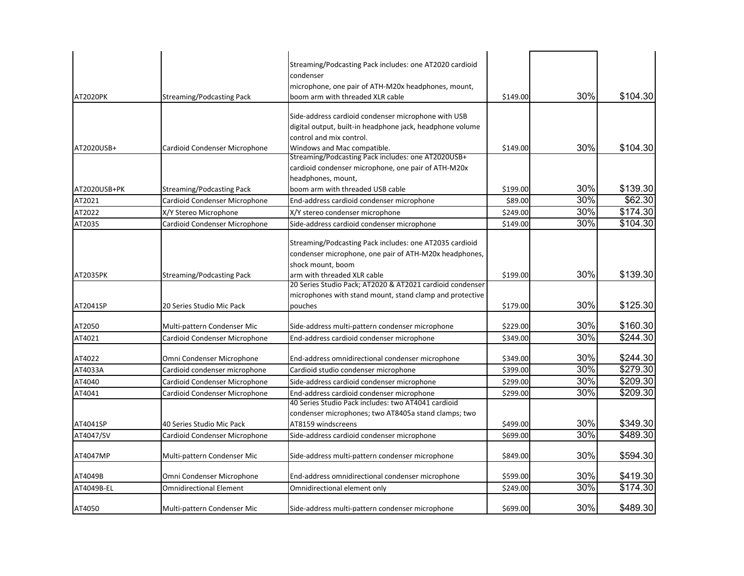| AT2020PK     | <b>Streaming/Podcasting Pack</b> | Streaming/Podcasting Pack includes: one AT2020 cardioid<br>condenser<br>microphone, one pair of ATH-M20x headphones, mount,<br>boom arm with threaded XLR cable | \$149.00 | 30% | \$104.30 |
|--------------|----------------------------------|-----------------------------------------------------------------------------------------------------------------------------------------------------------------|----------|-----|----------|
|              |                                  | Side-address cardioid condenser microphone with USB<br>digital output, built-in headphone jack, headphone volume<br>control and mix control.                    |          |     |          |
| AT2020USB+   | Cardioid Condenser Microphone    | Windows and Mac compatible.<br>Streaming/Podcasting Pack includes: one AT2020USB+<br>cardioid condenser microphone, one pair of ATH-M20x<br>headphones, mount,  | \$149.00 | 30% | \$104.30 |
| AT2020USB+PK | <b>Streaming/Podcasting Pack</b> | boom arm with threaded USB cable                                                                                                                                | \$199.00 | 30% | \$139.30 |
| AT2021       | Cardioid Condenser Microphone    | End-address cardioid condenser microphone                                                                                                                       | \$89.00  | 30% | \$62.30  |
| AT2022       | X/Y Stereo Microphone            | X/Y stereo condenser microphone                                                                                                                                 | \$249.00 | 30% | \$174.30 |
| AT2035       | Cardioid Condenser Microphone    | Side-address cardioid condenser microphone                                                                                                                      | \$149.00 | 30% | \$104.30 |
|              |                                  | Streaming/Podcasting Pack includes: one AT2035 cardioid<br>condenser microphone, one pair of ATH-M20x headphones,<br>shock mount, boom                          |          |     |          |
| AT2035PK     | <b>Streaming/Podcasting Pack</b> | arm with threaded XLR cable<br>20 Series Studio Pack; AT2020 & AT2021 cardioid condenser                                                                        | \$199.00 | 30% | \$139.30 |
| AT2041SP     | 20 Series Studio Mic Pack        | microphones with stand mount, stand clamp and protective<br>pouches                                                                                             | \$179.00 | 30% | \$125.30 |
| AT2050       | Multi-pattern Condenser Mic      | Side-address multi-pattern condenser microphone                                                                                                                 | \$229.00 | 30% | \$160.30 |
| AT4021       | Cardioid Condenser Microphone    | End-address cardioid condenser microphone                                                                                                                       | \$349.00 | 30% | \$244.30 |
| AT4022       | Omni Condenser Microphone        | End-address omnidirectional condenser microphone                                                                                                                | \$349.00 | 30% | \$244.30 |
| AT4033A      | Cardioid condenser microphone    | Cardioid studio condenser microphone                                                                                                                            | \$399.00 | 30% | \$279.30 |
| AT4040       | Cardioid Condenser Microphone    | Side-address cardioid condenser microphone                                                                                                                      | \$299.00 | 30% | \$209.30 |
| AT4041       | Cardioid Condenser Microphone    | End-address cardioid condenser microphone<br>40 Series Studio Pack includes: two AT4041 cardioid<br>condenser microphones; two AT8405a stand clamps; two        | \$299.00 | 30% | \$209.30 |
| AT4041SP     | 40 Series Studio Mic Pack        | AT8159 windscreens                                                                                                                                              | \$499.00 | 30% | \$349.30 |
| AT4047/SV    | Cardioid Condenser Microphone    | Side-address cardioid condenser microphone                                                                                                                      | \$699.00 | 30% | \$489.30 |
| AT4047MP     | Multi-pattern Condenser Mic      | Side-address multi-pattern condenser microphone                                                                                                                 | \$849.00 | 30% | \$594.30 |
| AT4049B      | Omni Condenser Microphone        | End-address omnidirectional condenser microphone                                                                                                                | \$599.00 | 30% | \$419.30 |
| AT4049B-EL   | <b>Omnidirectional Element</b>   | Omnidirectional element only                                                                                                                                    | \$249.00 | 30% | \$174.30 |
| AT4050       | Multi-pattern Condenser Mic      | Side-address multi-pattern condenser microphone                                                                                                                 | \$699.00 | 30% | \$489.30 |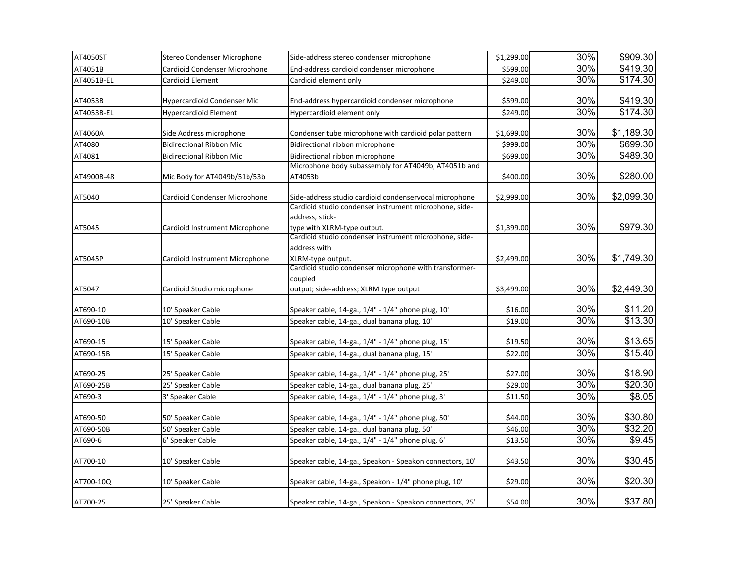| AT4050ST   | Stereo Condenser Microphone     | Side-address stereo condenser microphone                                                                                                                           | \$1,299.00 | 30% | \$909.30   |
|------------|---------------------------------|--------------------------------------------------------------------------------------------------------------------------------------------------------------------|------------|-----|------------|
| AT4051B    | Cardioid Condenser Microphone   | End-address cardioid condenser microphone                                                                                                                          | \$599.00   | 30% | \$419.30   |
| AT4051B-EL | Cardioid Element                | Cardioid element only                                                                                                                                              | \$249.00   | 30% | \$174.30   |
| AT4053B    | Hypercardioid Condenser Mic     | End-address hypercardioid condenser microphone                                                                                                                     | \$599.00   | 30% | \$419.30   |
| AT4053B-EL | Hypercardioid Element           | Hypercardioid element only                                                                                                                                         | \$249.00   | 30% | \$174.30   |
| AT4060A    | Side Address microphone         | Condenser tube microphone with cardioid polar pattern                                                                                                              | \$1,699.00 | 30% | \$1,189.30 |
| AT4080     | <b>Bidirectional Ribbon Mic</b> | Bidirectional ribbon microphone                                                                                                                                    | \$999.00   | 30% | \$699.30   |
| AT4081     | <b>Bidirectional Ribbon Mic</b> | Bidirectional ribbon microphone                                                                                                                                    | \$699.00   | 30% | \$489.30   |
| AT4900B-48 | Mic Body for AT4049b/51b/53b    | Microphone body subassembly for AT4049b, AT4051b and<br>AT4053b                                                                                                    | \$400.00   | 30% | \$280.00   |
| AT5040     | Cardioid Condenser Microphone   | Side-address studio cardioid condenservocal microphone                                                                                                             | \$2,999.00 | 30% | \$2,099.30 |
| AT5045     | Cardioid Instrument Microphone  | Cardioid studio condenser instrument microphone, side-<br>address, stick-<br>type with XLRM-type output.<br>Cardioid studio condenser instrument microphone, side- | \$1,399.00 | 30% | \$979.30   |
| AT5045P    | Cardioid Instrument Microphone  | address with<br>XLRM-type output.<br>Cardioid studio condenser microphone with transformer-<br>coupled                                                             | \$2,499.00 | 30% | \$1,749.30 |
| AT5047     | Cardioid Studio microphone      | output; side-address; XLRM type output                                                                                                                             | \$3,499.00 | 30% | \$2,449.30 |
| AT690-10   | 10' Speaker Cable               | Speaker cable, 14-ga., 1/4" - 1/4" phone plug, 10'                                                                                                                 | \$16.00    | 30% | \$11.20    |
| AT690-10B  | 10' Speaker Cable               | Speaker cable, 14-ga., dual banana plug, 10'                                                                                                                       | \$19.00    | 30% | \$13.30    |
| AT690-15   | 15' Speaker Cable               | Speaker cable, 14-ga., 1/4" - 1/4" phone plug, 15'                                                                                                                 | \$19.50    | 30% | \$13.65    |
| AT690-15B  | 15' Speaker Cable               | Speaker cable, 14-ga., dual banana plug, 15'                                                                                                                       | \$22.00    | 30% | \$15.40    |
| AT690-25   | 25' Speaker Cable               | Speaker cable, 14-ga., 1/4" - 1/4" phone plug, 25'                                                                                                                 | \$27.00    | 30% | \$18.90    |
| AT690-25B  | 25' Speaker Cable               | Speaker cable, 14-ga., dual banana plug, 25'                                                                                                                       | \$29.00    | 30% | \$20.30    |
| AT690-3    | 3' Speaker Cable                | Speaker cable, 14-ga., 1/4" - 1/4" phone plug, 3'                                                                                                                  | \$11.50    | 30% | \$8.05     |
| AT690-50   | 50' Speaker Cable               | Speaker cable, 14-ga., 1/4" - 1/4" phone plug, 50'                                                                                                                 | \$44.00    | 30% | \$30.80    |
| AT690-50B  | 50' Speaker Cable               | Speaker cable, 14-ga., dual banana plug, 50'                                                                                                                       | \$46.00    | 30% | \$32.20    |
| AT690-6    | 6' Speaker Cable                | Speaker cable, 14-ga., 1/4" - 1/4" phone plug, 6'                                                                                                                  | \$13.50    | 30% | \$9.45     |
| AT700-10   | 10' Speaker Cable               | Speaker cable, 14-ga., Speakon - Speakon connectors, 10'                                                                                                           | \$43.50    | 30% | \$30.45    |
| AT700-10Q  | 10' Speaker Cable               | Speaker cable, 14-ga., Speakon - 1/4" phone plug, 10'                                                                                                              | \$29.00    | 30% | \$20.30    |
| AT700-25   | 25' Speaker Cable               | Speaker cable, 14-ga., Speakon - Speakon connectors, 25'                                                                                                           | \$54.00    | 30% | \$37.80    |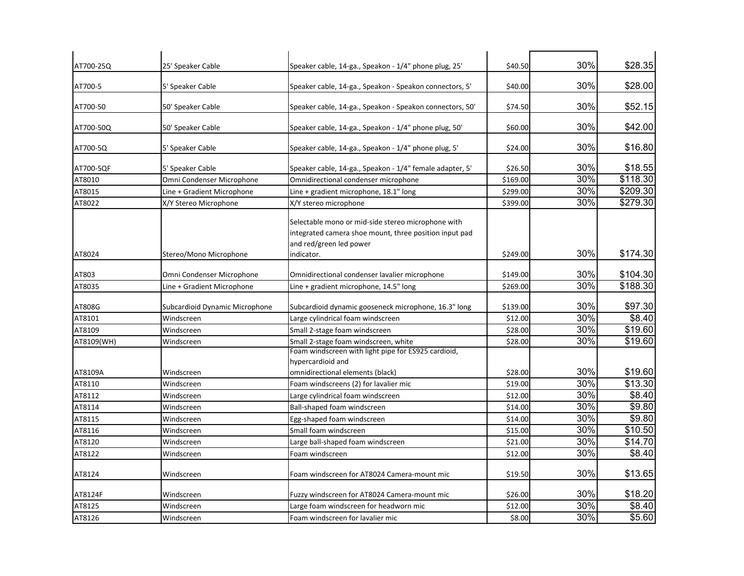| AT700-25Q  | 25' Speaker Cable              | Speaker cable, 14-ga., Speakon - 1/4" phone plug, 25'                                                                                                 | \$40.50  | 30% | \$28.35  |
|------------|--------------------------------|-------------------------------------------------------------------------------------------------------------------------------------------------------|----------|-----|----------|
| AT700-5    | 5' Speaker Cable               | Speaker cable, 14-ga., Speakon - Speakon connectors, 5'                                                                                               | \$40.00  | 30% | \$28.00  |
| AT700-50   | 50' Speaker Cable              | Speaker cable, 14-ga., Speakon - Speakon connectors, 50'                                                                                              | \$74.50  | 30% | \$52.15  |
| AT700-50Q  | 50' Speaker Cable              | Speaker cable, 14-ga., Speakon - 1/4" phone plug, 50'                                                                                                 | \$60.00  | 30% | \$42.00  |
| AT700-5Q   | 5' Speaker Cable               | Speaker cable, 14-ga., Speakon - 1/4" phone plug, 5'                                                                                                  | \$24.00  | 30% | \$16.80  |
| AT700-5QF  | 5' Speaker Cable               | Speaker cable, 14-ga., Speakon - 1/4" female adapter, 5'                                                                                              | \$26.50  | 30% | \$18.55  |
| AT8010     | Omni Condenser Microphone      | Omnidirectional condenser microphone                                                                                                                  | \$169.00 | 30% | \$118.30 |
| AT8015     | Line + Gradient Microphone     | Line + gradient microphone, 18.1" long                                                                                                                | \$299.00 | 30% | \$209.30 |
| AT8022     | X/Y Stereo Microphone          | X/Y stereo microphone                                                                                                                                 | \$399.00 | 30% | \$279.30 |
| AT8024     | Stereo/Mono Microphone         | Selectable mono or mid-side stereo microphone with<br>integrated camera shoe mount, three position input pad<br>and red/green led power<br>indicator. | \$249.00 | 30% | \$174.30 |
|            |                                |                                                                                                                                                       |          |     |          |
| AT803      | Omni Condenser Microphone      | Omnidirectional condenser lavalier microphone                                                                                                         | \$149.00 | 30% | \$104.30 |
| AT8035     | Line + Gradient Microphone     | Line + gradient microphone, 14.5" long                                                                                                                | \$269.00 | 30% | \$188.30 |
| AT808G     | Subcardioid Dynamic Microphone | Subcardioid dynamic gooseneck microphone, 16.3" long                                                                                                  | \$139.00 | 30% | \$97.30  |
| AT8101     | Windscreen                     | Large cylindrical foam windscreen                                                                                                                     | \$12.00  | 30% | \$8.40   |
| AT8109     | Windscreen                     | Small 2-stage foam windscreen                                                                                                                         | \$28.00  | 30% | \$19.60  |
| AT8109(WH) | Windscreen                     | Small 2-stage foam windscreen, white                                                                                                                  | \$28.00  | 30% | \$19.60  |
| AT8109A    | Windscreen                     | Foam windscreen with light pipe for ES925 cardioid,<br>hypercardioid and<br>omnidirectional elements (black)                                          | \$28.00  | 30% | \$19.60  |
| AT8110     | Windscreen                     | Foam windscreens (2) for lavalier mic                                                                                                                 | \$19.00  | 30% | \$13.30  |
| AT8112     | Windscreen                     | Large cylindrical foam windscreen                                                                                                                     | \$12.00  | 30% | \$8.40   |
| AT8114     | Windscreen                     | Ball-shaped foam windscreen                                                                                                                           | \$14.00  | 30% | \$9.80   |
| AT8115     | Windscreen                     | Egg-shaped foam windscreen                                                                                                                            | \$14.00  | 30% | \$9.80   |
| AT8116     | Windscreen                     | Small foam windscreen                                                                                                                                 | \$15.00  | 30% | \$10.50  |
| AT8120     | Windscreen                     | Large ball-shaped foam windscreen                                                                                                                     | \$21.00  | 30% | \$14.70  |
| AT8122     | Windscreen                     | Foam windscreen                                                                                                                                       | \$12.00  | 30% | \$8.40   |
| AT8124     | Windscreen                     | Foam windscreen for AT8024 Camera-mount mic                                                                                                           | \$19.50  | 30% | \$13.65  |
| AT8124F    | Windscreen                     | Fuzzy windscreen for AT8024 Camera-mount mic                                                                                                          | \$26.00  | 30% | \$18.20  |
| AT8125     | Windscreen                     | Large foam windscreen for headworn mic                                                                                                                | \$12.00  | 30% | \$8.40   |
| AT8126     | Windscreen                     | Foam windscreen for lavalier mic                                                                                                                      | \$8.00   | 30% | \$5.60   |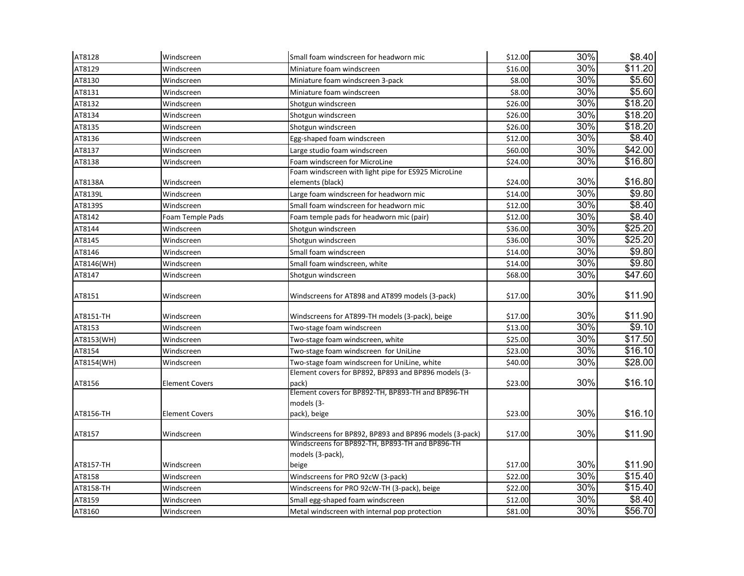| AT8128     | Windscreen            | Small foam windscreen for headworn mic                 | \$12.00 | 30% | \$8.40             |
|------------|-----------------------|--------------------------------------------------------|---------|-----|--------------------|
| AT8129     | Windscreen            | Miniature foam windscreen                              | \$16.00 | 30% | \$11.20            |
| AT8130     | Windscreen            | Miniature foam windscreen 3-pack                       | \$8.00  | 30% | \$5.60             |
| AT8131     | Windscreen            | Miniature foam windscreen                              | \$8.00  | 30% | \$5.60             |
| AT8132     | Windscreen            | Shotgun windscreen                                     | \$26.00 | 30% | \$18.20            |
| AT8134     | Windscreen            | Shotgun windscreen                                     | \$26.00 | 30% | \$18.20            |
| AT8135     | Windscreen            | Shotgun windscreen                                     | \$26.00 | 30% | \$18.20            |
| AT8136     | Windscreen            | Egg-shaped foam windscreen                             | \$12.00 | 30% | $\sqrt{$8.40}$     |
| AT8137     | Windscreen            | Large studio foam windscreen                           | \$60.00 | 30% | \$42.00            |
| AT8138     | Windscreen            | Foam windscreen for MicroLine                          | \$24.00 | 30% | \$16.80            |
|            |                       | Foam windscreen with light pipe for ES925 MicroLine    |         |     |                    |
| AT8138A    | Windscreen            | elements (black)                                       | \$24.00 | 30% | \$16.80            |
| AT8139L    | Windscreen            | Large foam windscreen for headworn mic                 | \$14.00 | 30% | \$9.80             |
| AT8139S    | Windscreen            | Small foam windscreen for headworn mic                 | \$12.00 | 30% | \$8.40             |
| AT8142     | Foam Temple Pads      | Foam temple pads for headworn mic (pair)               | \$12.00 | 30% | \$8.40             |
| AT8144     | Windscreen            | Shotgun windscreen                                     | \$36.00 | 30% | \$25.20            |
| AT8145     | Windscreen            | Shotgun windscreen                                     | \$36.00 | 30% | \$25.20            |
| AT8146     | Windscreen            | Small foam windscreen                                  | \$14.00 | 30% | \$9.80             |
| AT8146(WH) | Windscreen            | Small foam windscreen, white                           | \$14.00 | 30% | \$9.80             |
| AT8147     | Windscreen            | Shotgun windscreen                                     | \$68.00 | 30% | \$47.60            |
| AT8151     | Windscreen            | Windscreens for AT898 and AT899 models (3-pack)        | \$17.00 | 30% | \$11.90            |
| AT8151-TH  | Windscreen            | Windscreens for AT899-TH models (3-pack), beige        | \$17.00 | 30% | \$11.90            |
| AT8153     | Windscreen            | Two-stage foam windscreen                              | \$13.00 | 30% | \$9.10             |
| AT8153(WH) | Windscreen            | Two-stage foam windscreen, white                       | \$25.00 | 30% | \$17.50            |
| AT8154     | Windscreen            | Two-stage foam windscreen for UniLine                  | \$23.00 | 30% | \$16.10            |
| AT8154(WH) | Windscreen            | Two-stage foam windscreen for UniLine, white           | \$40.00 | 30% | \$28.00            |
|            |                       | Element covers for BP892, BP893 and BP896 models (3-   |         |     |                    |
| AT8156     | <b>Element Covers</b> | pack)                                                  | \$23.00 | 30% | \$16.10            |
|            |                       | Element covers for BP892-TH, BP893-TH and BP896-TH     |         |     |                    |
|            |                       | models (3-                                             |         |     |                    |
| AT8156-TH  | <b>Element Covers</b> | pack), beige                                           | \$23.00 | 30% | \$16.10            |
| AT8157     | Windscreen            | Windscreens for BP892, BP893 and BP896 models (3-pack) | \$17.00 | 30% | \$11.90            |
|            |                       | Windscreens for BP892-TH, BP893-TH and BP896-TH        |         |     |                    |
|            |                       | models (3-pack),                                       |         |     |                    |
| AT8157-TH  | Windscreen            | beige                                                  | \$17.00 | 30% | \$11.90            |
| AT8158     | Windscreen            | Windscreens for PRO 92cW (3-pack)                      | \$22.00 | 30% | \$15.40            |
| AT8158-TH  | Windscreen            | Windscreens for PRO 92cW-TH (3-pack), beige            | \$22.00 | 30% | \$15.40            |
| AT8159     | Windscreen            | Small egg-shaped foam windscreen                       | \$12.00 | 30% | $\overline{$8.40}$ |
| AT8160     | Windscreen            | Metal windscreen with internal pop protection          | \$81.00 | 30% | \$56.70            |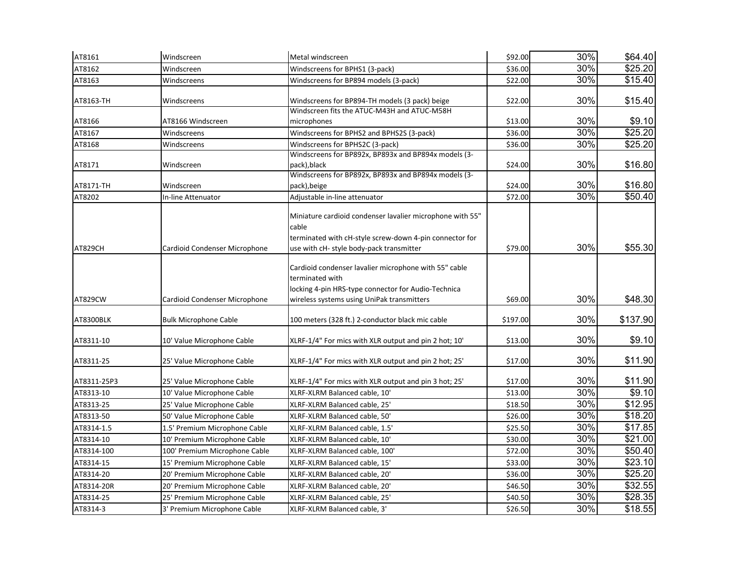| AT8161      | Windscreen                    | Metal windscreen                                                                                                                                                              | \$92.00  | 30% | \$64.40  |
|-------------|-------------------------------|-------------------------------------------------------------------------------------------------------------------------------------------------------------------------------|----------|-----|----------|
| AT8162      | Windscreen                    | Windscreens for BPHS1 (3-pack)                                                                                                                                                | \$36.00  | 30% | \$25.20  |
| AT8163      | Windscreens                   | Windscreens for BP894 models (3-pack)                                                                                                                                         | \$22.00  | 30% | \$15.40  |
| AT8163-TH   | Windscreens                   | Windscreens for BP894-TH models (3 pack) beige                                                                                                                                | \$22.00  | 30% | \$15.40  |
| AT8166      | AT8166 Windscreen             | Windscreen fits the ATUC-M43H and ATUC-M58H<br>microphones                                                                                                                    | \$13.00  | 30% | \$9.10   |
| AT8167      | Windscreens                   | Windscreens for BPHS2 and BPHS2S (3-pack)                                                                                                                                     | \$36.00  | 30% | \$25.20  |
| AT8168      | Windscreens                   | Windscreens for BPHS2C (3-pack)                                                                                                                                               | \$36.00  | 30% | \$25.20  |
| AT8171      | Windscreen                    | Windscreens for BP892x, BP893x and BP894x models (3-<br>pack), black                                                                                                          | \$24.00  | 30% | \$16.80  |
| AT8171-TH   | Windscreen                    | Windscreens for BP892x, BP893x and BP894x models (3-<br>pack), beige                                                                                                          | \$24.00  | 30% | \$16.80  |
| AT8202      | In-line Attenuator            | Adjustable in-line attenuator                                                                                                                                                 | \$72.00  | 30% | \$50.40  |
| AT829CH     | Cardioid Condenser Microphone | Miniature cardioid condenser lavalier microphone with 55"<br>cable<br>terminated with cH-style screw-down 4-pin connector for<br>use with cH- style body-pack transmitter     | \$79.00  | 30% | \$55.30  |
| AT829CW     | Cardioid Condenser Microphone | Cardioid condenser lavalier microphone with 55" cable<br>terminated with<br>locking 4-pin HRS-type connector for Audio-Technica<br>wireless systems using UniPak transmitters | \$69.00  | 30% | \$48.30  |
| AT8300BLK   | <b>Bulk Microphone Cable</b>  | 100 meters (328 ft.) 2-conductor black mic cable                                                                                                                              | \$197.00 | 30% | \$137.90 |
| AT8311-10   | 10' Value Microphone Cable    | XLRF-1/4" For mics with XLR output and pin 2 hot; 10'                                                                                                                         | \$13.00  | 30% | \$9.10   |
| AT8311-25   | 25' Value Microphone Cable    | XLRF-1/4" For mics with XLR output and pin 2 hot; 25'                                                                                                                         | \$17.00  | 30% | \$11.90  |
| AT8311-25P3 | 25' Value Microphone Cable    | XLRF-1/4" For mics with XLR output and pin 3 hot; 25'                                                                                                                         | \$17.00  | 30% | \$11.90  |
| AT8313-10   | 10' Value Microphone Cable    | XLRF-XLRM Balanced cable, 10'                                                                                                                                                 | \$13.00  | 30% | \$9.10   |
| AT8313-25   | 25' Value Microphone Cable    | XLRF-XLRM Balanced cable, 25'                                                                                                                                                 | \$18.50  | 30% | \$12.95  |
| AT8313-50   | 50' Value Microphone Cable    | XLRF-XLRM Balanced cable, 50'                                                                                                                                                 | \$26.00  | 30% | \$18.20  |
| AT8314-1.5  | 1.5' Premium Microphone Cable | XLRF-XLRM Balanced cable, 1.5'                                                                                                                                                | \$25.50  | 30% | \$17.85  |
| AT8314-10   | 10' Premium Microphone Cable  | XLRF-XLRM Balanced cable, 10'                                                                                                                                                 | \$30.00  | 30% | \$21.00  |
| AT8314-100  | 100' Premium Microphone Cable | XLRF-XLRM Balanced cable, 100'                                                                                                                                                | \$72.00  | 30% | \$50.40  |
| AT8314-15   | 15' Premium Microphone Cable  | XLRF-XLRM Balanced cable, 15'                                                                                                                                                 | \$33.00  | 30% | \$23.10  |
| AT8314-20   | 20' Premium Microphone Cable  | XLRF-XLRM Balanced cable, 20'                                                                                                                                                 | \$36.00  | 30% | \$25.20  |
| AT8314-20R  | 20' Premium Microphone Cable  | XLRF-XLRM Balanced cable, 20'                                                                                                                                                 | \$46.50  | 30% | \$32.55  |
| AT8314-25   | 25' Premium Microphone Cable  | XLRF-XLRM Balanced cable, 25'                                                                                                                                                 | \$40.50  | 30% | \$28.35  |
| AT8314-3    | 3' Premium Microphone Cable   | XLRF-XLRM Balanced cable, 3'                                                                                                                                                  | \$26.50  | 30% | \$18.55  |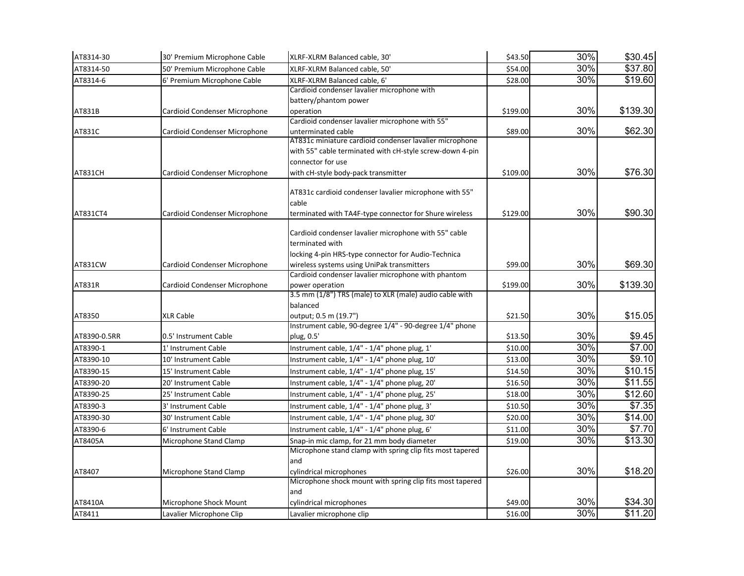| AT8314-30    | 30' Premium Microphone Cable  | XLRF-XLRM Balanced cable, 30'                             | \$43.50  | 30% | \$30.45         |
|--------------|-------------------------------|-----------------------------------------------------------|----------|-----|-----------------|
| AT8314-50    | 50' Premium Microphone Cable  | XLRF-XLRM Balanced cable, 50'                             | \$54.00  | 30% | \$37.80         |
| AT8314-6     | 6' Premium Microphone Cable   | XLRF-XLRM Balanced cable, 6'                              | \$28.00  | 30% | \$19.60         |
|              |                               | Cardioid condenser lavalier microphone with               |          |     |                 |
|              |                               | battery/phantom power                                     |          |     |                 |
| AT831B       | Cardioid Condenser Microphone | operation                                                 | \$199.00 | 30% | \$139.30        |
|              |                               | Cardioid condenser lavalier microphone with 55"           |          |     |                 |
| AT831C       | Cardioid Condenser Microphone | unterminated cable                                        | \$89.00  | 30% | \$62.30         |
|              |                               | AT831c miniature cardioid condenser lavalier microphone   |          |     |                 |
|              |                               | with 55" cable terminated with cH-style screw-down 4-pin  |          |     |                 |
|              |                               | connector for use                                         |          |     |                 |
| AT831CH      | Cardioid Condenser Microphone | with cH-style body-pack transmitter                       | \$109.00 | 30% | \$76.30         |
|              |                               | AT831c cardioid condenser lavalier microphone with 55"    |          |     |                 |
|              |                               | cable                                                     |          |     |                 |
| AT831CT4     | Cardioid Condenser Microphone | terminated with TA4F-type connector for Shure wireless    | \$129.00 | 30% | \$90.30         |
|              |                               |                                                           |          |     |                 |
|              |                               | Cardioid condenser lavalier microphone with 55" cable     |          |     |                 |
|              |                               | terminated with                                           |          |     |                 |
|              |                               | locking 4-pin HRS-type connector for Audio-Technica       |          |     |                 |
| AT831CW      | Cardioid Condenser Microphone | wireless systems using UniPak transmitters                | \$99.00  | 30% | \$69.30         |
|              |                               | Cardioid condenser lavalier microphone with phantom       |          |     |                 |
| AT831R       | Cardioid Condenser Microphone | power operation                                           | \$199.00 | 30% | \$139.30        |
|              |                               | 3.5 mm (1/8") TRS (male) to XLR (male) audio cable with   |          |     |                 |
|              |                               | balanced                                                  |          |     |                 |
| AT8350       | <b>XLR Cable</b>              | output; 0.5 m (19.7")                                     | \$21.50  | 30% | \$15.05         |
|              |                               | Instrument cable, 90-degree 1/4" - 90-degree 1/4" phone   |          |     |                 |
| AT8390-0.5RR | 0.5' Instrument Cable         | plug, 0.5'                                                | \$13.50  | 30% | \$9.45          |
| AT8390-1     | 1' Instrument Cable           | Instrument cable, 1/4" - 1/4" phone plug, 1'              | \$10.00  | 30% | $\frac{1}{100}$ |
| AT8390-10    | 10' Instrument Cable          | Instrument cable, 1/4" - 1/4" phone plug, 10'             | \$13.00  | 30% | \$9.10          |
| AT8390-15    | 15' Instrument Cable          | Instrument cable, 1/4" - 1/4" phone plug, 15'             | \$14.50  | 30% | \$10.15         |
| AT8390-20    | 20' Instrument Cable          | Instrument cable, 1/4" - 1/4" phone plug, 20'             | \$16.50  | 30% | \$11.55         |
| AT8390-25    | 25' Instrument Cable          | Instrument cable, 1/4" - 1/4" phone plug, 25'             | \$18.00  | 30% | \$12.60         |
| AT8390-3     | 3' Instrument Cable           | Instrument cable, 1/4" - 1/4" phone plug, 3'              | \$10.50  | 30% | \$7.35          |
| AT8390-30    | 30' Instrument Cable          | Instrument cable, 1/4" - 1/4" phone plug, 30'             | \$20.00  | 30% | \$14.00         |
| AT8390-6     | 6' Instrument Cable           | Instrument cable, 1/4" - 1/4" phone plug, 6'              | \$11.00  | 30% | \$7.70          |
| AT8405A      | Microphone Stand Clamp        | Snap-in mic clamp, for 21 mm body diameter                | \$19.00  | 30% | \$13.30         |
|              |                               | Microphone stand clamp with spring clip fits most tapered |          |     |                 |
|              |                               | and                                                       |          |     |                 |
| AT8407       | Microphone Stand Clamp        | cylindrical microphones                                   | \$26.00  | 30% | \$18.20         |
|              |                               | Microphone shock mount with spring clip fits most tapered |          |     |                 |
|              |                               | and                                                       |          |     |                 |
| AT8410A      | Microphone Shock Mount        | cylindrical microphones                                   | \$49.00  | 30% | \$34.30         |
| AT8411       | Lavalier Microphone Clip      | Lavalier microphone clip                                  | \$16.00  | 30% | \$11.20         |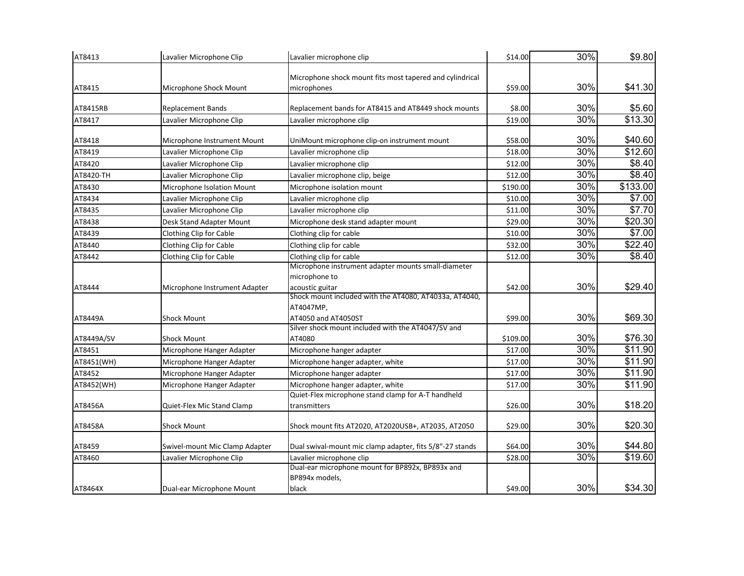| AT8413     | Lavalier Microphone Clip       | Lavalier microphone clip                                     | \$14.00  | 30% | \$9.80              |
|------------|--------------------------------|--------------------------------------------------------------|----------|-----|---------------------|
|            |                                | Microphone shock mount fits most tapered and cylindrical     |          |     |                     |
| AT8415     | Microphone Shock Mount         | microphones                                                  | \$59.00  | 30% | \$41.30             |
| AT8415RB   | <b>Replacement Bands</b>       | Replacement bands for AT8415 and AT8449 shock mounts         | \$8.00   | 30% | \$5.60              |
| AT8417     | Lavalier Microphone Clip       | Lavalier microphone clip                                     | \$19.00  | 30% | $\overline{$13.30}$ |
|            |                                |                                                              |          |     |                     |
| AT8418     | Microphone Instrument Mount    | UniMount microphone clip-on instrument mount                 | \$58.00  | 30% | \$40.60             |
| AT8419     | Lavalier Microphone Clip       | Lavalier microphone clip                                     | \$18.00  | 30% | \$12.60             |
| AT8420     | Lavalier Microphone Clip       | Lavalier microphone clip                                     | \$12.00  | 30% | \$8.40              |
| AT8420-TH  | Lavalier Microphone Clip       | Lavalier microphone clip, beige                              | \$12.00  | 30% | \$8.40              |
| AT8430     | Microphone Isolation Mount     | Microphone isolation mount                                   | \$190.00 | 30% | \$133.00            |
| AT8434     | Lavalier Microphone Clip       | Lavalier microphone clip                                     | \$10.00  | 30% | \$7.00              |
| AT8435     | Lavalier Microphone Clip       | Lavalier microphone clip                                     | \$11.00  | 30% | \$7.70              |
| AT8438     | Desk Stand Adapter Mount       | Microphone desk stand adapter mount                          | \$29.00  | 30% | \$20.30             |
| AT8439     | Clothing Clip for Cable        | Clothing clip for cable                                      | \$10.00  | 30% | \$7.00              |
| AT8440     | Clothing Clip for Cable        | Clothing clip for cable                                      | \$32.00  | 30% | \$22.40             |
| AT8442     | Clothing Clip for Cable        | Clothing clip for cable                                      | \$12.00  | 30% | \$8.40              |
|            |                                | Microphone instrument adapter mounts small-diameter          |          |     |                     |
|            |                                | microphone to                                                |          |     |                     |
| AT8444     | Microphone Instrument Adapter  | acoustic guitar                                              | \$42.00  | 30% | \$29.40             |
|            |                                | Shock mount included with the AT4080, AT4033a, AT4040,       |          |     |                     |
|            |                                | AT4047MP,                                                    |          |     |                     |
| AT8449A    | <b>Shock Mount</b>             | AT4050 and AT4050ST                                          | \$99.00  | 30% | \$69.30             |
| AT8449A/SV | <b>Shock Mount</b>             | Silver shock mount included with the AT4047/SV and<br>AT4080 | \$109.00 | 30% | \$76.30             |
|            |                                |                                                              |          | 30% | $\overline{$}11.90$ |
| AT8451     | Microphone Hanger Adapter      | Microphone hanger adapter                                    | \$17.00  | 30% |                     |
| AT8451(WH) | Microphone Hanger Adapter      | Microphone hanger adapter, white                             | \$17.00  |     | $\overline{$}11.90$ |
| AT8452     | Microphone Hanger Adapter      | Microphone hanger adapter                                    | \$17.00  | 30% | \$11.90             |
| AT8452(WH) | Microphone Hanger Adapter      | Microphone hanger adapter, white                             | \$17.00  | 30% | \$11.90             |
|            |                                | Quiet-Flex microphone stand clamp for A-T handheld           |          | 30% | \$18.20             |
| AT8456A    | Quiet-Flex Mic Stand Clamp     | transmitters                                                 | \$26.00  |     |                     |
| AT8458A    | <b>Shock Mount</b>             | Shock mount fits AT2020, AT2020USB+, AT2035, AT2050          | \$29.00  | 30% | \$20.30             |
| AT8459     | Swivel-mount Mic Clamp Adapter | Dual swival-mount mic clamp adapter, fits 5/8"-27 stands     | \$64.00  | 30% | \$44.80             |
| AT8460     | Lavalier Microphone Clip       | Lavalier microphone clip                                     | \$28.00  | 30% | \$19.60             |
|            |                                | Dual-ear microphone mount for BP892x, BP893x and             |          |     |                     |
|            |                                | BP894x models,                                               |          |     |                     |
| AT8464X    | Dual-ear Microphone Mount      | black                                                        | \$49.00  | 30% | \$34.30             |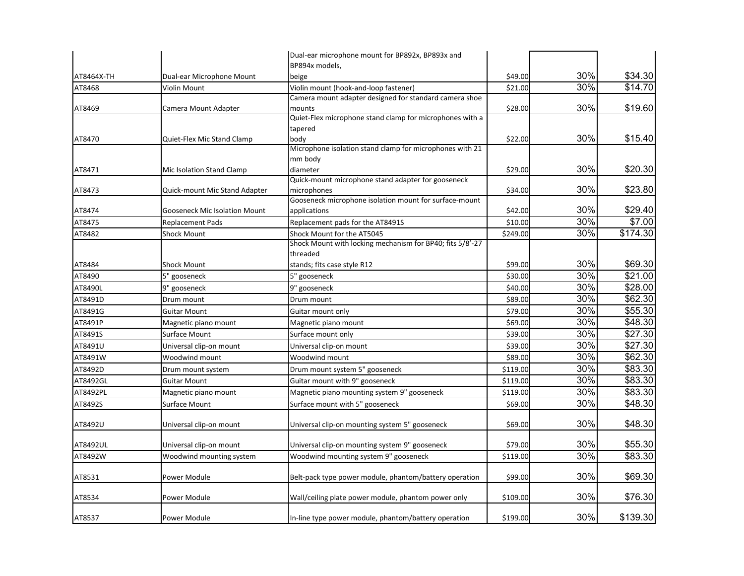|            |                                      | Dual-ear microphone mount for BP892x, BP893x and               |          |     |                 |
|------------|--------------------------------------|----------------------------------------------------------------|----------|-----|-----------------|
|            |                                      | BP894x models,                                                 |          |     |                 |
| AT8464X-TH | Dual-ear Microphone Mount            | beige                                                          | \$49.00  | 30% | \$34.30         |
| AT8468     | Violin Mount                         | Violin mount (hook-and-loop fastener)                          | \$21.00  | 30% | \$14.70         |
|            |                                      | Camera mount adapter designed for standard camera shoe         |          |     |                 |
| AT8469     | Camera Mount Adapter                 | mounts                                                         | \$28.00  | 30% | \$19.60         |
|            |                                      | Quiet-Flex microphone stand clamp for microphones with a       |          |     |                 |
|            |                                      | tapered                                                        |          |     |                 |
| AT8470     | Quiet-Flex Mic Stand Clamp           | body                                                           | \$22.00  | 30% | \$15.40         |
|            |                                      | Microphone isolation stand clamp for microphones with 21       |          |     |                 |
|            |                                      | mm body                                                        |          | 30% | \$20.30         |
| AT8471     | Mic Isolation Stand Clamp            | diameter<br>Quick-mount microphone stand adapter for gooseneck | \$29.00  |     |                 |
| AT8473     | Quick-mount Mic Stand Adapter        | microphones                                                    | \$34.00  | 30% | \$23.80         |
|            |                                      | Gooseneck microphone isolation mount for surface-mount         |          |     |                 |
| AT8474     | <b>Gooseneck Mic Isolation Mount</b> | applications                                                   | \$42.00  | 30% | \$29.40         |
| AT8475     | <b>Replacement Pads</b>              | Replacement pads for the AT8491S                               | \$10.00  | 30% | \$7.00          |
| AT8482     | <b>Shock Mount</b>                   | Shock Mount for the AT5045                                     | \$249.00 | 30% | \$174.30        |
|            |                                      | Shock Mount with locking mechanism for BP40; fits 5/8'-27      |          |     |                 |
|            |                                      | threaded                                                       |          |     |                 |
| AT8484     | <b>Shock Mount</b>                   | stands; fits case style R12                                    | \$99.00  | 30% | \$69.30         |
| AT8490     | 5" gooseneck                         | 5" gooseneck                                                   | \$30.00  | 30% | \$21.00         |
| AT8490L    | 9" gooseneck                         | 9" gooseneck                                                   | \$40.00  | 30% | \$28.00         |
| AT8491D    | Drum mount                           | Drum mount                                                     | \$89.00  | 30% | \$62.30         |
| AT8491G    | <b>Guitar Mount</b>                  | Guitar mount only                                              | \$79.00  | 30% | \$55.30         |
| AT8491P    | Magnetic piano mount                 | Magnetic piano mount                                           | \$69.00  | 30% | \$48.30         |
| AT8491S    | Surface Mount                        | Surface mount only                                             | \$39.00  | 30% | $\sqrt{$27.30}$ |
| AT8491U    | Universal clip-on mount              | Universal clip-on mount                                        | \$39.00  | 30% | \$27.30         |
| AT8491W    | Woodwind mount                       | Woodwind mount                                                 | \$89.00  | 30% | \$62.30         |
| AT8492D    | Drum mount system                    | Drum mount system 5" gooseneck                                 | \$119.00 | 30% | \$83.30         |
| AT8492GL   | <b>Guitar Mount</b>                  | Guitar mount with 9" gooseneck                                 | \$119.00 | 30% | \$83.30         |
| AT8492PL   | Magnetic piano mount                 | Magnetic piano mounting system 9" gooseneck                    | \$119.00 | 30% | \$83.30         |
| AT8492S    | Surface Mount                        | Surface mount with 5" gooseneck                                | \$69.00  | 30% | \$48.30         |
|            |                                      |                                                                |          |     |                 |
| AT8492U    | Universal clip-on mount              | Universal clip-on mounting system 5" gooseneck                 | \$69.00  | 30% | \$48.30         |
| AT8492UL   | Universal clip-on mount              | Universal clip-on mounting system 9" gooseneck                 | \$79.00  | 30% | \$55.30         |
| AT8492W    | Woodwind mounting system             | Woodwind mounting system 9" gooseneck                          | \$119.00 | 30% | \$83.30         |
|            |                                      |                                                                |          |     |                 |
| AT8531     | Power Module                         | Belt-pack type power module, phantom/battery operation         | \$99.00  | 30% | \$69.30         |
| AT8534     | Power Module                         | Wall/ceiling plate power module, phantom power only            | \$109.00 | 30% | \$76.30         |
|            |                                      |                                                                |          |     |                 |
| AT8537     | Power Module                         | In-line type power module, phantom/battery operation           | \$199.00 | 30% | \$139.30        |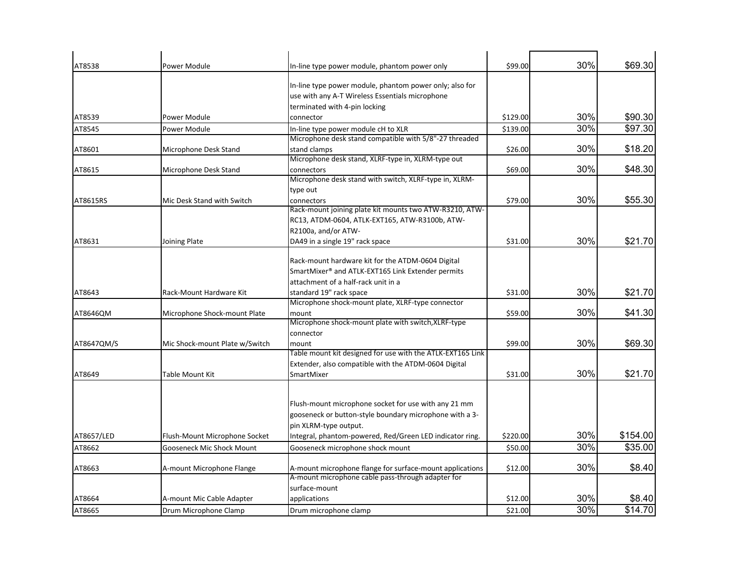| AT8538     | Power Module                   | In-line type power module, phantom power only                         | \$99.00  | 30% | \$69.30  |
|------------|--------------------------------|-----------------------------------------------------------------------|----------|-----|----------|
|            |                                | In-line type power module, phantom power only; also for               |          |     |          |
|            |                                | use with any A-T Wireless Essentials microphone                       |          |     |          |
|            |                                | terminated with 4-pin locking                                         |          |     |          |
| AT8539     | Power Module                   | connector                                                             | \$129.00 | 30% | \$90.30  |
| AT8545     | Power Module                   | In-line type power module cH to XLR                                   | \$139.00 | 30% | \$97.30  |
|            |                                | Microphone desk stand compatible with 5/8"-27 threaded                |          |     |          |
| AT8601     | Microphone Desk Stand          | stand clamps                                                          | \$26.00  | 30% | \$18.20  |
|            |                                | Microphone desk stand, XLRF-type in, XLRM-type out                    |          |     |          |
| AT8615     | Microphone Desk Stand          | connectors                                                            | \$69.00  | 30% | \$48.30  |
|            |                                | Microphone desk stand with switch, XLRF-type in, XLRM-                |          |     |          |
|            |                                | type out                                                              |          | 30% | \$55.30  |
| AT8615RS   | Mic Desk Stand with Switch     | connectors<br>Rack-mount joining plate kit mounts two ATW-R3210, ATW- | \$79.00  |     |          |
|            |                                | RC13, ATDM-0604, ATLK-EXT165, ATW-R3100b, ATW-                        |          |     |          |
|            |                                | R2100a, and/or ATW-                                                   |          |     |          |
| AT8631     | Joining Plate                  | DA49 in a single 19" rack space                                       | \$31.00  | 30% | \$21.70  |
|            |                                |                                                                       |          |     |          |
|            |                                | Rack-mount hardware kit for the ATDM-0604 Digital                     |          |     |          |
|            |                                | SmartMixer <sup>®</sup> and ATLK-EXT165 Link Extender permits         |          |     |          |
|            |                                | attachment of a half-rack unit in a                                   |          |     |          |
| AT8643     | Rack-Mount Hardware Kit        | standard 19" rack space                                               | \$31.00  | 30% | \$21.70  |
|            |                                | Microphone shock-mount plate, XLRF-type connector                     |          |     |          |
| AT8646QM   | Microphone Shock-mount Plate   | mount                                                                 | \$59.00  | 30% | \$41.30  |
|            |                                | Microphone shock-mount plate with switch, XLRF-type                   |          |     |          |
|            | Mic Shock-mount Plate w/Switch | connector                                                             | \$99.00  | 30% | \$69.30  |
| AT8647QM/S |                                | mount<br>Table mount kit designed for use with the ATLK-EXT165 Link   |          |     |          |
|            |                                | Extender, also compatible with the ATDM-0604 Digital                  |          |     |          |
| AT8649     | Table Mount Kit                | SmartMixer                                                            | \$31.00  | 30% | \$21.70  |
|            |                                |                                                                       |          |     |          |
|            |                                | Flush-mount microphone socket for use with any 21 mm                  |          |     |          |
|            |                                | gooseneck or button-style boundary microphone with a 3-               |          |     |          |
|            |                                | pin XLRM-type output.                                                 |          |     |          |
| AT8657/LED | Flush-Mount Microphone Socket  | Integral, phantom-powered, Red/Green LED indicator ring.              | \$220.00 | 30% | \$154.00 |
| AT8662     | Gooseneck Mic Shock Mount      | Gooseneck microphone shock mount                                      | \$50.00  | 30% | \$35.00  |
| AT8663     | A-mount Microphone Flange      | A-mount microphone flange for surface-mount applications              | \$12.00  | 30% | \$8.40   |
|            |                                | A-mount microphone cable pass-through adapter for                     |          |     |          |
|            |                                | surface-mount                                                         |          |     |          |
| AT8664     | A-mount Mic Cable Adapter      | applications                                                          | \$12.00  | 30% | \$8.40   |
| AT8665     | Drum Microphone Clamp          | Drum microphone clamp                                                 | \$21.00  | 30% | \$14.70  |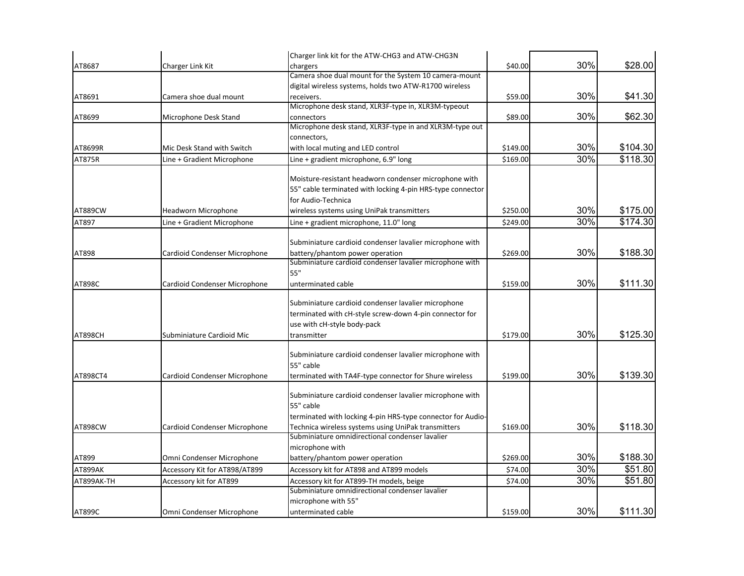|            |                               | Charger link kit for the ATW-CHG3 and ATW-CHG3N                       |          |     |          |
|------------|-------------------------------|-----------------------------------------------------------------------|----------|-----|----------|
| AT8687     | Charger Link Kit              | chargers                                                              | \$40.00  | 30% | \$28.00  |
|            |                               | Camera shoe dual mount for the System 10 camera-mount                 |          |     |          |
|            |                               | digital wireless systems, holds two ATW-R1700 wireless                |          |     |          |
| AT8691     | Camera shoe dual mount        | receivers.                                                            | \$59.00  | 30% | \$41.30  |
|            |                               | Microphone desk stand, XLR3F-type in, XLR3M-typeout                   |          |     |          |
| AT8699     | Microphone Desk Stand         | connectors                                                            | \$89.00  | 30% | \$62.30  |
|            |                               | Microphone desk stand, XLR3F-type in and XLR3M-type out               |          |     |          |
|            |                               | connectors,                                                           |          |     |          |
| AT8699R    | Mic Desk Stand with Switch    | with local muting and LED control                                     | \$149.00 | 30% | \$104.30 |
| AT875R     | Line + Gradient Microphone    | Line + gradient microphone, 6.9" long                                 | \$169.00 | 30% | \$118.30 |
|            |                               | Moisture-resistant headworn condenser microphone with                 |          |     |          |
|            |                               | 55" cable terminated with locking 4-pin HRS-type connector            |          |     |          |
|            |                               | for Audio-Technica                                                    |          |     |          |
| AT889CW    | <b>Headworn Microphone</b>    | wireless systems using UniPak transmitters                            | \$250.00 | 30% | \$175.00 |
|            |                               |                                                                       |          | 30% | \$174.30 |
| AT897      | Line + Gradient Microphone    | Line + gradient microphone, 11.0" long                                | \$249.00 |     |          |
|            |                               | Subminiature cardioid condenser lavalier microphone with              |          |     |          |
| AT898      | Cardioid Condenser Microphone | battery/phantom power operation                                       | \$269.00 | 30% | \$188.30 |
|            |                               | Subminiature cardioid condenser lavalier microphone with              |          |     |          |
|            |                               | 55"                                                                   |          |     |          |
| AT898C     | Cardioid Condenser Microphone | unterminated cable                                                    | \$159.00 | 30% | \$111.30 |
|            |                               |                                                                       |          |     |          |
|            |                               | Subminiature cardioid condenser lavalier microphone                   |          |     |          |
|            |                               | terminated with cH-style screw-down 4-pin connector for               |          |     |          |
|            |                               | use with cH-style body-pack                                           |          |     |          |
| AT898CH    | Subminiature Cardioid Mic     | transmitter                                                           | \$179.00 | 30% | \$125.30 |
|            |                               |                                                                       |          |     |          |
|            |                               | Subminiature cardioid condenser lavalier microphone with              |          |     |          |
|            |                               | 55" cable                                                             |          |     |          |
| AT898CT4   | Cardioid Condenser Microphone | terminated with TA4F-type connector for Shure wireless                | \$199.00 | 30% | \$139.30 |
|            |                               |                                                                       |          |     |          |
|            |                               | Subminiature cardioid condenser lavalier microphone with<br>55" cable |          |     |          |
|            |                               | terminated with locking 4-pin HRS-type connector for Audio-           |          |     |          |
| AT898CW    | Cardioid Condenser Microphone | Technica wireless systems using UniPak transmitters                   | \$169.00 | 30% | \$118.30 |
|            |                               | Subminiature omnidirectional condenser lavalier                       |          |     |          |
|            |                               | microphone with                                                       |          |     |          |
| AT899      | Omni Condenser Microphone     | battery/phantom power operation                                       | \$269.00 | 30% | \$188.30 |
| AT899AK    | Accessory Kit for AT898/AT899 | Accessory kit for AT898 and AT899 models                              | \$74.00  | 30% | \$51.80  |
| AT899AK-TH | Accessory kit for AT899       | Accessory kit for AT899-TH models, beige                              | \$74.00  | 30% | \$51.80  |
|            |                               | Subminiature omnidirectional condenser lavalier                       |          |     |          |
|            |                               | microphone with 55"                                                   |          |     |          |
| AT899C     | Omni Condenser Microphone     | unterminated cable                                                    | \$159.00 | 30% | \$111.30 |
|            |                               |                                                                       |          |     |          |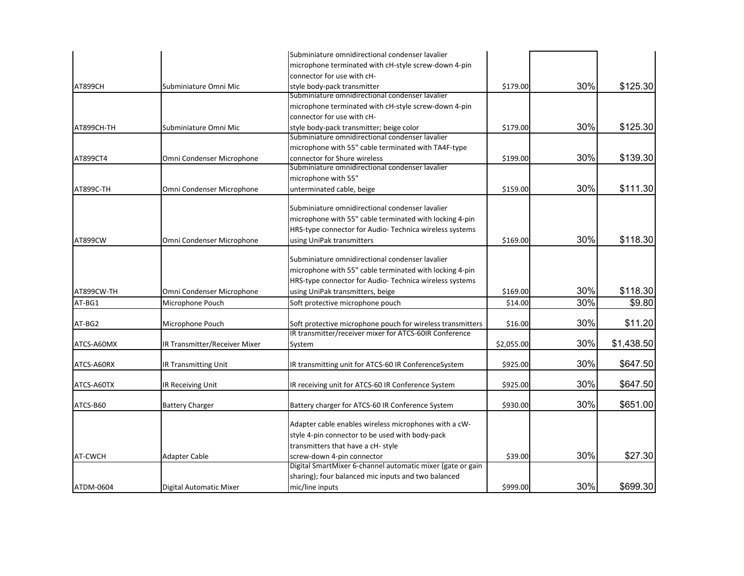|                  |                               | Subminiature omnidirectional condenser lavalier            |            |     |            |
|------------------|-------------------------------|------------------------------------------------------------|------------|-----|------------|
|                  |                               | microphone terminated with cH-style screw-down 4-pin       |            |     |            |
|                  |                               | connector for use with cH-                                 |            |     |            |
| <b>AT899CH</b>   | Subminiature Omni Mic         | style body-pack transmitter                                | \$179.00   | 30% | \$125.30   |
|                  |                               | Subminiature omnidirectional condenser lavalier            |            |     |            |
|                  |                               | microphone terminated with cH-style screw-down 4-pin       |            |     |            |
|                  |                               | connector for use with cH-                                 |            |     |            |
| AT899CH-TH       | Subminiature Omni Mic         | style body-pack transmitter; beige color                   | \$179.00   | 30% | \$125.30   |
|                  |                               | Subminiature omnidirectional condenser lavalier            |            |     |            |
|                  |                               | microphone with 55" cable terminated with TA4F-type        |            |     |            |
| AT899CT4         | Omni Condenser Microphone     | connector for Shure wireless                               | \$199.00   | 30% | \$139.30   |
|                  |                               | Subminiature omnidirectional condenser lavalier            |            |     |            |
|                  |                               | microphone with 55"                                        |            |     |            |
| <b>AT899C-TH</b> | Omni Condenser Microphone     | unterminated cable, beige                                  | \$159.00   | 30% | \$111.30   |
|                  |                               | Subminiature omnidirectional condenser lavalier            |            |     |            |
|                  |                               | microphone with 55" cable terminated with locking 4-pin    |            |     |            |
|                  |                               |                                                            |            |     |            |
|                  |                               | HRS-type connector for Audio- Technica wireless systems    |            |     |            |
| AT899CW          | Omni Condenser Microphone     | using UniPak transmitters                                  | \$169.00   | 30% | \$118.30   |
|                  |                               | Subminiature omnidirectional condenser lavalier            |            |     |            |
|                  |                               | microphone with 55" cable terminated with locking 4-pin    |            |     |            |
|                  |                               | HRS-type connector for Audio- Technica wireless systems    |            |     |            |
| AT899CW-TH       | Omni Condenser Microphone     | using UniPak transmitters, beige                           | \$169.00   | 30% | \$118.30   |
| AT-BG1           | Microphone Pouch              | Soft protective microphone pouch                           | \$14.00    | 30% | \$9.80     |
|                  |                               |                                                            |            |     |            |
| AT-BG2           | Microphone Pouch              | Soft protective microphone pouch for wireless transmitters | \$16.00    | 30% | \$11.20    |
|                  |                               | IR transmitter/receiver mixer for ATCS-60IR Conference     |            |     |            |
| ATCS-A60MX       | IR Transmitter/Receiver Mixer | System                                                     | \$2,055.00 | 30% | \$1,438.50 |
| ATCS-A60RX       | IR Transmitting Unit          | IR transmitting unit for ATCS-60 IR ConferenceSystem       | \$925.00   | 30% | \$647.50   |
| ATCS-A60TX       | IR Receiving Unit             | IR receiving unit for ATCS-60 IR Conference System         | \$925.00   | 30% | \$647.50   |
|                  |                               |                                                            |            |     |            |
| ATCS-B60         | <b>Battery Charger</b>        | Battery charger for ATCS-60 IR Conference System           | \$930.00   | 30% | \$651.00   |
|                  |                               | Adapter cable enables wireless microphones with a cW-      |            |     |            |
|                  |                               | style 4-pin connector to be used with body-pack            |            |     |            |
|                  |                               | transmitters that have a cH- style                         |            |     |            |
| AT-CWCH          | <b>Adapter Cable</b>          | screw-down 4-pin connector                                 | \$39.00    | 30% | \$27.30    |
|                  |                               | Digital SmartMixer 6-channel automatic mixer (gate or gain |            |     |            |
|                  |                               | sharing); four balanced mic inputs and two balanced        |            |     |            |
| ATDM-0604        | Digital Automatic Mixer       | mic/line inputs                                            | \$999.00   | 30% | \$699.30   |
|                  |                               |                                                            |            |     |            |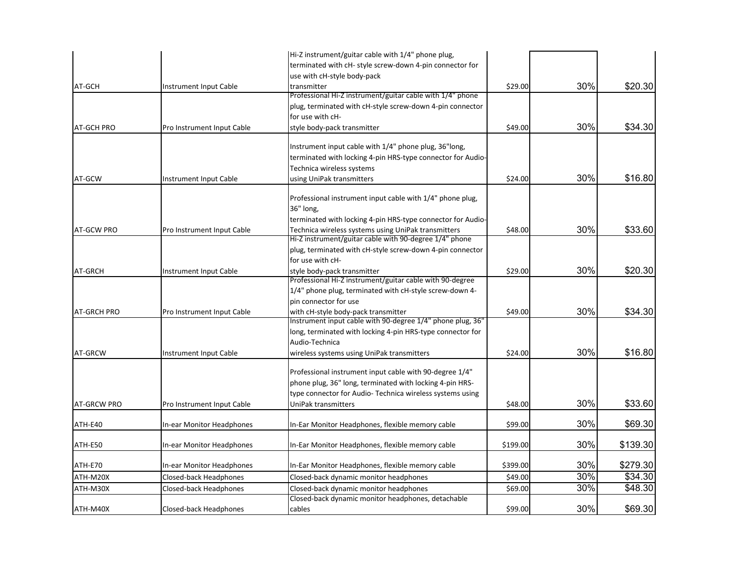|                    |                            | Hi-Z instrument/guitar cable with 1/4" phone plug,                                                |          |     |          |
|--------------------|----------------------------|---------------------------------------------------------------------------------------------------|----------|-----|----------|
|                    |                            | terminated with cH- style screw-down 4-pin connector for                                          |          |     |          |
|                    |                            | use with cH-style body-pack                                                                       |          |     |          |
| AT-GCH             | Instrument Input Cable     | transmitter                                                                                       | \$29.00  | 30% | \$20.30  |
|                    |                            | Professional Hi-Z instrument/guitar cable with 1/4" phone                                         |          |     |          |
|                    |                            | plug, terminated with cH-style screw-down 4-pin connector                                         |          |     |          |
|                    |                            | for use with cH-                                                                                  |          |     |          |
| <b>AT-GCH PRO</b>  | Pro Instrument Input Cable | style body-pack transmitter                                                                       | \$49.00  | 30% | \$34.30  |
|                    |                            | Instrument input cable with 1/4" phone plug, 36"long,                                             |          |     |          |
|                    |                            | terminated with locking 4-pin HRS-type connector for Audio-                                       |          |     |          |
|                    |                            | Technica wireless systems                                                                         |          |     |          |
| AT-GCW             | Instrument Input Cable     | using UniPak transmitters                                                                         | \$24.00  | 30% | \$16.80  |
|                    |                            |                                                                                                   |          |     |          |
|                    |                            | Professional instrument input cable with 1/4" phone plug,                                         |          |     |          |
|                    |                            | 36" long,                                                                                         |          |     |          |
|                    |                            | terminated with locking 4-pin HRS-type connector for Audio-                                       |          |     |          |
| <b>AT-GCW PRO</b>  | Pro Instrument Input Cable | Technica wireless systems using UniPak transmitters                                               | \$48.00  | 30% | \$33.60  |
|                    |                            | Hi-Z instrument/guitar cable with 90-degree 1/4" phone                                            |          |     |          |
|                    |                            | plug, terminated with cH-style screw-down 4-pin connector                                         |          |     |          |
|                    |                            | for use with cH-                                                                                  |          |     |          |
| AT-GRCH            | Instrument Input Cable     | style body-pack transmitter<br>Professional Hi-Z instrument/guitar cable with 90-degree           | \$29.00  | 30% | \$20.30  |
|                    |                            | 1/4" phone plug, terminated with cH-style screw-down 4-                                           |          |     |          |
|                    |                            | pin connector for use                                                                             |          |     |          |
|                    |                            |                                                                                                   | \$49.00  | 30% | \$34.30  |
| AT-GRCH PRO        | Pro Instrument Input Cable | with cH-style body-pack transmitter<br>Instrument input cable with 90-degree 1/4" phone plug, 36" |          |     |          |
|                    |                            | long, terminated with locking 4-pin HRS-type connector for                                        |          |     |          |
|                    |                            | Audio-Technica                                                                                    |          |     |          |
| AT-GRCW            | Instrument Input Cable     | wireless systems using UniPak transmitters                                                        | \$24.00  | 30% | \$16.80  |
|                    |                            |                                                                                                   |          |     |          |
|                    |                            | Professional instrument input cable with 90-degree 1/4"                                           |          |     |          |
|                    |                            | phone plug, 36" long, terminated with locking 4-pin HRS-                                          |          |     |          |
|                    |                            | type connector for Audio- Technica wireless systems using                                         |          |     |          |
| <b>AT-GRCW PRO</b> | Pro Instrument Input Cable | UniPak transmitters                                                                               | \$48.00  | 30% | \$33.60  |
| ATH-E40            | In-ear Monitor Headphones  | In-Ear Monitor Headphones, flexible memory cable                                                  | \$99.00  | 30% | \$69.30  |
| ATH-E50            | In-ear Monitor Headphones  | In-Ear Monitor Headphones, flexible memory cable                                                  | \$199.00 | 30% | \$139.30 |
| ATH-E70            | In-ear Monitor Headphones  | In-Ear Monitor Headphones, flexible memory cable                                                  | \$399.00 | 30% | \$279.30 |
| ATH-M20X           | Closed-back Headphones     | Closed-back dynamic monitor headphones                                                            | \$49.00  | 30% | \$34.30  |
| ATH-M30X           | Closed-back Headphones     | Closed-back dynamic monitor headphones                                                            | \$69.00  | 30% | \$48.30  |
|                    |                            | Closed-back dynamic monitor headphones, detachable                                                |          |     |          |
| ATH-M40X           | Closed-back Headphones     | cables                                                                                            | \$99.00  | 30% | \$69.30  |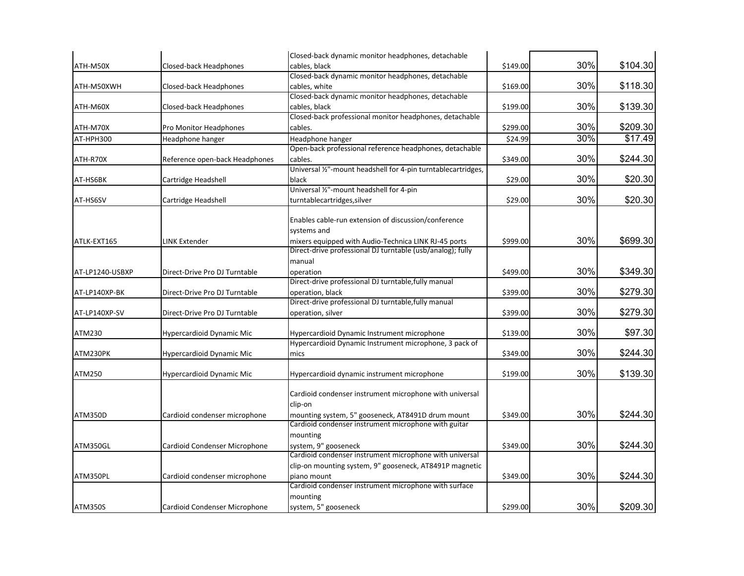|                 |                                | Closed-back dynamic monitor headphones, detachable            |          |     |                     |
|-----------------|--------------------------------|---------------------------------------------------------------|----------|-----|---------------------|
| ATH-M50X        | Closed-back Headphones         | cables, black                                                 | \$149.00 | 30% | \$104.30            |
|                 |                                | Closed-back dynamic monitor headphones, detachable            |          |     |                     |
| ATH-M50XWH      | Closed-back Headphones         | cables, white                                                 | \$169.00 | 30% | \$118.30            |
|                 |                                | Closed-back dynamic monitor headphones, detachable            |          |     |                     |
| ATH-M60X        | Closed-back Headphones         | cables, black                                                 | \$199.00 | 30% | \$139.30            |
|                 |                                | Closed-back professional monitor headphones, detachable       |          |     |                     |
| ATH-M70X        | Pro Monitor Headphones         | cables.                                                       | \$299.00 | 30% | \$209.30            |
| AT-HPH300       | Headphone hanger               | Headphone hanger                                              | \$24.99  | 30% | $\overline{$}17.49$ |
|                 |                                | Open-back professional reference headphones, detachable       |          |     |                     |
| ATH-R70X        | Reference open-back Headphones | cables.                                                       | \$349.00 | 30% | \$244.30            |
|                 |                                | Universal 1/2"-mount headshell for 4-pin turntablecartridges, |          |     |                     |
| AT-HS6BK        | Cartridge Headshell            | black                                                         | \$29.00  | 30% | \$20.30             |
|                 |                                | Universal 1/2"-mount headshell for 4-pin                      |          |     |                     |
| AT-HS6SV        | Cartridge Headshell            | turntablecartridges, silver                                   | \$29.00  | 30% | \$20.30             |
|                 |                                |                                                               |          |     |                     |
|                 |                                | Enables cable-run extension of discussion/conference          |          |     |                     |
|                 |                                | systems and                                                   |          |     |                     |
| ATLK-EXT165     | LINK Extender                  | mixers equipped with Audio-Technica LINK RJ-45 ports          | \$999.00 | 30% | \$699.30            |
|                 |                                | Direct-drive professional DJ turntable (usb/analog); fully    |          |     |                     |
|                 |                                | manual                                                        |          |     |                     |
| AT-LP1240-USBXP | Direct-Drive Pro DJ Turntable  | operation                                                     | \$499.00 | 30% | \$349.30            |
|                 |                                | Direct-drive professional DJ turntable, fully manual          |          |     |                     |
| AT-LP140XP-BK   | Direct-Drive Pro DJ Turntable  | operation, black                                              | \$399.00 | 30% | \$279.30            |
|                 |                                | Direct-drive professional DJ turntable, fully manual          |          |     |                     |
| AT-LP140XP-SV   | Direct-Drive Pro DJ Turntable  | operation, silver                                             | \$399.00 | 30% | \$279.30            |
|                 |                                |                                                               |          |     |                     |
| ATM230          | Hypercardioid Dynamic Mic      | Hypercardioid Dynamic Instrument microphone                   | \$139.00 | 30% | \$97.30             |
|                 |                                | Hypercardioid Dynamic Instrument microphone, 3 pack of        |          |     |                     |
| ATM230PK        | Hypercardioid Dynamic Mic      | mics                                                          | \$349.00 | 30% | \$244.30            |
|                 |                                |                                                               |          | 30% | \$139.30            |
| ATM250          | Hypercardioid Dynamic Mic      | Hypercardioid dynamic instrument microphone                   | \$199.00 |     |                     |
|                 |                                | Cardioid condenser instrument microphone with universal       |          |     |                     |
|                 |                                | clip-on                                                       |          |     |                     |
| ATM350D         |                                | mounting system, 5" gooseneck, AT8491D drum mount             | \$349.00 | 30% | \$244.30            |
|                 | Cardioid condenser microphone  | Cardioid condenser instrument microphone with guitar          |          |     |                     |
|                 |                                | mounting                                                      |          |     |                     |
| ATM350GL        | Cardioid Condenser Microphone  | system, 9" gooseneck                                          | \$349.00 | 30% | \$244.30            |
|                 |                                | Cardioid condenser instrument microphone with universal       |          |     |                     |
|                 |                                | clip-on mounting system, 9" gooseneck, AT8491P magnetic       |          |     |                     |
| ATM350PL        | Cardioid condenser microphone  | piano mount                                                   | \$349.00 | 30% | \$244.30            |
|                 |                                | Cardioid condenser instrument microphone with surface         |          |     |                     |
|                 |                                | mounting                                                      |          |     |                     |
| <b>ATM350S</b>  | Cardioid Condenser Microphone  | system, 5" gooseneck                                          | \$299.00 | 30% | \$209.30            |
|                 |                                |                                                               |          |     |                     |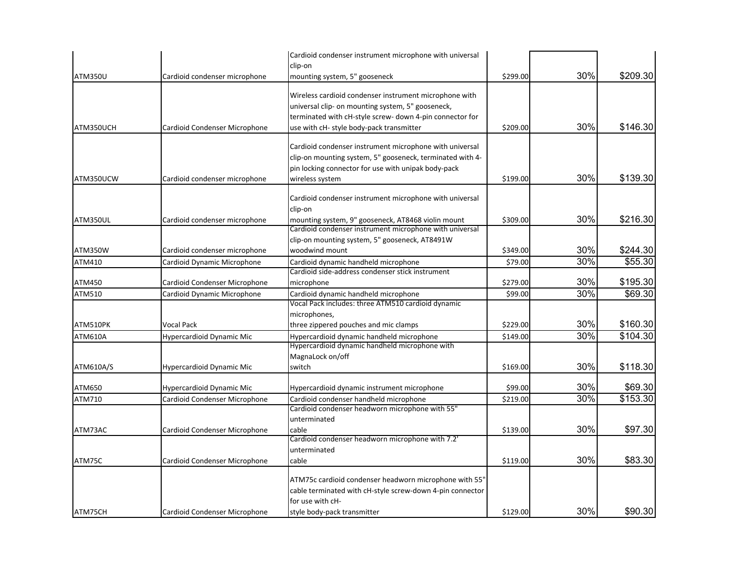|                |                               | Cardioid condenser instrument microphone with universal<br>clip-on                                                                                                                                                  |          |     |          |
|----------------|-------------------------------|---------------------------------------------------------------------------------------------------------------------------------------------------------------------------------------------------------------------|----------|-----|----------|
| <b>ATM350U</b> | Cardioid condenser microphone | mounting system, 5" gooseneck                                                                                                                                                                                       | \$299.00 | 30% | \$209.30 |
| ATM350UCH      | Cardioid Condenser Microphone | Wireless cardioid condenser instrument microphone with<br>universal clip- on mounting system, 5" gooseneck,<br>terminated with cH-style screw- down 4-pin connector for<br>use with cH- style body-pack transmitter | \$209.00 | 30% | \$146.30 |
| ATM350UCW      | Cardioid condenser microphone | Cardioid condenser instrument microphone with universal<br>clip-on mounting system, 5" gooseneck, terminated with 4-<br>pin locking connector for use with unipak body-pack<br>wireless system                      | \$199.00 | 30% | \$139.30 |
| ATM350UL       | Cardioid condenser microphone | Cardioid condenser instrument microphone with universal<br>clip-on<br>mounting system, 9" gooseneck, AT8468 violin mount                                                                                            | \$309.00 | 30% | \$216.30 |
| ATM350W        | Cardioid condenser microphone | Cardioid condenser instrument microphone with universal<br>clip-on mounting system, 5" gooseneck, AT8491W<br>woodwind mount                                                                                         | \$349.00 | 30% | \$244.30 |
| ATM410         | Cardioid Dynamic Microphone   | Cardioid dynamic handheld microphone                                                                                                                                                                                | \$79.00  | 30% | \$55.30  |
| ATM450         | Cardioid Condenser Microphone | Cardioid side-address condenser stick instrument<br>microphone                                                                                                                                                      | \$279.00 | 30% | \$195.30 |
| ATM510         | Cardioid Dynamic Microphone   | Cardioid dynamic handheld microphone                                                                                                                                                                                | \$99.00  | 30% | \$69.30  |
| ATM510PK       | Vocal Pack                    | Vocal Pack includes: three ATM510 cardioid dynamic<br>microphones,<br>three zippered pouches and mic clamps                                                                                                         | \$229.00 | 30% | \$160.30 |
| ATM610A        | Hypercardioid Dynamic Mic     | Hypercardioid dynamic handheld microphone                                                                                                                                                                           | \$149.00 | 30% | \$104.30 |
| ATM610A/S      | Hypercardioid Dynamic Mic     | Hypercardioid dynamic handheld microphone with<br>MagnaLock on/off<br>switch                                                                                                                                        | \$169.00 | 30% | \$118.30 |
| ATM650         | Hypercardioid Dynamic Mic     | Hypercardioid dynamic instrument microphone                                                                                                                                                                         | \$99.00  | 30% | \$69.30  |
| ATM710         | Cardioid Condenser Microphone | Cardioid condenser handheld microphone                                                                                                                                                                              | \$219.00 | 30% | \$153.30 |
|                |                               | Cardioid condenser headworn microphone with 55"<br>unterminated                                                                                                                                                     |          |     |          |
| ATM73AC        | Cardioid Condenser Microphone | cable                                                                                                                                                                                                               | \$139.00 | 30% | \$97.30  |
| ATM75C         | Cardioid Condenser Microphone | Cardioid condenser headworn microphone with 7.2'<br>unterminated<br>cable                                                                                                                                           | \$119.00 | 30% | \$83.30  |
|                |                               |                                                                                                                                                                                                                     |          |     |          |
|                |                               | ATM75c cardioid condenser headworn microphone with 55"<br>cable terminated with cH-style screw-down 4-pin connector<br>for use with cH-                                                                             |          | 30% | \$90.30  |
| ATM75CH        | Cardioid Condenser Microphone | style body-pack transmitter                                                                                                                                                                                         | \$129.00 |     |          |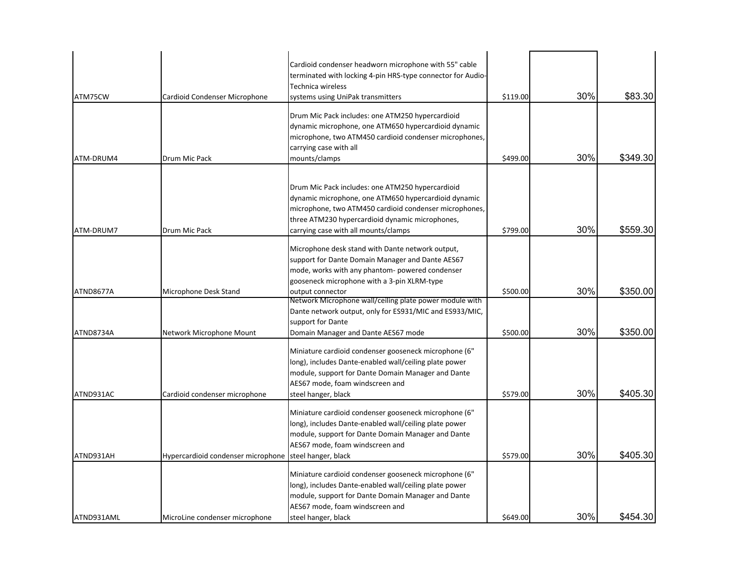| ATM75CW    | Cardioid Condenser Microphone      | Cardioid condenser headworn microphone with 55" cable<br>terminated with locking 4-pin HRS-type connector for Audio-<br>Technica wireless<br>systems using UniPak transmitters                                                                                | \$119.00 | 30% | \$83.30  |
|------------|------------------------------------|---------------------------------------------------------------------------------------------------------------------------------------------------------------------------------------------------------------------------------------------------------------|----------|-----|----------|
| ATM-DRUM4  | Drum Mic Pack                      | Drum Mic Pack includes: one ATM250 hypercardioid<br>dynamic microphone, one ATM650 hypercardioid dynamic<br>microphone, two ATM450 cardioid condenser microphones,<br>carrying case with all<br>mounts/clamps                                                 | \$499.00 | 30% | \$349.30 |
| ATM-DRUM7  | Drum Mic Pack                      | Drum Mic Pack includes: one ATM250 hypercardioid<br>dynamic microphone, one ATM650 hypercardioid dynamic<br>microphone, two ATM450 cardioid condenser microphones,<br>three ATM230 hypercardioid dynamic microphones,<br>carrying case with all mounts/clamps | \$799.00 | 30% | \$559.30 |
| ATND8677A  | Microphone Desk Stand              | Microphone desk stand with Dante network output,<br>support for Dante Domain Manager and Dante AES67<br>mode, works with any phantom- powered condenser<br>gooseneck microphone with a 3-pin XLRM-type<br>output connector                                    | \$500.00 | 30% | \$350.00 |
| ATND8734A  | Network Microphone Mount           | Network Microphone wall/ceiling plate power module with<br>Dante network output, only for ES931/MIC and ES933/MIC,<br>support for Dante<br>Domain Manager and Dante AES67 mode                                                                                | \$500.00 | 30% | \$350.00 |
| ATND931AC  | Cardioid condenser microphone      | Miniature cardioid condenser gooseneck microphone (6"<br>long), includes Dante-enabled wall/ceiling plate power<br>module, support for Dante Domain Manager and Dante<br>AES67 mode, foam windscreen and<br>steel hanger, black                               | \$579.00 | 30% | \$405.30 |
| ATND931AH  | Hypercardioid condenser microphone | Miniature cardioid condenser gooseneck microphone (6"<br>long), includes Dante-enabled wall/ceiling plate power<br>module, support for Dante Domain Manager and Dante<br>AES67 mode, foam windscreen and<br>steel hanger, black                               | \$579.00 | 30% | \$405.30 |
| ATND931AML | MicroLine condenser microphone     | Miniature cardioid condenser gooseneck microphone (6"<br>long), includes Dante-enabled wall/ceiling plate power<br>module, support for Dante Domain Manager and Dante<br>AES67 mode, foam windscreen and<br>steel hanger, black                               | \$649.00 | 30% | \$454.30 |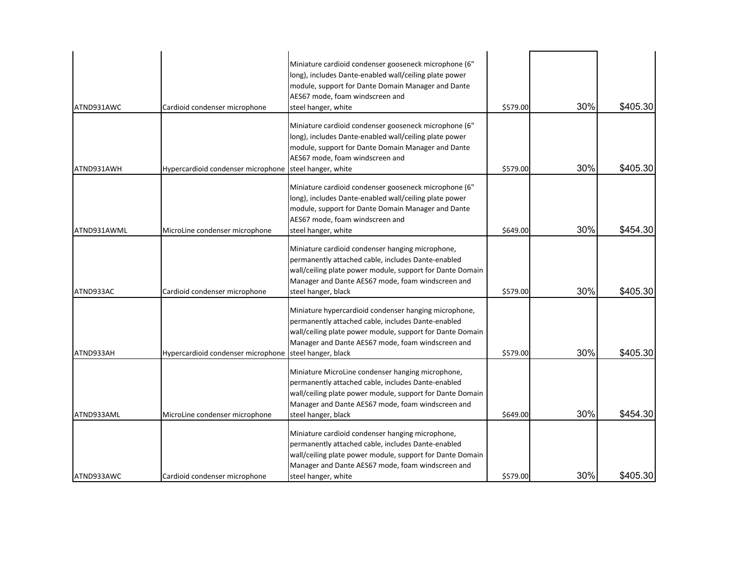| ATND931AWC  | Cardioid condenser microphone      | Miniature cardioid condenser gooseneck microphone (6"<br>long), includes Dante-enabled wall/ceiling plate power<br>module, support for Dante Domain Manager and Dante<br>AES67 mode, foam windscreen and<br>steel hanger, white                      | \$579.00 | 30% | \$405.30 |
|-------------|------------------------------------|------------------------------------------------------------------------------------------------------------------------------------------------------------------------------------------------------------------------------------------------------|----------|-----|----------|
| ATND931AWH  | Hypercardioid condenser microphone | Miniature cardioid condenser gooseneck microphone (6"<br>long), includes Dante-enabled wall/ceiling plate power<br>module, support for Dante Domain Manager and Dante<br>AES67 mode, foam windscreen and<br>steel hanger, white                      | \$579.00 | 30% | \$405.30 |
| ATND931AWML | MicroLine condenser microphone     | Miniature cardioid condenser gooseneck microphone (6"<br>long), includes Dante-enabled wall/ceiling plate power<br>module, support for Dante Domain Manager and Dante<br>AES67 mode, foam windscreen and<br>steel hanger, white                      | \$649.00 | 30% | \$454.30 |
| ATND933AC   | Cardioid condenser microphone      | Miniature cardioid condenser hanging microphone,<br>permanently attached cable, includes Dante-enabled<br>wall/ceiling plate power module, support for Dante Domain<br>Manager and Dante AES67 mode, foam windscreen and<br>steel hanger, black      | \$579.00 | 30% | \$405.30 |
| ATND933AH   | Hypercardioid condenser microphone | Miniature hypercardioid condenser hanging microphone,<br>permanently attached cable, includes Dante-enabled<br>wall/ceiling plate power module, support for Dante Domain<br>Manager and Dante AES67 mode, foam windscreen and<br>steel hanger, black | \$579.00 | 30% | \$405.30 |
| ATND933AML  | MicroLine condenser microphone     | Miniature MicroLine condenser hanging microphone,<br>permanently attached cable, includes Dante-enabled<br>wall/ceiling plate power module, support for Dante Domain<br>Manager and Dante AES67 mode, foam windscreen and<br>steel hanger, black     | \$649.00 | 30% | \$454.30 |
| ATND933AWC  | Cardioid condenser microphone      | Miniature cardioid condenser hanging microphone,<br>permanently attached cable, includes Dante-enabled<br>wall/ceiling plate power module, support for Dante Domain<br>Manager and Dante AES67 mode, foam windscreen and<br>steel hanger, white      | \$579.00 | 30% | \$405.30 |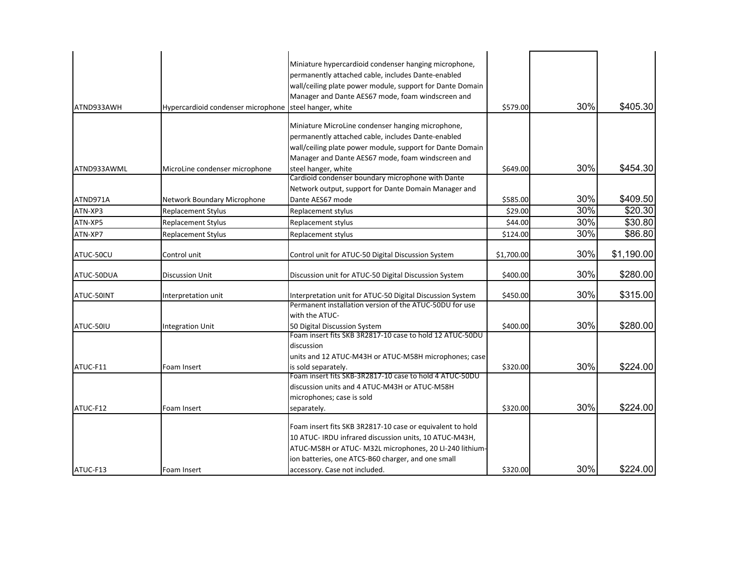|             |                                    | Miniature hypercardioid condenser hanging microphone,                        |            |     |            |
|-------------|------------------------------------|------------------------------------------------------------------------------|------------|-----|------------|
|             |                                    | permanently attached cable, includes Dante-enabled                           |            |     |            |
|             |                                    | wall/ceiling plate power module, support for Dante Domain                    |            |     |            |
|             |                                    | Manager and Dante AES67 mode, foam windscreen and                            |            |     |            |
| ATND933AWH  | Hypercardioid condenser microphone | steel hanger, white                                                          | \$579.00   | 30% | \$405.30   |
|             |                                    |                                                                              |            |     |            |
|             |                                    | Miniature MicroLine condenser hanging microphone,                            |            |     |            |
|             |                                    | permanently attached cable, includes Dante-enabled                           |            |     |            |
|             |                                    | wall/ceiling plate power module, support for Dante Domain                    |            |     |            |
| ATND933AWML |                                    | Manager and Dante AES67 mode, foam windscreen and<br>steel hanger, white     | \$649.00   | 30% | \$454.30   |
|             | MicroLine condenser microphone     | Cardioid condenser boundary microphone with Dante                            |            |     |            |
|             |                                    | Network output, support for Dante Domain Manager and                         |            |     |            |
| ATND971A    | Network Boundary Microphone        | Dante AES67 mode                                                             | \$585.00   | 30% | \$409.50   |
| ATN-XP3     | Replacement Stylus                 | Replacement stylus                                                           | \$29.00    | 30% | \$20.30    |
| ATN-XP5     | Replacement Stylus                 | Replacement stylus                                                           | \$44.00    | 30% | \$30.80    |
| ATN-XP7     | <b>Replacement Stylus</b>          | Replacement stylus                                                           | \$124.00   | 30% | \$86.80    |
|             |                                    |                                                                              |            | 30% | \$1,190.00 |
| ATUC-50CU   | Control unit                       | Control unit for ATUC-50 Digital Discussion System                           | \$1,700.00 |     |            |
| ATUC-50DUA  | Discussion Unit                    | Discussion unit for ATUC-50 Digital Discussion System                        | \$400.00   | 30% | \$280.00   |
| ATUC-50INT  | Interpretation unit                | Interpretation unit for ATUC-50 Digital Discussion System                    | \$450.00   | 30% | \$315.00   |
|             |                                    | Permanent installation version of the ATUC-50DU for use                      |            |     |            |
|             |                                    | with the ATUC-                                                               |            |     |            |
| ATUC-50IU   | <b>Integration Unit</b>            | 50 Digital Discussion System                                                 | \$400.00   | 30% | \$280.00   |
|             |                                    | Foam insert fits SKB 3R2817-10 case to hold 12 ATUC-50DU                     |            |     |            |
|             |                                    | discussion                                                                   |            |     |            |
| ATUC-F11    | Foam Insert                        | units and 12 ATUC-M43H or ATUC-M58H microphones; case<br>is sold separately. | \$320.00   | 30% | \$224.00   |
|             |                                    | Foam insert fits SKB-3R2817-10 case to hold 4 ATUC-50DU                      |            |     |            |
|             |                                    | discussion units and 4 ATUC-M43H or ATUC-M58H                                |            |     |            |
|             |                                    | microphones; case is sold                                                    |            |     |            |
| ATUC-F12    | Foam Insert                        | separately.                                                                  | \$320.00   | 30% | \$224.00   |
|             |                                    | Foam insert fits SKB 3R2817-10 case or equivalent to hold                    |            |     |            |
|             |                                    | 10 ATUC- IRDU infrared discussion units, 10 ATUC-M43H,                       |            |     |            |
|             |                                    | ATUC-M58H or ATUC- M32L microphones, 20 LI-240 lithium-                      |            |     |            |
|             |                                    | ion batteries, one ATCS-B60 charger, and one small                           |            |     |            |
| ATUC-F13    | Foam Insert                        | accessory. Case not included.                                                | \$320.00   | 30% | \$224.00   |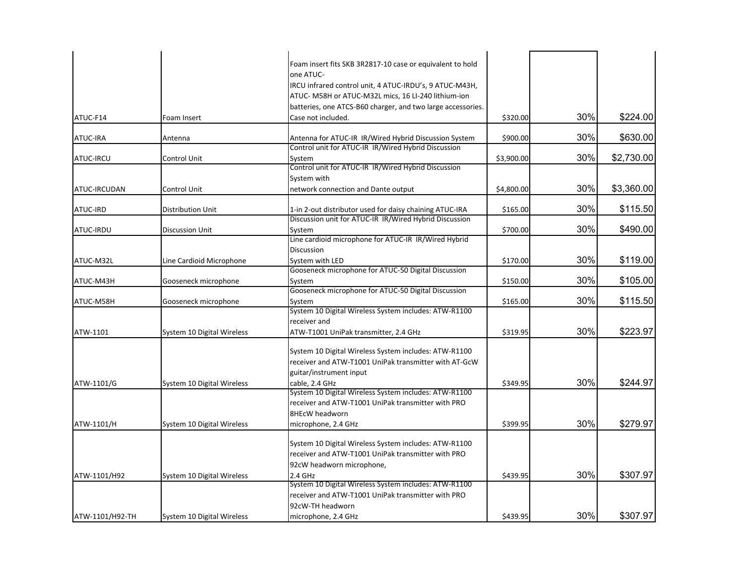|                 |                            | Foam insert fits SKB 3R2817-10 case or equivalent to hold   |            |     |            |
|-----------------|----------------------------|-------------------------------------------------------------|------------|-----|------------|
|                 |                            | one ATUC-                                                   |            |     |            |
|                 |                            | IRCU infrared control unit, 4 ATUC-IRDU's, 9 ATUC-M43H,     |            |     |            |
|                 |                            | ATUC- M58H or ATUC-M32L mics, 16 LI-240 lithium-ion         |            |     |            |
|                 |                            | batteries, one ATCS-B60 charger, and two large accessories. |            |     |            |
| ATUC-F14        | Foam Insert                | Case not included.                                          | \$320.00   | 30% | \$224.00   |
| <b>ATUC-IRA</b> | Antenna                    | Antenna for ATUC-IR IR/Wired Hybrid Discussion System       | \$900.00   | 30% | \$630.00   |
|                 |                            | Control unit for ATUC-IR IR/Wired Hybrid Discussion         |            |     |            |
| ATUC-IRCU       | Control Unit               | System                                                      | \$3,900.00 | 30% | \$2,730.00 |
|                 |                            | Control unit for ATUC-IR IR/Wired Hybrid Discussion         |            |     |            |
|                 |                            | System with                                                 |            |     |            |
| ATUC-IRCUDAN    | Control Unit               | network connection and Dante output                         | \$4,800.00 | 30% | \$3,360.00 |
| <b>ATUC-IRD</b> | Distribution Unit          | 1-in 2-out distributor used for daisy chaining ATUC-IRA     | \$165.00   | 30% | \$115.50   |
|                 |                            | Discussion unit for ATUC-IR IR/Wired Hybrid Discussion      |            |     |            |
| ATUC-IRDU       | <b>Discussion Unit</b>     | System                                                      | \$700.00   | 30% | \$490.00   |
|                 |                            | Line cardioid microphone for ATUC-IR IR/Wired Hybrid        |            |     |            |
|                 |                            | <b>Discussion</b>                                           |            |     |            |
| ATUC-M32L       | Line Cardioid Microphone   | System with LED                                             | \$170.00   | 30% | \$119.00   |
|                 |                            | Gooseneck microphone for ATUC-50 Digital Discussion         |            |     |            |
| ATUC-M43H       | Gooseneck microphone       | System                                                      | \$150.00   | 30% | \$105.00   |
|                 |                            | Gooseneck microphone for ATUC-50 Digital Discussion         |            |     |            |
| ATUC-M58H       | Gooseneck microphone       | System                                                      | \$165.00   | 30% | \$115.50   |
|                 |                            | System 10 Digital Wireless System includes: ATW-R1100       |            |     |            |
|                 |                            | receiver and                                                |            |     |            |
| ATW-1101        | System 10 Digital Wireless | ATW-T1001 UniPak transmitter, 2.4 GHz                       | \$319.95   | 30% | \$223.97   |
|                 |                            | System 10 Digital Wireless System includes: ATW-R1100       |            |     |            |
|                 |                            | receiver and ATW-T1001 UniPak transmitter with AT-GcW       |            |     |            |
|                 |                            | guitar/instrument input                                     |            |     |            |
| ATW-1101/G      | System 10 Digital Wireless | cable, 2.4 GHz                                              | \$349.95   | 30% | \$244.97   |
|                 |                            | System 10 Digital Wireless System includes: ATW-R1100       |            |     |            |
|                 |                            | receiver and ATW-T1001 UniPak transmitter with PRO          |            |     |            |
|                 |                            | <b>8HEcW headworn</b>                                       |            |     |            |
| ATW-1101/H      | System 10 Digital Wireless | microphone, 2.4 GHz                                         | \$399.95   | 30% | \$279.97   |
|                 |                            |                                                             |            |     |            |
|                 |                            | System 10 Digital Wireless System includes: ATW-R1100       |            |     |            |
|                 |                            | receiver and ATW-T1001 UniPak transmitter with PRO          |            |     |            |
|                 |                            | 92cW headworn microphone,                                   |            |     |            |
| ATW-1101/H92    | System 10 Digital Wireless | 2.4 GHz                                                     | \$439.95   | 30% | \$307.97   |
|                 |                            | System 10 Digital Wireless System includes: ATW-R1100       |            |     |            |
|                 |                            | receiver and ATW-T1001 UniPak transmitter with PRO          |            |     |            |
|                 |                            | 92cW-TH headworn                                            |            |     |            |
| ATW-1101/H92-TH | System 10 Digital Wireless | microphone, 2.4 GHz                                         | \$439.95   | 30% | \$307.97   |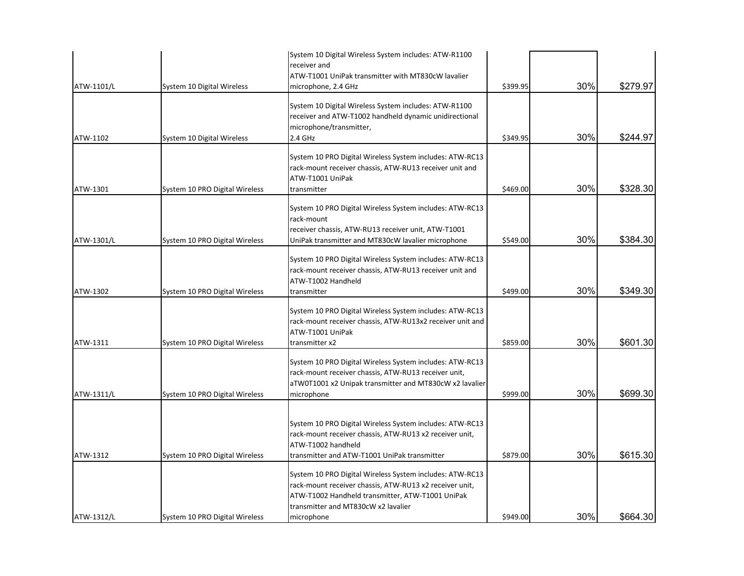| ATW-1302<br>ATW-1311 | System 10 PRO Digital Wireless<br>System 10 PRO Digital Wireless | rack-mount receiver chassis, ATW-RU13 receiver unit and<br>ATW-T1002 Handheld<br>transmitter<br>System 10 PRO Digital Wireless System includes: ATW-RC13<br>rack-mount receiver chassis, ATW-RU13x2 receiver unit and<br>ATW-T1001 UniPak<br>transmitter x2<br>System 10 PRO Digital Wireless System includes: ATW-RC13                                                                                     | \$499.00<br>\$859.00 | 30%<br>30% | \$349.30<br>\$601.30 |
|----------------------|------------------------------------------------------------------|-------------------------------------------------------------------------------------------------------------------------------------------------------------------------------------------------------------------------------------------------------------------------------------------------------------------------------------------------------------------------------------------------------------|----------------------|------------|----------------------|
| ATW-1311/L           | System 10 PRO Digital Wireless                                   | rack-mount receiver chassis, ATW-RU13 receiver unit,<br>aTW0T1001 x2 Unipak transmitter and MT830cW x2 lavalier<br>microphone                                                                                                                                                                                                                                                                               | \$999.00             | 30%        | \$699.30             |
| ATW-1312             | System 10 PRO Digital Wireless                                   | System 10 PRO Digital Wireless System includes: ATW-RC13<br>rack-mount receiver chassis, ATW-RU13 x2 receiver unit,<br>ATW-T1002 handheld<br>transmitter and ATW-T1001 UniPak transmitter<br>System 10 PRO Digital Wireless System includes: ATW-RC13<br>rack-mount receiver chassis, ATW-RU13 x2 receiver unit,<br>ATW-T1002 Handheld transmitter, ATW-T1001 UniPak<br>transmitter and MT830cW x2 lavalier | \$879.00             | 30%        | \$615.30             |
| ATW-1312/L           | System 10 PRO Digital Wireless                                   | microphone                                                                                                                                                                                                                                                                                                                                                                                                  | \$949.00             | 30%        | \$664.30             |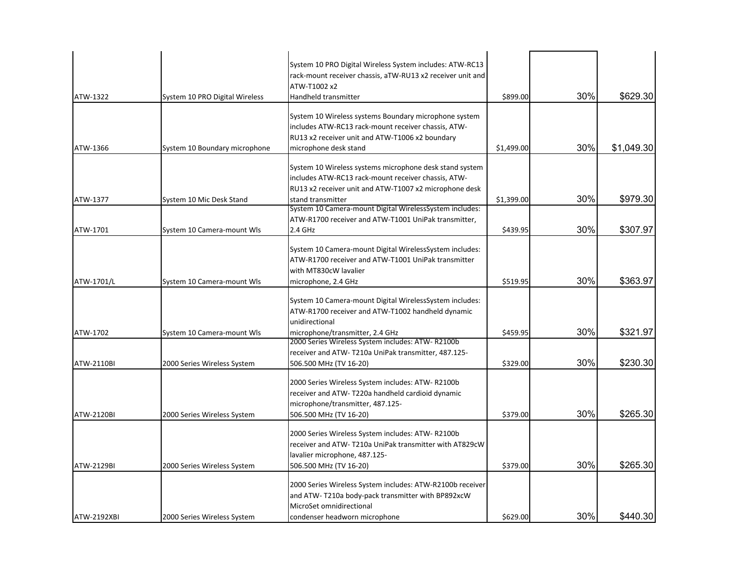| ATW-1322           | System 10 PRO Digital Wireless | System 10 PRO Digital Wireless System includes: ATW-RC13<br>rack-mount receiver chassis, aTW-RU13 x2 receiver unit and<br>ATW-T1002 x2<br>Handheld transmitter                                | \$899.00   | 30% | \$629.30   |
|--------------------|--------------------------------|-----------------------------------------------------------------------------------------------------------------------------------------------------------------------------------------------|------------|-----|------------|
| ATW-1366           | System 10 Boundary microphone  | System 10 Wireless systems Boundary microphone system<br>includes ATW-RC13 rack-mount receiver chassis, ATW-<br>RU13 x2 receiver unit and ATW-T1006 x2 boundary<br>microphone desk stand      | \$1,499.00 | 30% | \$1,049.30 |
| ATW-1377           | System 10 Mic Desk Stand       | System 10 Wireless systems microphone desk stand system<br>includes ATW-RC13 rack-mount receiver chassis, ATW-<br>RU13 x2 receiver unit and ATW-T1007 x2 microphone desk<br>stand transmitter | \$1,399.00 | 30% | \$979.30   |
| ATW-1701           | System 10 Camera-mount Wls     | System 10 Camera-mount Digital WirelessSystem includes:<br>ATW-R1700 receiver and ATW-T1001 UniPak transmitter,<br>2.4 GHz                                                                    | \$439.95   | 30% | \$307.97   |
| ATW-1701/L         | System 10 Camera-mount Wls     | System 10 Camera-mount Digital WirelessSystem includes:<br>ATW-R1700 receiver and ATW-T1001 UniPak transmitter<br>with MT830cW lavalier<br>microphone, 2.4 GHz                                | \$519.95   | 30% | \$363.97   |
| ATW-1702           | System 10 Camera-mount Wls     | System 10 Camera-mount Digital WirelessSystem includes:<br>ATW-R1700 receiver and ATW-T1002 handheld dynamic<br>unidirectional<br>microphone/transmitter, 2.4 GHz                             | \$459.95   | 30% | \$321.97   |
| <b>ATW-2110BI</b>  | 2000 Series Wireless System    | 2000 Series Wireless System includes: ATW-R2100b<br>receiver and ATW-T210a UniPak transmitter, 487.125-<br>506.500 MHz (TV 16-20)                                                             | \$329.00   | 30% | \$230.30   |
| ATW-2120BI         | 2000 Series Wireless System    | 2000 Series Wireless System includes: ATW-R2100b<br>receiver and ATW-T220a handheld cardioid dynamic<br>microphone/transmitter, 487.125-<br>506.500 MHz (TV 16-20)                            | \$379.00   | 30% | \$265.30   |
| <b>ATW-2129BI</b>  | 2000 Series Wireless System    | 2000 Series Wireless System includes: ATW-R2100b<br>receiver and ATW-T210a UniPak transmitter with AT829cW<br>lavalier microphone, 487.125-<br>506.500 MHz (TV 16-20)                         | \$379.00   | 30% | \$265.30   |
| <b>ATW-2192XBI</b> | 2000 Series Wireless System    | 2000 Series Wireless System includes: ATW-R2100b receiver<br>and ATW-T210a body-pack transmitter with BP892xcW<br>MicroSet omnidirectional<br>condenser headworn microphone                   | \$629.00   | 30% | \$440.30   |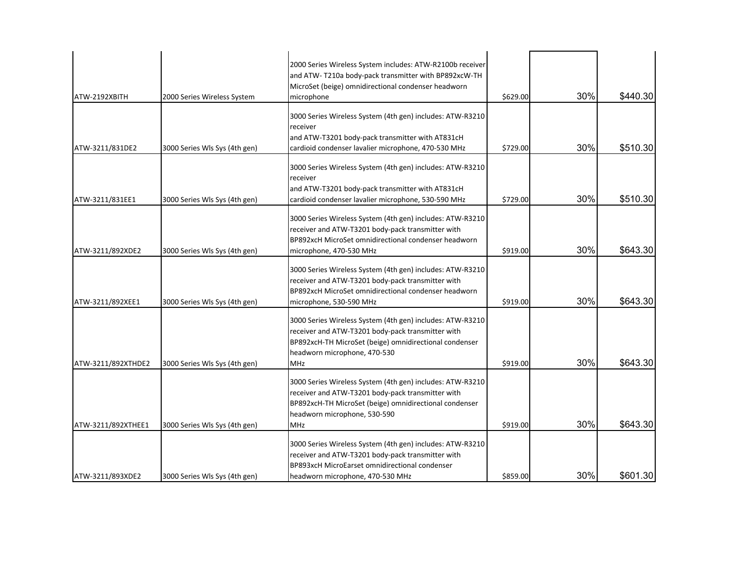| ATW-2192XBITH      | 2000 Series Wireless System   | 2000 Series Wireless System includes: ATW-R2100b receiver<br>and ATW-T210a body-pack transmitter with BP892xcW-TH<br>MicroSet (beige) omnidirectional condenser headworn<br>microphone                                 | \$629.00 | 30% | \$440.30 |
|--------------------|-------------------------------|------------------------------------------------------------------------------------------------------------------------------------------------------------------------------------------------------------------------|----------|-----|----------|
| ATW-3211/831DE2    | 3000 Series Wls Sys (4th gen) | 3000 Series Wireless System (4th gen) includes: ATW-R3210<br>receiver<br>and ATW-T3201 body-pack transmitter with AT831cH<br>cardioid condenser lavalier microphone, 470-530 MHz                                       | \$729.00 | 30% | \$510.30 |
| ATW-3211/831EE1    | 3000 Series Wls Sys (4th gen) | 3000 Series Wireless System (4th gen) includes: ATW-R3210<br>receiver<br>and ATW-T3201 body-pack transmitter with AT831cH<br>cardioid condenser lavalier microphone, 530-590 MHz                                       | \$729.00 | 30% | \$510.30 |
| ATW-3211/892XDE2   | 3000 Series Wls Sys (4th gen) | 3000 Series Wireless System (4th gen) includes: ATW-R3210<br>receiver and ATW-T3201 body-pack transmitter with<br>BP892xcH MicroSet omnidirectional condenser headworn<br>microphone, 470-530 MHz                      | \$919.00 | 30% | \$643.30 |
| ATW-3211/892XEE1   | 3000 Series Wls Sys (4th gen) | 3000 Series Wireless System (4th gen) includes: ATW-R3210<br>receiver and ATW-T3201 body-pack transmitter with<br>BP892xcH MicroSet omnidirectional condenser headworn<br>microphone, 530-590 MHz                      | \$919.00 | 30% | \$643.30 |
| ATW-3211/892XTHDE2 | 3000 Series Wls Sys (4th gen) | 3000 Series Wireless System (4th gen) includes: ATW-R3210<br>receiver and ATW-T3201 body-pack transmitter with<br>BP892xcH-TH MicroSet (beige) omnidirectional condenser<br>headworn microphone, 470-530<br><b>MHz</b> | \$919.00 | 30% | \$643.30 |
| ATW-3211/892XTHEE1 | 3000 Series Wls Sys (4th gen) | 3000 Series Wireless System (4th gen) includes: ATW-R3210<br>receiver and ATW-T3201 body-pack transmitter with<br>BP892xcH-TH MicroSet (beige) omnidirectional condenser<br>headworn microphone, 530-590<br><b>MHz</b> | \$919.00 | 30% | \$643.30 |
| ATW-3211/893XDE2   | 3000 Series Wls Sys (4th gen) | 3000 Series Wireless System (4th gen) includes: ATW-R3210<br>receiver and ATW-T3201 body-pack transmitter with<br>BP893xcH MicroEarset omnidirectional condenser<br>headworn microphone, 470-530 MHz                   | \$859.00 | 30% | \$601.30 |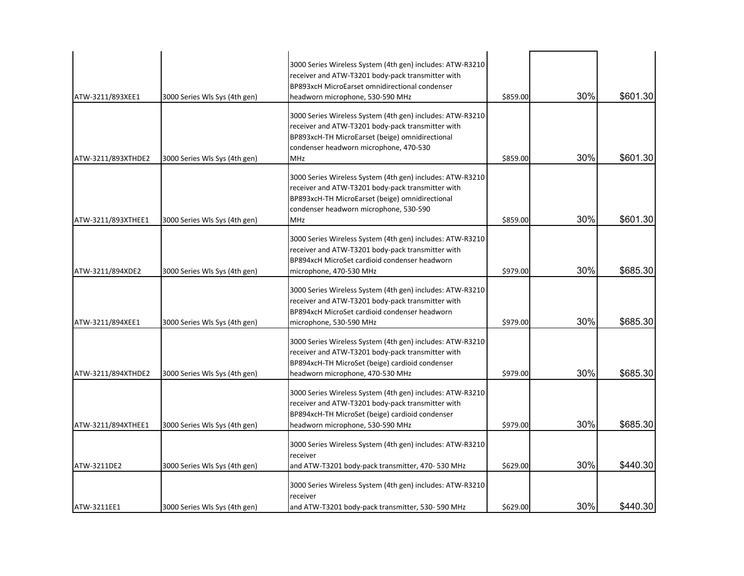| ATW-3211/893XEE1   | 3000 Series Wls Sys (4th gen) | 3000 Series Wireless System (4th gen) includes: ATW-R3210<br>receiver and ATW-T3201 body-pack transmitter with<br>BP893xcH MicroEarset omnidirectional condenser<br>headworn microphone, 530-590 MHz                      | \$859.00 | 30% | \$601.30 |
|--------------------|-------------------------------|---------------------------------------------------------------------------------------------------------------------------------------------------------------------------------------------------------------------------|----------|-----|----------|
| ATW-3211/893XTHDE2 | 3000 Series Wls Sys (4th gen) | 3000 Series Wireless System (4th gen) includes: ATW-R3210<br>receiver and ATW-T3201 body-pack transmitter with<br>BP893xcH-TH MicroEarset (beige) omnidirectional<br>condenser headworn microphone, 470-530<br><b>MHz</b> | \$859.00 | 30% | \$601.30 |
| ATW-3211/893XTHEE1 | 3000 Series Wls Sys (4th gen) | 3000 Series Wireless System (4th gen) includes: ATW-R3210<br>receiver and ATW-T3201 body-pack transmitter with<br>BP893xcH-TH MicroEarset (beige) omnidirectional<br>condenser headworn microphone, 530-590<br><b>MHz</b> | \$859.00 | 30% | \$601.30 |
| ATW-3211/894XDE2   | 3000 Series Wls Sys (4th gen) | 3000 Series Wireless System (4th gen) includes: ATW-R3210<br>receiver and ATW-T3201 body-pack transmitter with<br>BP894xcH MicroSet cardioid condenser headworn<br>microphone, 470-530 MHz                                | \$979.00 | 30% | \$685.30 |
| ATW-3211/894XEE1   | 3000 Series Wls Sys (4th gen) | 3000 Series Wireless System (4th gen) includes: ATW-R3210<br>receiver and ATW-T3201 body-pack transmitter with<br>BP894xcH MicroSet cardioid condenser headworn<br>microphone, 530-590 MHz                                | \$979.00 | 30% | \$685.30 |
| ATW-3211/894XTHDE2 | 3000 Series Wls Sys (4th gen) | 3000 Series Wireless System (4th gen) includes: ATW-R3210<br>receiver and ATW-T3201 body-pack transmitter with<br>BP894xcH-TH MicroSet (beige) cardioid condenser<br>headworn microphone, 470-530 MHz                     | \$979.00 | 30% | \$685.30 |
| ATW-3211/894XTHEE1 | 3000 Series Wls Sys (4th gen) | 3000 Series Wireless System (4th gen) includes: ATW-R3210<br>receiver and ATW-T3201 body-pack transmitter with<br>BP894xcH-TH MicroSet (beige) cardioid condenser<br>headworn microphone, 530-590 MHz                     | \$979.00 | 30% | \$685.30 |
| ATW-3211DE2        | 3000 Series Wls Sys (4th gen) | 3000 Series Wireless System (4th gen) includes: ATW-R3210<br>receiver<br>and ATW-T3201 body-pack transmitter, 470-530 MHz                                                                                                 | \$629.00 | 30% | \$440.30 |
| ATW-3211EE1        | 3000 Series Wls Sys (4th gen) | 3000 Series Wireless System (4th gen) includes: ATW-R3210<br>receiver<br>and ATW-T3201 body-pack transmitter, 530-590 MHz                                                                                                 | \$629.00 | 30% | \$440.30 |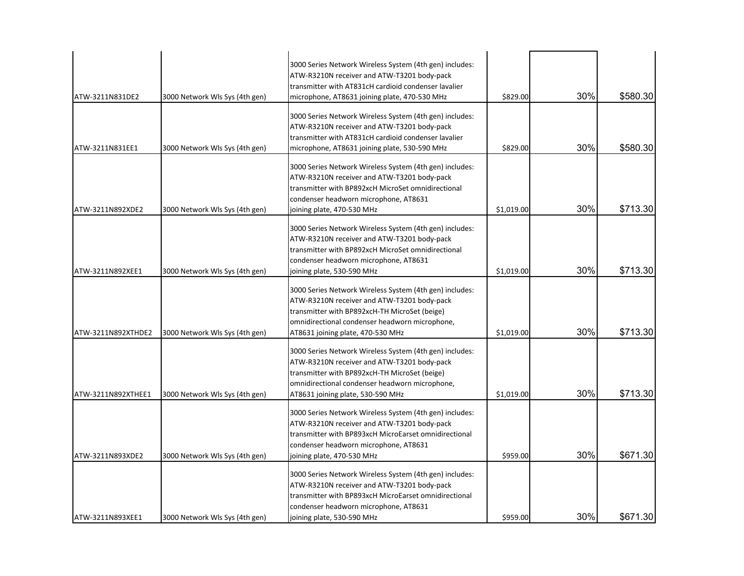| ATW-3211N831DE2    | 3000 Network Wls Sys (4th gen) | 3000 Series Network Wireless System (4th gen) includes:<br>ATW-R3210N receiver and ATW-T3201 body-pack<br>transmitter with AT831cH cardioid condenser lavalier<br>microphone, AT8631 joining plate, 470-530 MHz                                | \$829.00   | 30% | \$580.30 |
|--------------------|--------------------------------|------------------------------------------------------------------------------------------------------------------------------------------------------------------------------------------------------------------------------------------------|------------|-----|----------|
| ATW-3211N831EE1    | 3000 Network Wls Sys (4th gen) | 3000 Series Network Wireless System (4th gen) includes:<br>ATW-R3210N receiver and ATW-T3201 body-pack<br>transmitter with AT831cH cardioid condenser lavalier<br>microphone, AT8631 joining plate, 530-590 MHz                                | \$829.00   | 30% | \$580.30 |
| ATW-3211N892XDE2   | 3000 Network Wls Sys (4th gen) | 3000 Series Network Wireless System (4th gen) includes:<br>ATW-R3210N receiver and ATW-T3201 body-pack<br>transmitter with BP892xcH MicroSet omnidirectional<br>condenser headworn microphone, AT8631<br>joining plate, 470-530 MHz            | \$1,019.00 | 30% | \$713.30 |
| ATW-3211N892XEE1   | 3000 Network Wls Sys (4th gen) | 3000 Series Network Wireless System (4th gen) includes:<br>ATW-R3210N receiver and ATW-T3201 body-pack<br>transmitter with BP892xcH MicroSet omnidirectional<br>condenser headworn microphone, AT8631<br>joining plate, 530-590 MHz            | \$1,019.00 | 30% | \$713.30 |
| ATW-3211N892XTHDE2 | 3000 Network Wls Sys (4th gen) | 3000 Series Network Wireless System (4th gen) includes:<br>ATW-R3210N receiver and ATW-T3201 body-pack<br>transmitter with BP892xcH-TH MicroSet (beige)<br>omnidirectional condenser headworn microphone,<br>AT8631 joining plate, 470-530 MHz | \$1,019.00 | 30% | \$713.30 |
| ATW-3211N892XTHEE1 | 3000 Network Wls Sys (4th gen) | 3000 Series Network Wireless System (4th gen) includes:<br>ATW-R3210N receiver and ATW-T3201 body-pack<br>transmitter with BP892xcH-TH MicroSet (beige)<br>omnidirectional condenser headworn microphone,<br>AT8631 joining plate, 530-590 MHz | \$1,019.00 | 30% | \$713.30 |
| ATW-3211N893XDE2   | 3000 Network Wls Sys (4th gen) | 3000 Series Network Wireless System (4th gen) includes:<br>ATW-R3210N receiver and ATW-T3201 body-pack<br>transmitter with BP893xcH MicroEarset omnidirectional<br>condenser headworn microphone, AT8631<br>joining plate, 470-530 MHz         | \$959.00   | 30% | \$671.30 |
| ATW-3211N893XEE1   | 3000 Network WIs Sys (4th gen) | 3000 Series Network Wireless System (4th gen) includes:<br>ATW-R3210N receiver and ATW-T3201 body-pack<br>transmitter with BP893xcH MicroEarset omnidirectional<br>condenser headworn microphone, AT8631<br>joining plate, 530-590 MHz         | \$959.00   | 30% | \$671.30 |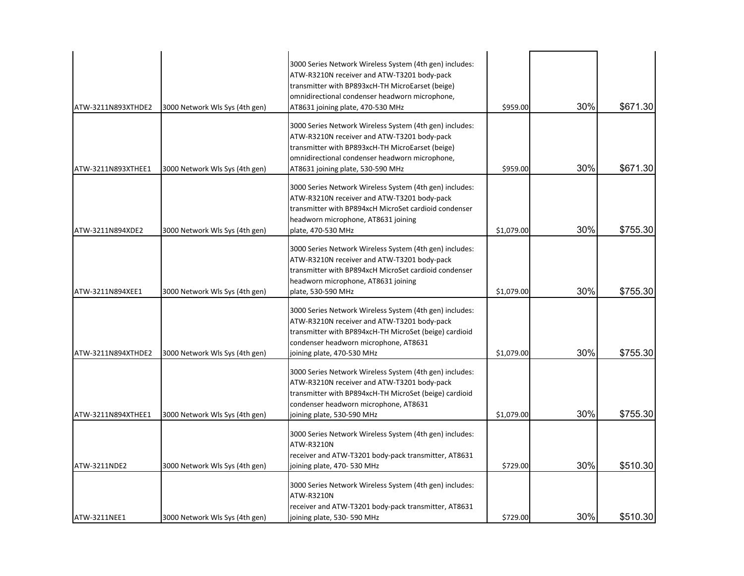| ATW-3211N893XTHDE2 | 3000 Network Wls Sys (4th gen) | 3000 Series Network Wireless System (4th gen) includes:<br>ATW-R3210N receiver and ATW-T3201 body-pack<br>transmitter with BP893xcH-TH MicroEarset (beige)<br>omnidirectional condenser headworn microphone,<br>AT8631 joining plate, 470-530 MHz | \$959.00   | 30% | \$671.30 |
|--------------------|--------------------------------|---------------------------------------------------------------------------------------------------------------------------------------------------------------------------------------------------------------------------------------------------|------------|-----|----------|
| ATW-3211N893XTHEE1 | 3000 Network Wls Sys (4th gen) | 3000 Series Network Wireless System (4th gen) includes:<br>ATW-R3210N receiver and ATW-T3201 body-pack<br>transmitter with BP893xcH-TH MicroEarset (beige)<br>omnidirectional condenser headworn microphone,<br>AT8631 joining plate, 530-590 MHz | \$959.00   | 30% | \$671.30 |
| ATW-3211N894XDE2   | 3000 Network Wls Sys (4th gen) | 3000 Series Network Wireless System (4th gen) includes:<br>ATW-R3210N receiver and ATW-T3201 body-pack<br>transmitter with BP894xcH MicroSet cardioid condenser<br>headworn microphone, AT8631 joining<br>plate, 470-530 MHz                      | \$1,079.00 | 30% | \$755.30 |
| ATW-3211N894XEE1   | 3000 Network Wls Sys (4th gen) | 3000 Series Network Wireless System (4th gen) includes:<br>ATW-R3210N receiver and ATW-T3201 body-pack<br>transmitter with BP894xcH MicroSet cardioid condenser<br>headworn microphone, AT8631 joining<br>plate, 530-590 MHz                      | \$1,079.00 | 30% | \$755.30 |
| ATW-3211N894XTHDE2 | 3000 Network Wls Sys (4th gen) | 3000 Series Network Wireless System (4th gen) includes:<br>ATW-R3210N receiver and ATW-T3201 body-pack<br>transmitter with BP894xcH-TH MicroSet (beige) cardioid<br>condenser headworn microphone, AT8631<br>joining plate, 470-530 MHz           | \$1,079.00 | 30% | \$755.30 |
| ATW-3211N894XTHEE1 | 3000 Network Wls Sys (4th gen) | 3000 Series Network Wireless System (4th gen) includes:<br>ATW-R3210N receiver and ATW-T3201 body-pack<br>transmitter with BP894xcH-TH MicroSet (beige) cardioid<br>condenser headworn microphone, AT8631<br>joining plate, 530-590 MHz           | \$1,079.00 | 30% | \$755.30 |
| ATW-3211NDE2       | 3000 Network Wls Sys (4th gen) | 3000 Series Network Wireless System (4th gen) includes:<br>ATW-R3210N<br>receiver and ATW-T3201 body-pack transmitter, AT8631<br>joining plate, 470- 530 MHz                                                                                      | \$729.00   | 30% | \$510.30 |
| ATW-3211NEE1       | 3000 Network WIs Sys (4th gen) | 3000 Series Network Wireless System (4th gen) includes:<br>ATW-R3210N<br>receiver and ATW-T3201 body-pack transmitter, AT8631<br>joining plate, 530-590 MHz                                                                                       | \$729.00   | 30% | \$510.30 |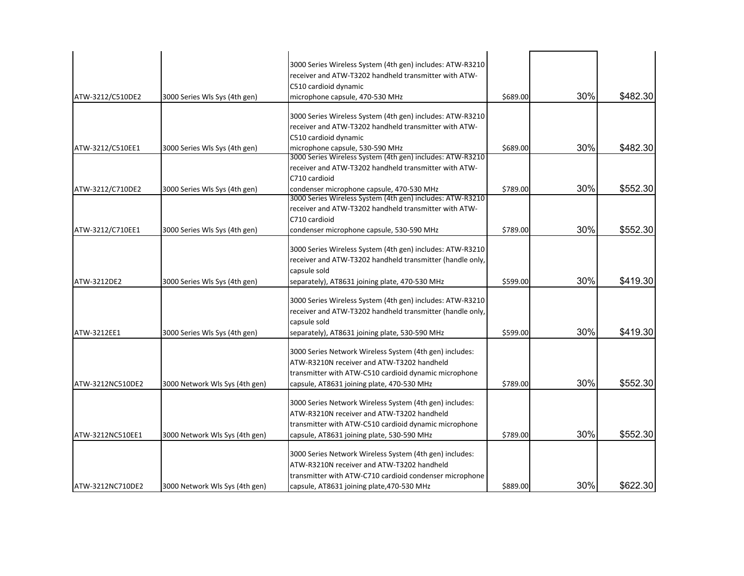| 3000 Series Wireless System (4th gen) includes: ATW-R3210<br>receiver and ATW-T3202 handheld transmitter with ATW-<br>C510 cardioid dynamic<br>30%<br>\$689.00<br>ATW-3212/C510DE2<br>3000 Series Wls Sys (4th gen)<br>microphone capsule, 470-530 MHz<br>3000 Series Wireless System (4th gen) includes: ATW-R3210<br>receiver and ATW-T3202 handheld transmitter with ATW-<br>C510 cardioid dynamic<br>30%<br>\$689.00<br>microphone capsule, 530-590 MHz<br>ATW-3212/C510EE1<br>3000 Series Wls Sys (4th gen)<br>3000 Series Wireless System (4th gen) includes: ATW-R3210<br>receiver and ATW-T3202 handheld transmitter with ATW-<br>C710 cardioid<br>30%<br>condenser microphone capsule, 470-530 MHz<br>\$789.00<br>ATW-3212/C710DE2<br>3000 Series Wls Sys (4th gen)<br>3000 Series Wireless System (4th gen) includes: ATW-R3210<br>receiver and ATW-T3202 handheld transmitter with ATW-<br>C710 cardioid<br>30%<br>\$552.30<br>ATW-3212/C710EE1<br>condenser microphone capsule, 530-590 MHz<br>\$789.00<br>3000 Series Wls Sys (4th gen)<br>3000 Series Wireless System (4th gen) includes: ATW-R3210<br>receiver and ATW-T3202 handheld transmitter (handle only,<br>capsule sold<br>30%<br>\$599.00<br>ATW-3212DE2<br>3000 Series Wls Sys (4th gen)<br>separately), AT8631 joining plate, 470-530 MHz<br>3000 Series Wireless System (4th gen) includes: ATW-R3210<br>receiver and ATW-T3202 handheld transmitter (handle only,<br>capsule sold<br>30%<br>\$419.30<br>\$599.00<br>ATW-3212EE1<br>3000 Series Wls Sys (4th gen)<br>separately), AT8631 joining plate, 530-590 MHz<br>3000 Series Network Wireless System (4th gen) includes:<br>ATW-R3210N receiver and ATW-T3202 handheld<br>transmitter with ATW-C510 cardioid dynamic microphone<br>30%<br>\$789.00<br>ATW-3212NC510DE2<br>3000 Network Wls Sys (4th gen)<br>capsule, AT8631 joining plate, 470-530 MHz<br>3000 Series Network Wireless System (4th gen) includes:<br>ATW-R3210N receiver and ATW-T3202 handheld<br>transmitter with ATW-C510 cardioid dynamic microphone<br>30%<br>\$552.30<br>\$789.00<br>ATW-3212NC510EE1<br>3000 Network Wls Sys (4th gen)<br>capsule, AT8631 joining plate, 530-590 MHz<br>3000 Series Network Wireless System (4th gen) includes: |  |                                            |  |          |
|---------------------------------------------------------------------------------------------------------------------------------------------------------------------------------------------------------------------------------------------------------------------------------------------------------------------------------------------------------------------------------------------------------------------------------------------------------------------------------------------------------------------------------------------------------------------------------------------------------------------------------------------------------------------------------------------------------------------------------------------------------------------------------------------------------------------------------------------------------------------------------------------------------------------------------------------------------------------------------------------------------------------------------------------------------------------------------------------------------------------------------------------------------------------------------------------------------------------------------------------------------------------------------------------------------------------------------------------------------------------------------------------------------------------------------------------------------------------------------------------------------------------------------------------------------------------------------------------------------------------------------------------------------------------------------------------------------------------------------------------------------------------------------------------------------------------------------------------------------------------------------------------------------------------------------------------------------------------------------------------------------------------------------------------------------------------------------------------------------------------------------------------------------------------------------------------------------------------------------------------------------|--|--------------------------------------------|--|----------|
|                                                                                                                                                                                                                                                                                                                                                                                                                                                                                                                                                                                                                                                                                                                                                                                                                                                                                                                                                                                                                                                                                                                                                                                                                                                                                                                                                                                                                                                                                                                                                                                                                                                                                                                                                                                                                                                                                                                                                                                                                                                                                                                                                                                                                                                         |  |                                            |  |          |
|                                                                                                                                                                                                                                                                                                                                                                                                                                                                                                                                                                                                                                                                                                                                                                                                                                                                                                                                                                                                                                                                                                                                                                                                                                                                                                                                                                                                                                                                                                                                                                                                                                                                                                                                                                                                                                                                                                                                                                                                                                                                                                                                                                                                                                                         |  |                                            |  |          |
|                                                                                                                                                                                                                                                                                                                                                                                                                                                                                                                                                                                                                                                                                                                                                                                                                                                                                                                                                                                                                                                                                                                                                                                                                                                                                                                                                                                                                                                                                                                                                                                                                                                                                                                                                                                                                                                                                                                                                                                                                                                                                                                                                                                                                                                         |  |                                            |  |          |
|                                                                                                                                                                                                                                                                                                                                                                                                                                                                                                                                                                                                                                                                                                                                                                                                                                                                                                                                                                                                                                                                                                                                                                                                                                                                                                                                                                                                                                                                                                                                                                                                                                                                                                                                                                                                                                                                                                                                                                                                                                                                                                                                                                                                                                                         |  |                                            |  | \$482.30 |
|                                                                                                                                                                                                                                                                                                                                                                                                                                                                                                                                                                                                                                                                                                                                                                                                                                                                                                                                                                                                                                                                                                                                                                                                                                                                                                                                                                                                                                                                                                                                                                                                                                                                                                                                                                                                                                                                                                                                                                                                                                                                                                                                                                                                                                                         |  |                                            |  |          |
|                                                                                                                                                                                                                                                                                                                                                                                                                                                                                                                                                                                                                                                                                                                                                                                                                                                                                                                                                                                                                                                                                                                                                                                                                                                                                                                                                                                                                                                                                                                                                                                                                                                                                                                                                                                                                                                                                                                                                                                                                                                                                                                                                                                                                                                         |  |                                            |  |          |
|                                                                                                                                                                                                                                                                                                                                                                                                                                                                                                                                                                                                                                                                                                                                                                                                                                                                                                                                                                                                                                                                                                                                                                                                                                                                                                                                                                                                                                                                                                                                                                                                                                                                                                                                                                                                                                                                                                                                                                                                                                                                                                                                                                                                                                                         |  |                                            |  |          |
|                                                                                                                                                                                                                                                                                                                                                                                                                                                                                                                                                                                                                                                                                                                                                                                                                                                                                                                                                                                                                                                                                                                                                                                                                                                                                                                                                                                                                                                                                                                                                                                                                                                                                                                                                                                                                                                                                                                                                                                                                                                                                                                                                                                                                                                         |  |                                            |  | \$482.30 |
|                                                                                                                                                                                                                                                                                                                                                                                                                                                                                                                                                                                                                                                                                                                                                                                                                                                                                                                                                                                                                                                                                                                                                                                                                                                                                                                                                                                                                                                                                                                                                                                                                                                                                                                                                                                                                                                                                                                                                                                                                                                                                                                                                                                                                                                         |  |                                            |  |          |
|                                                                                                                                                                                                                                                                                                                                                                                                                                                                                                                                                                                                                                                                                                                                                                                                                                                                                                                                                                                                                                                                                                                                                                                                                                                                                                                                                                                                                                                                                                                                                                                                                                                                                                                                                                                                                                                                                                                                                                                                                                                                                                                                                                                                                                                         |  |                                            |  |          |
|                                                                                                                                                                                                                                                                                                                                                                                                                                                                                                                                                                                                                                                                                                                                                                                                                                                                                                                                                                                                                                                                                                                                                                                                                                                                                                                                                                                                                                                                                                                                                                                                                                                                                                                                                                                                                                                                                                                                                                                                                                                                                                                                                                                                                                                         |  |                                            |  |          |
|                                                                                                                                                                                                                                                                                                                                                                                                                                                                                                                                                                                                                                                                                                                                                                                                                                                                                                                                                                                                                                                                                                                                                                                                                                                                                                                                                                                                                                                                                                                                                                                                                                                                                                                                                                                                                                                                                                                                                                                                                                                                                                                                                                                                                                                         |  |                                            |  | \$552.30 |
|                                                                                                                                                                                                                                                                                                                                                                                                                                                                                                                                                                                                                                                                                                                                                                                                                                                                                                                                                                                                                                                                                                                                                                                                                                                                                                                                                                                                                                                                                                                                                                                                                                                                                                                                                                                                                                                                                                                                                                                                                                                                                                                                                                                                                                                         |  |                                            |  |          |
|                                                                                                                                                                                                                                                                                                                                                                                                                                                                                                                                                                                                                                                                                                                                                                                                                                                                                                                                                                                                                                                                                                                                                                                                                                                                                                                                                                                                                                                                                                                                                                                                                                                                                                                                                                                                                                                                                                                                                                                                                                                                                                                                                                                                                                                         |  |                                            |  |          |
|                                                                                                                                                                                                                                                                                                                                                                                                                                                                                                                                                                                                                                                                                                                                                                                                                                                                                                                                                                                                                                                                                                                                                                                                                                                                                                                                                                                                                                                                                                                                                                                                                                                                                                                                                                                                                                                                                                                                                                                                                                                                                                                                                                                                                                                         |  |                                            |  |          |
|                                                                                                                                                                                                                                                                                                                                                                                                                                                                                                                                                                                                                                                                                                                                                                                                                                                                                                                                                                                                                                                                                                                                                                                                                                                                                                                                                                                                                                                                                                                                                                                                                                                                                                                                                                                                                                                                                                                                                                                                                                                                                                                                                                                                                                                         |  |                                            |  |          |
|                                                                                                                                                                                                                                                                                                                                                                                                                                                                                                                                                                                                                                                                                                                                                                                                                                                                                                                                                                                                                                                                                                                                                                                                                                                                                                                                                                                                                                                                                                                                                                                                                                                                                                                                                                                                                                                                                                                                                                                                                                                                                                                                                                                                                                                         |  |                                            |  |          |
|                                                                                                                                                                                                                                                                                                                                                                                                                                                                                                                                                                                                                                                                                                                                                                                                                                                                                                                                                                                                                                                                                                                                                                                                                                                                                                                                                                                                                                                                                                                                                                                                                                                                                                                                                                                                                                                                                                                                                                                                                                                                                                                                                                                                                                                         |  |                                            |  |          |
|                                                                                                                                                                                                                                                                                                                                                                                                                                                                                                                                                                                                                                                                                                                                                                                                                                                                                                                                                                                                                                                                                                                                                                                                                                                                                                                                                                                                                                                                                                                                                                                                                                                                                                                                                                                                                                                                                                                                                                                                                                                                                                                                                                                                                                                         |  |                                            |  |          |
|                                                                                                                                                                                                                                                                                                                                                                                                                                                                                                                                                                                                                                                                                                                                                                                                                                                                                                                                                                                                                                                                                                                                                                                                                                                                                                                                                                                                                                                                                                                                                                                                                                                                                                                                                                                                                                                                                                                                                                                                                                                                                                                                                                                                                                                         |  |                                            |  | \$419.30 |
|                                                                                                                                                                                                                                                                                                                                                                                                                                                                                                                                                                                                                                                                                                                                                                                                                                                                                                                                                                                                                                                                                                                                                                                                                                                                                                                                                                                                                                                                                                                                                                                                                                                                                                                                                                                                                                                                                                                                                                                                                                                                                                                                                                                                                                                         |  |                                            |  |          |
|                                                                                                                                                                                                                                                                                                                                                                                                                                                                                                                                                                                                                                                                                                                                                                                                                                                                                                                                                                                                                                                                                                                                                                                                                                                                                                                                                                                                                                                                                                                                                                                                                                                                                                                                                                                                                                                                                                                                                                                                                                                                                                                                                                                                                                                         |  |                                            |  |          |
|                                                                                                                                                                                                                                                                                                                                                                                                                                                                                                                                                                                                                                                                                                                                                                                                                                                                                                                                                                                                                                                                                                                                                                                                                                                                                                                                                                                                                                                                                                                                                                                                                                                                                                                                                                                                                                                                                                                                                                                                                                                                                                                                                                                                                                                         |  |                                            |  |          |
|                                                                                                                                                                                                                                                                                                                                                                                                                                                                                                                                                                                                                                                                                                                                                                                                                                                                                                                                                                                                                                                                                                                                                                                                                                                                                                                                                                                                                                                                                                                                                                                                                                                                                                                                                                                                                                                                                                                                                                                                                                                                                                                                                                                                                                                         |  |                                            |  |          |
|                                                                                                                                                                                                                                                                                                                                                                                                                                                                                                                                                                                                                                                                                                                                                                                                                                                                                                                                                                                                                                                                                                                                                                                                                                                                                                                                                                                                                                                                                                                                                                                                                                                                                                                                                                                                                                                                                                                                                                                                                                                                                                                                                                                                                                                         |  |                                            |  |          |
|                                                                                                                                                                                                                                                                                                                                                                                                                                                                                                                                                                                                                                                                                                                                                                                                                                                                                                                                                                                                                                                                                                                                                                                                                                                                                                                                                                                                                                                                                                                                                                                                                                                                                                                                                                                                                                                                                                                                                                                                                                                                                                                                                                                                                                                         |  |                                            |  |          |
|                                                                                                                                                                                                                                                                                                                                                                                                                                                                                                                                                                                                                                                                                                                                                                                                                                                                                                                                                                                                                                                                                                                                                                                                                                                                                                                                                                                                                                                                                                                                                                                                                                                                                                                                                                                                                                                                                                                                                                                                                                                                                                                                                                                                                                                         |  |                                            |  |          |
|                                                                                                                                                                                                                                                                                                                                                                                                                                                                                                                                                                                                                                                                                                                                                                                                                                                                                                                                                                                                                                                                                                                                                                                                                                                                                                                                                                                                                                                                                                                                                                                                                                                                                                                                                                                                                                                                                                                                                                                                                                                                                                                                                                                                                                                         |  |                                            |  |          |
|                                                                                                                                                                                                                                                                                                                                                                                                                                                                                                                                                                                                                                                                                                                                                                                                                                                                                                                                                                                                                                                                                                                                                                                                                                                                                                                                                                                                                                                                                                                                                                                                                                                                                                                                                                                                                                                                                                                                                                                                                                                                                                                                                                                                                                                         |  |                                            |  | \$552.30 |
|                                                                                                                                                                                                                                                                                                                                                                                                                                                                                                                                                                                                                                                                                                                                                                                                                                                                                                                                                                                                                                                                                                                                                                                                                                                                                                                                                                                                                                                                                                                                                                                                                                                                                                                                                                                                                                                                                                                                                                                                                                                                                                                                                                                                                                                         |  |                                            |  |          |
|                                                                                                                                                                                                                                                                                                                                                                                                                                                                                                                                                                                                                                                                                                                                                                                                                                                                                                                                                                                                                                                                                                                                                                                                                                                                                                                                                                                                                                                                                                                                                                                                                                                                                                                                                                                                                                                                                                                                                                                                                                                                                                                                                                                                                                                         |  |                                            |  |          |
|                                                                                                                                                                                                                                                                                                                                                                                                                                                                                                                                                                                                                                                                                                                                                                                                                                                                                                                                                                                                                                                                                                                                                                                                                                                                                                                                                                                                                                                                                                                                                                                                                                                                                                                                                                                                                                                                                                                                                                                                                                                                                                                                                                                                                                                         |  |                                            |  |          |
|                                                                                                                                                                                                                                                                                                                                                                                                                                                                                                                                                                                                                                                                                                                                                                                                                                                                                                                                                                                                                                                                                                                                                                                                                                                                                                                                                                                                                                                                                                                                                                                                                                                                                                                                                                                                                                                                                                                                                                                                                                                                                                                                                                                                                                                         |  |                                            |  |          |
|                                                                                                                                                                                                                                                                                                                                                                                                                                                                                                                                                                                                                                                                                                                                                                                                                                                                                                                                                                                                                                                                                                                                                                                                                                                                                                                                                                                                                                                                                                                                                                                                                                                                                                                                                                                                                                                                                                                                                                                                                                                                                                                                                                                                                                                         |  |                                            |  |          |
|                                                                                                                                                                                                                                                                                                                                                                                                                                                                                                                                                                                                                                                                                                                                                                                                                                                                                                                                                                                                                                                                                                                                                                                                                                                                                                                                                                                                                                                                                                                                                                                                                                                                                                                                                                                                                                                                                                                                                                                                                                                                                                                                                                                                                                                         |  |                                            |  |          |
|                                                                                                                                                                                                                                                                                                                                                                                                                                                                                                                                                                                                                                                                                                                                                                                                                                                                                                                                                                                                                                                                                                                                                                                                                                                                                                                                                                                                                                                                                                                                                                                                                                                                                                                                                                                                                                                                                                                                                                                                                                                                                                                                                                                                                                                         |  | ATW-R3210N receiver and ATW-T3202 handheld |  |          |
| transmitter with ATW-C710 cardioid condenser microphone                                                                                                                                                                                                                                                                                                                                                                                                                                                                                                                                                                                                                                                                                                                                                                                                                                                                                                                                                                                                                                                                                                                                                                                                                                                                                                                                                                                                                                                                                                                                                                                                                                                                                                                                                                                                                                                                                                                                                                                                                                                                                                                                                                                                 |  |                                            |  |          |
| 30%<br>\$889.00<br>ATW-3212NC710DE2<br>3000 Network Wls Sys (4th gen)<br>capsule, AT8631 joining plate, 470-530 MHz                                                                                                                                                                                                                                                                                                                                                                                                                                                                                                                                                                                                                                                                                                                                                                                                                                                                                                                                                                                                                                                                                                                                                                                                                                                                                                                                                                                                                                                                                                                                                                                                                                                                                                                                                                                                                                                                                                                                                                                                                                                                                                                                     |  |                                            |  | \$622.30 |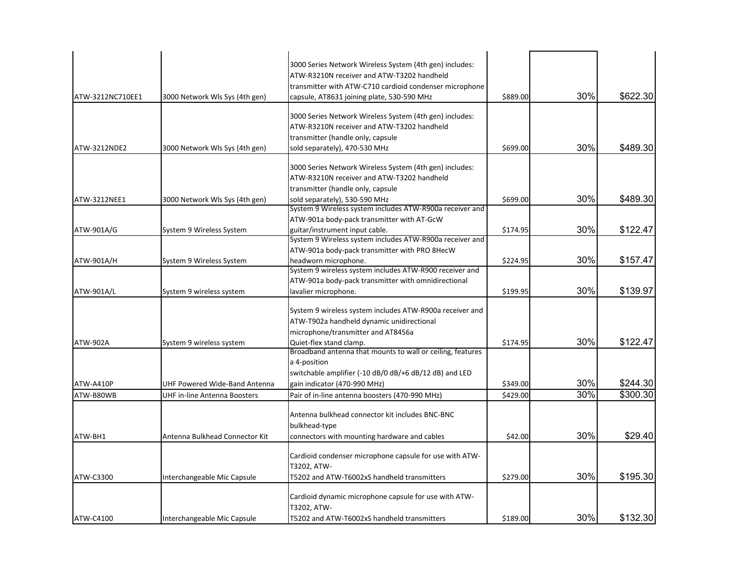| ATW-3212NC710EE1 | 3000 Network Wls Sys (4th gen) | 3000 Series Network Wireless System (4th gen) includes:<br>ATW-R3210N receiver and ATW-T3202 handheld<br>transmitter with ATW-C710 cardioid condenser microphone<br>capsule, AT8631 joining plate, 530-590 MHz | \$889.00 | 30% | \$622.30 |
|------------------|--------------------------------|----------------------------------------------------------------------------------------------------------------------------------------------------------------------------------------------------------------|----------|-----|----------|
| ATW-3212NDE2     | 3000 Network Wls Sys (4th gen) | 3000 Series Network Wireless System (4th gen) includes:<br>ATW-R3210N receiver and ATW-T3202 handheld<br>transmitter (handle only, capsule<br>sold separately), 470-530 MHz                                    | \$699.00 | 30% | \$489.30 |
| ATW-3212NEE1     | 3000 Network Wls Sys (4th gen) | 3000 Series Network Wireless System (4th gen) includes:<br>ATW-R3210N receiver and ATW-T3202 handheld<br>transmitter (handle only, capsule<br>sold separately), 530-590 MHz                                    | \$699.00 | 30% | \$489.30 |
| ATW-901A/G       | System 9 Wireless System       | System 9 Wireless system includes ATW-R900a receiver and<br>ATW-901a body-pack transmitter with AT-GcW<br>guitar/instrument input cable.<br>System 9 Wireless system includes ATW-R900a receiver and           | \$174.95 | 30% | \$122.47 |
| ATW-901A/H       | System 9 Wireless System       | ATW-901a body-pack transmitter with PRO 8HecW<br>headworn microphone.<br>System 9 wireless system includes ATW-R900 receiver and                                                                               | \$224.95 | 30% | \$157.47 |
| ATW-901A/L       | System 9 wireless system       | ATW-901a body-pack transmitter with omnidirectional<br>lavalier microphone.                                                                                                                                    | \$199.95 | 30% | \$139.97 |
| <b>ATW-902A</b>  | System 9 wireless system       | System 9 wireless system includes ATW-R900a receiver and<br>ATW-T902a handheld dynamic unidirectional<br>microphone/transmitter and AT8456a<br>Quiet-flex stand clamp.                                         | \$174.95 | 30% | \$122.47 |
| ATW-A410P        | UHF Powered Wide-Band Antenna  | Broadband antenna that mounts to wall or ceiling, features<br>a 4-position<br>switchable amplifier (-10 dB/0 dB/+6 dB/12 dB) and LED<br>gain indicator (470-990 MHz)                                           | \$349.00 | 30% | \$244.30 |
| ATW-B80WB        | UHF in-line Antenna Boosters   | Pair of in-line antenna boosters (470-990 MHz)                                                                                                                                                                 | \$429.00 | 30% | \$300.30 |
| ATW-BH1          | Antenna Bulkhead Connector Kit | Antenna bulkhead connector kit includes BNC-BNC<br>bulkhead-type<br>connectors with mounting hardware and cables                                                                                               | \$42.00  | 30% | \$29.40  |
|                  |                                | Cardioid condenser microphone capsule for use with ATW-<br>T3202, ATW-                                                                                                                                         |          | 30% | \$195.30 |
| ATW-C3300        | Interchangeable Mic Capsule    | T5202 and ATW-T6002xS handheld transmitters<br>Cardioid dynamic microphone capsule for use with ATW-                                                                                                           | \$279.00 |     |          |
| ATW-C4100        | Interchangeable Mic Capsule    | T3202, ATW-<br>T5202 and ATW-T6002xS handheld transmitters                                                                                                                                                     | \$189.00 | 30% | \$132.30 |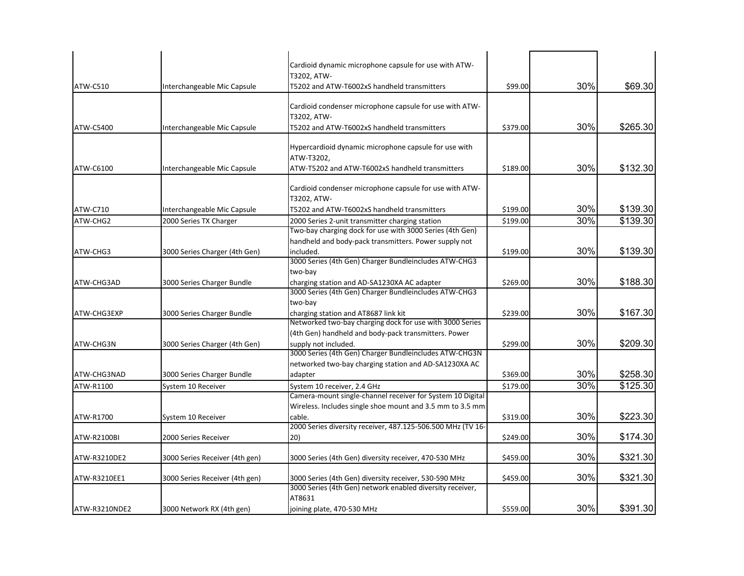|               |                                | Cardioid dynamic microphone capsule for use with ATW-<br>T3202, ATW-                                                   |          |     |          |
|---------------|--------------------------------|------------------------------------------------------------------------------------------------------------------------|----------|-----|----------|
| ATW-C510      | Interchangeable Mic Capsule    | T5202 and ATW-T6002xS handheld transmitters                                                                            | \$99.00  | 30% | \$69.30  |
|               |                                | Cardioid condenser microphone capsule for use with ATW-<br>T3202, ATW-                                                 |          |     |          |
| ATW-C5400     | Interchangeable Mic Capsule    | T5202 and ATW-T6002xS handheld transmitters                                                                            | \$379.00 | 30% | \$265.30 |
| ATW-C6100     | Interchangeable Mic Capsule    | Hypercardioid dynamic microphone capsule for use with<br>ATW-T3202,<br>ATW-T5202 and ATW-T6002xS handheld transmitters | \$189.00 | 30% | \$132.30 |
|               |                                |                                                                                                                        |          |     |          |
|               |                                | Cardioid condenser microphone capsule for use with ATW-<br>T3202, ATW-                                                 |          |     |          |
| ATW-C710      | Interchangeable Mic Capsule    | T5202 and ATW-T6002xS handheld transmitters                                                                            | \$199.00 | 30% | \$139.30 |
| ATW-CHG2      | 2000 Series TX Charger         | 2000 Series 2-unit transmitter charging station                                                                        | \$199.00 | 30% | \$139.30 |
|               |                                | Two-bay charging dock for use with 3000 Series (4th Gen)<br>handheld and body-pack transmitters. Power supply not      |          |     |          |
| ATW-CHG3      | 3000 Series Charger (4th Gen)  | included.<br>3000 Series (4th Gen) Charger Bundleincludes ATW-CHG3                                                     | \$199.00 | 30% | \$139.30 |
|               |                                | two-bay                                                                                                                |          |     |          |
| ATW-CHG3AD    | 3000 Series Charger Bundle     | charging station and AD-SA1230XA AC adapter<br>3000 Series (4th Gen) Charger Bundleincludes ATW-CHG3                   | \$269.00 | 30% | \$188.30 |
|               |                                | two-bay                                                                                                                |          |     |          |
| ATW-CHG3EXP   | 3000 Series Charger Bundle     | charging station and AT8687 link kit<br>Networked two-bay charging dock for use with 3000 Series                       | \$239.00 | 30% | \$167.30 |
| ATW-CHG3N     | 3000 Series Charger (4th Gen)  | (4th Gen) handheld and body-pack transmitters. Power<br>supply not included.                                           | \$299.00 | 30% | \$209.30 |
|               |                                | 3000 Series (4th Gen) Charger Bundleincludes ATW-CHG3N<br>networked two-bay charging station and AD-SA1230XA AC        |          |     |          |
| ATW-CHG3NAD   | 3000 Series Charger Bundle     | adapter                                                                                                                | \$369.00 | 30% | \$258.30 |
| ATW-R1100     | System 10 Receiver             | System 10 receiver, 2.4 GHz                                                                                            | \$179.00 | 30% | \$125.30 |
|               |                                | Camera-mount single-channel receiver for System 10 Digital                                                             |          |     |          |
| ATW-R1700     | System 10 Receiver             | Wireless. Includes single shoe mount and 3.5 mm to 3.5 mm<br>cable.                                                    | \$319.00 | 30% | \$223.30 |
| ATW-R2100BI   | 2000 Series Receiver           | 2000 Series diversity receiver, 487.125-506.500 MHz (TV 16-<br>20)                                                     | \$249.00 | 30% | \$174.30 |
|               |                                |                                                                                                                        |          |     |          |
| ATW-R3210DE2  | 3000 Series Receiver (4th gen) | 3000 Series (4th Gen) diversity receiver, 470-530 MHz                                                                  | \$459.00 | 30% | \$321.30 |
| ATW-R3210EE1  | 3000 Series Receiver (4th gen) | 3000 Series (4th Gen) diversity receiver, 530-590 MHz<br>3000 Series (4th Gen) network enabled diversity receiver,     | \$459.00 | 30% | \$321.30 |
| ATW-R3210NDE2 | 3000 Network RX (4th gen)      | AT8631<br>joining plate, 470-530 MHz                                                                                   | \$559.00 | 30% | \$391.30 |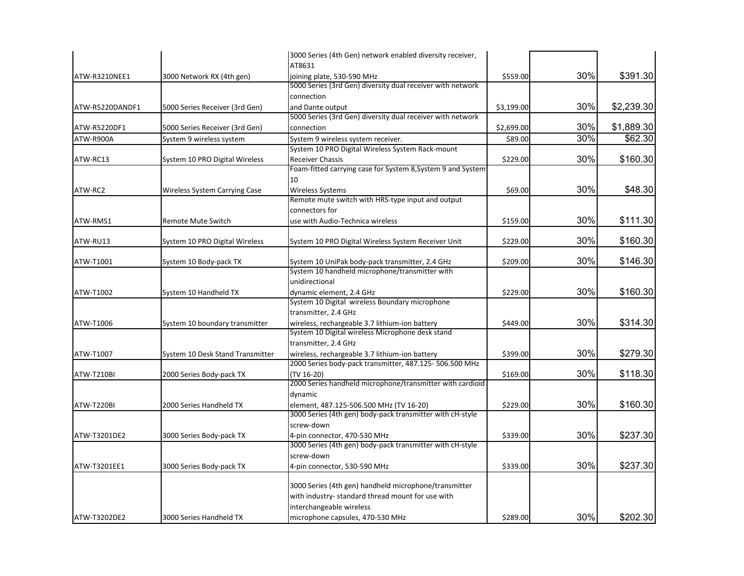|                 |                                  | 3000 Series (4th Gen) network enabled diversity receiver,                                                 |            |     |            |
|-----------------|----------------------------------|-----------------------------------------------------------------------------------------------------------|------------|-----|------------|
|                 |                                  | AT8631                                                                                                    |            |     |            |
| ATW-R3210NEE1   | 3000 Network RX (4th gen)        | joining plate, 530-590 MHz                                                                                | \$559.00   | 30% | \$391.30   |
|                 |                                  | 5000 Series (3rd Gen) diversity dual receiver with network                                                |            |     |            |
|                 |                                  | connection                                                                                                |            |     |            |
| ATW-R5220DANDF1 | 5000 Series Receiver (3rd Gen)   | and Dante output                                                                                          | \$3,199.00 | 30% | \$2,239.30 |
|                 |                                  | 5000 Series (3rd Gen) diversity dual receiver with network                                                |            |     |            |
| ATW-R5220DF1    | 5000 Series Receiver (3rd Gen)   | connection                                                                                                | \$2,699.00 | 30% | \$1,889.30 |
| ATW-R900A       | System 9 wireless system         | System 9 wireless system receiver.                                                                        | \$89.00    | 30% | \$62.30    |
|                 |                                  | System 10 PRO Digital Wireless System Rack-mount                                                          |            |     |            |
| ATW-RC13        | System 10 PRO Digital Wireless   | <b>Receiver Chassis</b>                                                                                   | \$229.00   | 30% | \$160.30   |
|                 |                                  | Foam-fitted carrying case for System 8, System 9 and System                                               |            |     |            |
|                 |                                  | 10                                                                                                        |            |     |            |
| ATW-RC2         | Wireless System Carrying Case    | Wireless Systems                                                                                          | \$69.00    | 30% | \$48.30    |
|                 |                                  | Remote mute switch with HRS-type input and output                                                         |            |     |            |
|                 |                                  | connectors for                                                                                            |            |     |            |
| ATW-RMS1        | Remote Mute Switch               | use with Audio-Technica wireless                                                                          | \$159.00   | 30% | \$111.30   |
|                 |                                  |                                                                                                           |            |     |            |
| ATW-RU13        | System 10 PRO Digital Wireless   | System 10 PRO Digital Wireless System Receiver Unit                                                       | \$229.00   | 30% | \$160.30   |
|                 |                                  |                                                                                                           |            |     |            |
| ATW-T1001       | System 10 Body-pack TX           | System 10 UniPak body-pack transmitter, 2.4 GHz                                                           | \$209.00   | 30% | \$146.30   |
|                 |                                  | System 10 handheld microphone/transmitter with                                                            |            |     |            |
|                 |                                  | unidirectional                                                                                            |            |     |            |
| ATW-T1002       | System 10 Handheld TX            | dynamic element, 2.4 GHz                                                                                  | \$229.00   | 30% | \$160.30   |
|                 |                                  | System 10 Digital wireless Boundary microphone                                                            |            |     |            |
|                 |                                  | transmitter, 2.4 GHz                                                                                      |            | 30% |            |
| ATW-T1006       | System 10 boundary transmitter   | wireless, rechargeable 3.7 lithium-ion battery<br>System 10 Digital wireless Microphone desk stand        | \$449.00   |     | \$314.30   |
|                 |                                  |                                                                                                           |            |     |            |
|                 |                                  | transmitter, 2.4 GHz                                                                                      |            | 30% | \$279.30   |
| ATW-T1007       | System 10 Desk Stand Transmitter | wireless, rechargeable 3.7 lithium-ion battery<br>2000 Series body-pack transmitter, 487.125- 506.500 MHz | \$399.00   |     |            |
| ATW-T210BI      |                                  | (TV 16-20)                                                                                                | \$169.00   | 30% | \$118.30   |
|                 | 2000 Series Body-pack TX         | 2000 Series handheld microphone/transmitter with cardioid                                                 |            |     |            |
|                 |                                  | dynamic                                                                                                   |            |     |            |
| ATW-T220BI      | 2000 Series Handheld TX          | element, 487.125-506.500 MHz (TV 16-20)                                                                   | \$229.00   | 30% | \$160.30   |
|                 |                                  | 3000 Series (4th gen) body-pack transmitter with cH-style                                                 |            |     |            |
|                 |                                  | screw-down                                                                                                |            |     |            |
| ATW-T3201DE2    | 3000 Series Body-pack TX         | 4-pin connector, 470-530 MHz                                                                              | \$339.00   | 30% | \$237.30   |
|                 |                                  | 3000 Series (4th gen) body-pack transmitter with cH-style                                                 |            |     |            |
|                 |                                  | screw-down                                                                                                |            |     |            |
| ATW-T3201EE1    | 3000 Series Body-pack TX         | 4-pin connector, 530-590 MHz                                                                              | \$339.00   | 30% | \$237.30   |
|                 |                                  |                                                                                                           |            |     |            |
|                 |                                  | 3000 Series (4th gen) handheld microphone/transmitter                                                     |            |     |            |
|                 |                                  | with industry-standard thread mount for use with                                                          |            |     |            |
|                 |                                  | interchangeable wireless                                                                                  |            |     |            |
| ATW-T3202DE2    | 3000 Series Handheld TX          | microphone capsules, 470-530 MHz                                                                          | \$289.00   | 30% | \$202.30   |
|                 |                                  |                                                                                                           |            |     |            |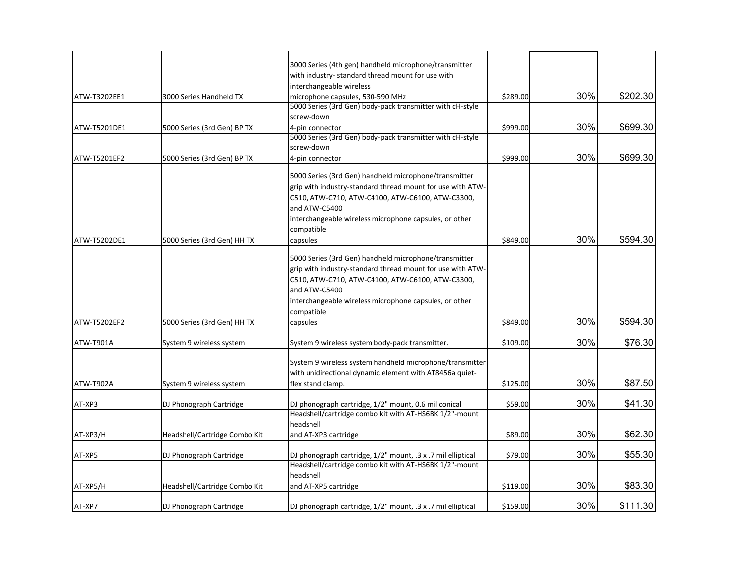|              |                               | 3000 Series (4th gen) handheld microphone/transmitter<br>with industry- standard thread mount for use with<br>interchangeable wireless                                                                                                                                       |          |     |          |
|--------------|-------------------------------|------------------------------------------------------------------------------------------------------------------------------------------------------------------------------------------------------------------------------------------------------------------------------|----------|-----|----------|
| ATW-T3202EE1 | 3000 Series Handheld TX       | microphone capsules, 530-590 MHz                                                                                                                                                                                                                                             | \$289.00 | 30% | \$202.30 |
|              |                               | 5000 Series (3rd Gen) body-pack transmitter with cH-style                                                                                                                                                                                                                    |          |     |          |
|              |                               | screw-down                                                                                                                                                                                                                                                                   |          |     |          |
| ATW-T5201DE1 | 5000 Series (3rd Gen) BP TX   | 4-pin connector                                                                                                                                                                                                                                                              | \$999.00 | 30% | \$699.30 |
|              |                               | 5000 Series (3rd Gen) body-pack transmitter with cH-style                                                                                                                                                                                                                    |          |     |          |
|              |                               | screw-down                                                                                                                                                                                                                                                                   |          | 30% | \$699.30 |
| ATW-T5201EF2 | 5000 Series (3rd Gen) BP TX   | 4-pin connector                                                                                                                                                                                                                                                              | \$999.00 |     |          |
|              |                               | 5000 Series (3rd Gen) handheld microphone/transmitter<br>grip with industry-standard thread mount for use with ATW-<br>C510, ATW-C710, ATW-C4100, ATW-C6100, ATW-C3300,<br>and ATW-C5400<br>interchangeable wireless microphone capsules, or other<br>compatible             |          |     |          |
| ATW-T5202DE1 | 5000 Series (3rd Gen) HH TX   | capsules                                                                                                                                                                                                                                                                     | \$849.00 | 30% | \$594.30 |
| ATW-T5202EF2 | 5000 Series (3rd Gen) HH TX   | 5000 Series (3rd Gen) handheld microphone/transmitter<br>grip with industry-standard thread mount for use with ATW-<br>C510, ATW-C710, ATW-C4100, ATW-C6100, ATW-C3300,<br>and ATW-C5400<br>interchangeable wireless microphone capsules, or other<br>compatible<br>capsules | \$849.00 | 30% | \$594.30 |
| ATW-T901A    | System 9 wireless system      | System 9 wireless system body-pack transmitter.                                                                                                                                                                                                                              | \$109.00 | 30% | \$76.30  |
| ATW-T902A    | System 9 wireless system      | System 9 wireless system handheld microphone/transmitter<br>with unidirectional dynamic element with AT8456a quiet-<br>flex stand clamp.                                                                                                                                     | \$125.00 | 30% | \$87.50  |
| AT-XP3       | DJ Phonograph Cartridge       | DJ phonograph cartridge, 1/2" mount, 0.6 mil conical                                                                                                                                                                                                                         | \$59.00  | 30% | \$41.30  |
| AT-XP3/H     | Headshell/Cartridge Combo Kit | Headshell/cartridge combo kit with AT-HS6BK 1/2"-mount<br>headshell<br>and AT-XP3 cartridge                                                                                                                                                                                  | \$89.00  | 30% | \$62.30  |
| AT-XP5       | DJ Phonograph Cartridge       | DJ phonograph cartridge, 1/2" mount, .3 x .7 mil elliptical<br>Headshell/cartridge combo kit with AT-HS6BK 1/2"-mount                                                                                                                                                        | \$79.00  | 30% | \$55.30  |
| AT-XP5/H     | Headshell/Cartridge Combo Kit | headshell<br>and AT-XP5 cartridge                                                                                                                                                                                                                                            | \$119.00 | 30% | \$83.30  |
| AT-XP7       | DJ Phonograph Cartridge       | DJ phonograph cartridge, 1/2" mount, .3 x .7 mil elliptical                                                                                                                                                                                                                  | \$159.00 | 30% | \$111.30 |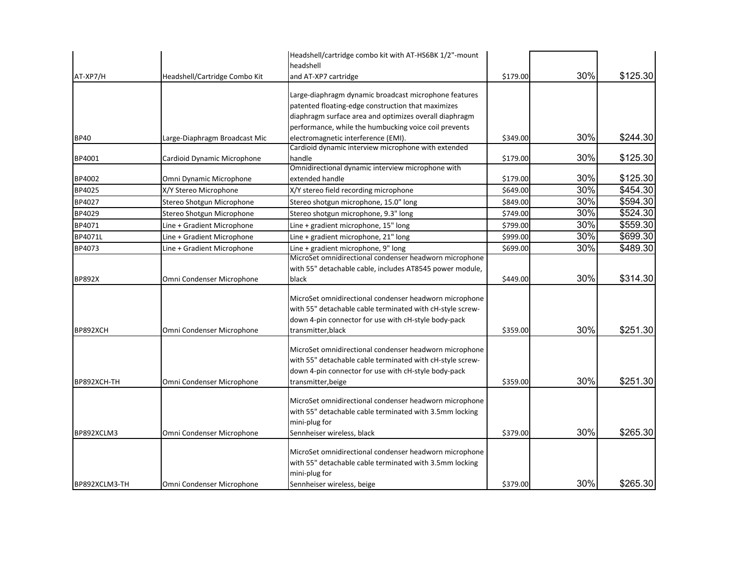|               |                               | Headshell/cartridge combo kit with AT-HS6BK 1/2"-mount    |          |     |          |
|---------------|-------------------------------|-----------------------------------------------------------|----------|-----|----------|
|               |                               | headshell                                                 |          |     |          |
| AT-XP7/H      | Headshell/Cartridge Combo Kit | and AT-XP7 cartridge                                      | \$179.00 | 30% | \$125.30 |
|               |                               | Large-diaphragm dynamic broadcast microphone features     |          |     |          |
|               |                               | patented floating-edge construction that maximizes        |          |     |          |
|               |                               | diaphragm surface area and optimizes overall diaphragm    |          |     |          |
|               |                               | performance, while the humbucking voice coil prevents     |          |     |          |
| <b>BP40</b>   | Large-Diaphragm Broadcast Mic | electromagnetic interference (EMI).                       | \$349.00 | 30% | \$244.30 |
|               |                               | Cardioid dynamic interview microphone with extended       |          |     |          |
| BP4001        | Cardioid Dynamic Microphone   | handle                                                    | \$179.00 | 30% | \$125.30 |
|               |                               | Omnidirectional dynamic interview microphone with         |          |     |          |
| BP4002        | Omni Dynamic Microphone       | extended handle                                           | \$179.00 | 30% | \$125.30 |
| BP4025        | X/Y Stereo Microphone         | X/Y stereo field recording microphone                     | \$649.00 | 30% | \$454.30 |
| BP4027        | Stereo Shotgun Microphone     | Stereo shotgun microphone, 15.0" long                     | \$849.00 | 30% | \$594.30 |
| BP4029        | Stereo Shotgun Microphone     | Stereo shotgun microphone, 9.3" long                      | \$749.00 | 30% | \$524.30 |
| BP4071        | Line + Gradient Microphone    | Line + gradient microphone, 15" long                      | \$799.00 | 30% | \$559.30 |
| BP4071L       | Line + Gradient Microphone    | Line + gradient microphone, 21" long                      | \$999.00 | 30% | \$699.30 |
| BP4073        | Line + Gradient Microphone    | Line + gradient microphone, 9" long                       | \$699.00 | 30% | \$489.30 |
|               |                               | MicroSet omnidirectional condenser headworn microphone    |          |     |          |
|               |                               | with 55" detachable cable, includes AT8545 power module,  |          |     |          |
| <b>BP892X</b> | Omni Condenser Microphone     | black                                                     | \$449.00 | 30% | \$314.30 |
|               |                               | MicroSet omnidirectional condenser headworn microphone    |          |     |          |
|               |                               | with 55" detachable cable terminated with cH-style screw- |          |     |          |
|               |                               | down 4-pin connector for use with cH-style body-pack      |          |     |          |
| BP892XCH      | Omni Condenser Microphone     | transmitter, black                                        | \$359.00 | 30% | \$251.30 |
|               |                               |                                                           |          |     |          |
|               |                               | MicroSet omnidirectional condenser headworn microphone    |          |     |          |
|               |                               | with 55" detachable cable terminated with cH-style screw- |          |     |          |
|               |                               | down 4-pin connector for use with cH-style body-pack      |          |     |          |
| BP892XCH-TH   | Omni Condenser Microphone     | transmitter, beige                                        | \$359.00 | 30% | \$251.30 |
|               |                               | MicroSet omnidirectional condenser headworn microphone    |          |     |          |
|               |                               | with 55" detachable cable terminated with 3.5mm locking   |          |     |          |
|               |                               | mini-plug for                                             |          |     |          |
| BP892XCLM3    | Omni Condenser Microphone     | Sennheiser wireless, black                                | \$379.00 | 30% | \$265.30 |
|               |                               | MicroSet omnidirectional condenser headworn microphone    |          |     |          |
|               |                               | with 55" detachable cable terminated with 3.5mm locking   |          |     |          |
|               |                               | mini-plug for                                             |          |     |          |
| BP892XCLM3-TH | Omni Condenser Microphone     | Sennheiser wireless, beige                                | \$379.00 | 30% | \$265.30 |
|               |                               |                                                           |          |     |          |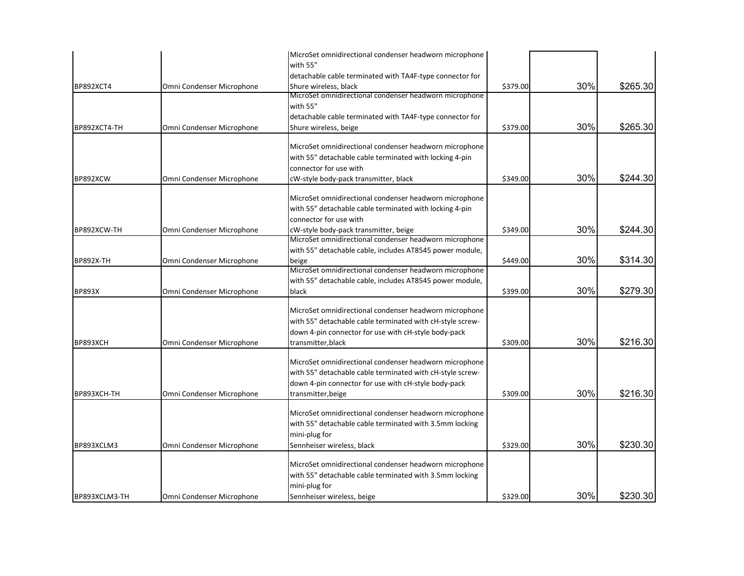|                  |                           | MicroSet omnidirectional condenser headworn microphone    |          |     |          |
|------------------|---------------------------|-----------------------------------------------------------|----------|-----|----------|
|                  |                           | with 55"                                                  |          |     |          |
|                  |                           | detachable cable terminated with TA4F-type connector for  |          |     |          |
| <b>BP892XCT4</b> | Omni Condenser Microphone | Shure wireless, black                                     | \$379.00 | 30% | \$265.30 |
|                  |                           | MicroSet omnidirectional condenser headworn microphone    |          |     |          |
|                  |                           | with 55"                                                  |          |     |          |
|                  |                           | detachable cable terminated with TA4F-type connector for  |          |     |          |
| BP892XCT4-TH     | Omni Condenser Microphone | Shure wireless, beige                                     | \$379.00 | 30% | \$265.30 |
|                  |                           | MicroSet omnidirectional condenser headworn microphone    |          |     |          |
|                  |                           | with 55" detachable cable terminated with locking 4-pin   |          |     |          |
|                  |                           | connector for use with                                    |          |     |          |
| BP892XCW         | Omni Condenser Microphone | cW-style body-pack transmitter, black                     | \$349.00 | 30% | \$244.30 |
|                  |                           |                                                           |          |     |          |
|                  |                           | MicroSet omnidirectional condenser headworn microphone    |          |     |          |
|                  |                           | with 55" detachable cable terminated with locking 4-pin   |          |     |          |
|                  |                           | connector for use with                                    |          |     |          |
| BP892XCW-TH      | Omni Condenser Microphone | cW-style body-pack transmitter, beige                     | \$349.00 | 30% | \$244.30 |
|                  |                           | MicroSet omnidirectional condenser headworn microphone    |          |     |          |
|                  |                           | with 55" detachable cable, includes AT8545 power module,  |          |     |          |
| <b>BP892X-TH</b> | Omni Condenser Microphone | beige                                                     | \$449.00 | 30% | \$314.30 |
|                  |                           | MicroSet omnidirectional condenser headworn microphone    |          |     |          |
|                  |                           | with 55" detachable cable, includes AT8545 power module,  |          |     |          |
| <b>BP893X</b>    | Omni Condenser Microphone | black                                                     | \$399.00 | 30% | \$279.30 |
|                  |                           |                                                           |          |     |          |
|                  |                           | MicroSet omnidirectional condenser headworn microphone    |          |     |          |
|                  |                           | with 55" detachable cable terminated with cH-style screw- |          |     |          |
|                  |                           | down 4-pin connector for use with cH-style body-pack      |          | 30% |          |
| BP893XCH         | Omni Condenser Microphone | transmitter, black                                        | \$309.00 |     | \$216.30 |
|                  |                           | MicroSet omnidirectional condenser headworn microphone    |          |     |          |
|                  |                           | with 55" detachable cable terminated with cH-style screw- |          |     |          |
|                  |                           | down 4-pin connector for use with cH-style body-pack      |          |     |          |
| BP893XCH-TH      | Omni Condenser Microphone | transmitter, beige                                        | \$309.00 | 30% | \$216.30 |
|                  |                           |                                                           |          |     |          |
|                  |                           | MicroSet omnidirectional condenser headworn microphone    |          |     |          |
|                  |                           | with 55" detachable cable terminated with 3.5mm locking   |          |     |          |
|                  |                           | mini-plug for                                             |          |     |          |
| BP893XCLM3       | Omni Condenser Microphone | Sennheiser wireless, black                                | \$329.00 | 30% | \$230.30 |
|                  |                           |                                                           |          |     |          |
|                  |                           | MicroSet omnidirectional condenser headworn microphone    |          |     |          |
|                  |                           | with 55" detachable cable terminated with 3.5mm locking   |          |     |          |
|                  |                           | mini-plug for                                             |          |     |          |
| BP893XCLM3-TH    | Omni Condenser Microphone | Sennheiser wireless, beige                                | \$329.00 | 30% | \$230.30 |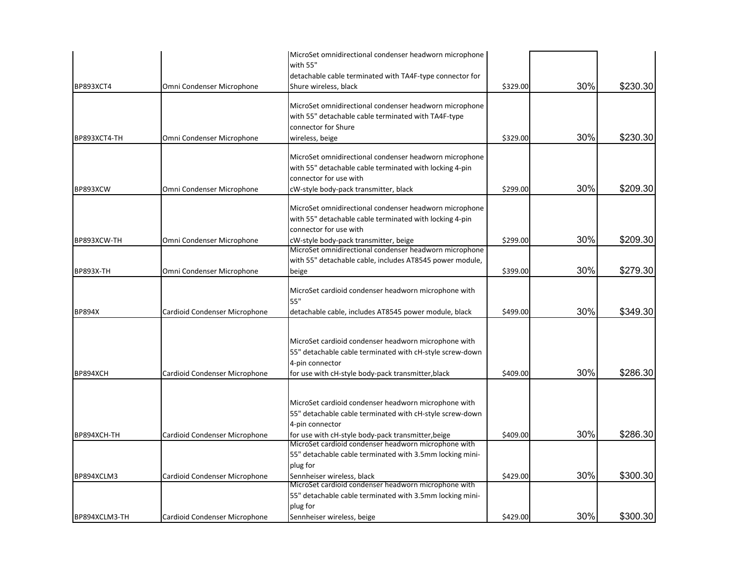| <b>BP893XCT4</b> | Omni Condenser Microphone     | MicroSet omnidirectional condenser headworn microphone<br>with 55"<br>detachable cable terminated with TA4F-type connector for<br>Shure wireless, black                                   | \$329.00 | 30% | \$230.30 |
|------------------|-------------------------------|-------------------------------------------------------------------------------------------------------------------------------------------------------------------------------------------|----------|-----|----------|
|                  |                               | MicroSet omnidirectional condenser headworn microphone<br>with 55" detachable cable terminated with TA4F-type                                                                             |          |     |          |
| BP893XCT4-TH     | Omni Condenser Microphone     | connector for Shure<br>wireless, beige                                                                                                                                                    | \$329.00 | 30% | \$230.30 |
|                  |                               | MicroSet omnidirectional condenser headworn microphone<br>with 55" detachable cable terminated with locking 4-pin<br>connector for use with                                               |          |     |          |
| BP893XCW         | Omni Condenser Microphone     | cW-style body-pack transmitter, black                                                                                                                                                     | \$299.00 | 30% | \$209.30 |
|                  |                               | MicroSet omnidirectional condenser headworn microphone<br>with 55" detachable cable terminated with locking 4-pin<br>connector for use with                                               |          |     |          |
| BP893XCW-TH      | Omni Condenser Microphone     | cW-style body-pack transmitter, beige                                                                                                                                                     | \$299.00 | 30% | \$209.30 |
|                  |                               | MicroSet omnidirectional condenser headworn microphone<br>with 55" detachable cable, includes AT8545 power module,                                                                        |          |     |          |
| <b>BP893X-TH</b> | Omni Condenser Microphone     | beige                                                                                                                                                                                     | \$399.00 | 30% | \$279.30 |
|                  |                               | MicroSet cardioid condenser headworn microphone with<br>55"                                                                                                                               |          |     |          |
| <b>BP894X</b>    | Cardioid Condenser Microphone | detachable cable, includes AT8545 power module, black                                                                                                                                     | \$499.00 | 30% | \$349.30 |
| BP894XCH         | Cardioid Condenser Microphone | MicroSet cardioid condenser headworn microphone with<br>55" detachable cable terminated with cH-style screw-down<br>4-pin connector<br>for use with cH-style body-pack transmitter, black | \$409.00 | 30% | \$286.30 |
|                  |                               | MicroSet cardioid condenser headworn microphone with<br>55" detachable cable terminated with cH-style screw-down<br>4-pin connector                                                       |          |     |          |
| BP894XCH-TH      | Cardioid Condenser Microphone | for use with cH-style body-pack transmitter, beige                                                                                                                                        | \$409.00 | 30% | \$286.30 |
|                  |                               | MicroSet cardioid condenser headworn microphone with<br>55" detachable cable terminated with 3.5mm locking mini-<br>plug for                                                              |          |     |          |
| BP894XCLM3       | Cardioid Condenser Microphone | Sennheiser wireless, black                                                                                                                                                                | \$429.00 | 30% | \$300.30 |
|                  |                               | MicroSet cardioid condenser headworn microphone with<br>55" detachable cable terminated with 3.5mm locking mini-<br>plug for                                                              |          |     |          |
| BP894XCLM3-TH    | Cardioid Condenser Microphone | Sennheiser wireless, beige                                                                                                                                                                | \$429.00 | 30% | \$300.30 |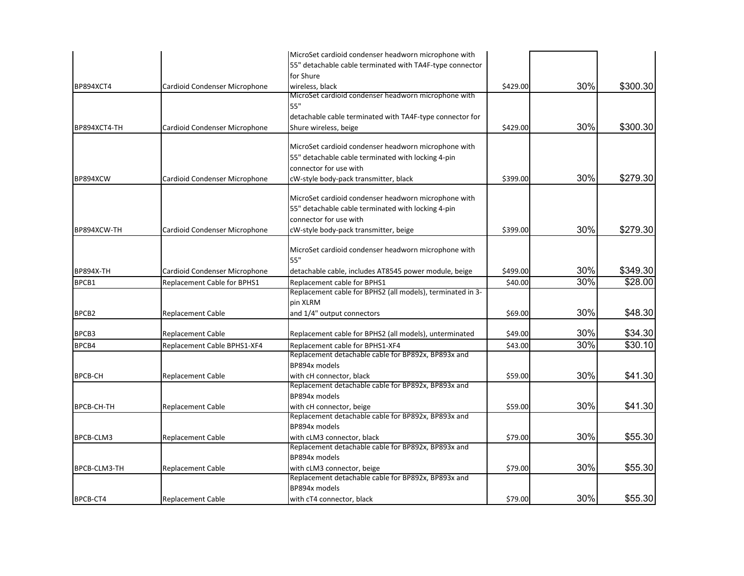|                   |                               | MicroSet cardioid condenser headworn microphone with       |          |     |          |
|-------------------|-------------------------------|------------------------------------------------------------|----------|-----|----------|
|                   |                               | 55" detachable cable terminated with TA4F-type connector   |          |     |          |
|                   |                               | for Shure                                                  |          |     |          |
| <b>BP894XCT4</b>  | Cardioid Condenser Microphone | wireless, black                                            | \$429.00 | 30% | \$300.30 |
|                   |                               | MicroSet cardioid condenser headworn microphone with       |          |     |          |
|                   |                               | 55"                                                        |          |     |          |
|                   |                               | detachable cable terminated with TA4F-type connector for   |          |     |          |
| BP894XCT4-TH      | Cardioid Condenser Microphone | Shure wireless, beige                                      | \$429.00 | 30% | \$300.30 |
|                   |                               |                                                            |          |     |          |
|                   |                               | MicroSet cardioid condenser headworn microphone with       |          |     |          |
|                   |                               | 55" detachable cable terminated with locking 4-pin         |          |     |          |
|                   |                               | connector for use with                                     |          |     |          |
| BP894XCW          | Cardioid Condenser Microphone | cW-style body-pack transmitter, black                      | \$399.00 | 30% | \$279.30 |
|                   |                               | MicroSet cardioid condenser headworn microphone with       |          |     |          |
|                   |                               | 55" detachable cable terminated with locking 4-pin         |          |     |          |
|                   |                               | connector for use with                                     |          |     |          |
|                   |                               |                                                            |          | 30% | \$279.30 |
| BP894XCW-TH       | Cardioid Condenser Microphone | cW-style body-pack transmitter, beige                      | \$399.00 |     |          |
|                   |                               | MicroSet cardioid condenser headworn microphone with       |          |     |          |
|                   |                               | 55"                                                        |          |     |          |
| <b>BP894X-TH</b>  | Cardioid Condenser Microphone | detachable cable, includes AT8545 power module, beige      | \$499.00 | 30% | \$349.30 |
| BPCB1             | Replacement Cable for BPHS1   | Replacement cable for BPHS1                                | \$40.00  | 30% | \$28.00  |
|                   |                               | Replacement cable for BPHS2 (all models), terminated in 3- |          |     |          |
|                   |                               | pin XLRM                                                   |          |     |          |
| BPCB <sub>2</sub> | <b>Replacement Cable</b>      | and 1/4" output connectors                                 | \$69.00  | 30% | \$48.30  |
|                   |                               |                                                            |          |     |          |
| BPCB3             | <b>Replacement Cable</b>      | Replacement cable for BPHS2 (all models), unterminated     | \$49.00  | 30% | \$34.30  |
| BPCB4             | Replacement Cable BPHS1-XF4   | Replacement cable for BPHS1-XF4                            | \$43.00  | 30% | \$30.10  |
|                   |                               | Replacement detachable cable for BP892x, BP893x and        |          |     |          |
|                   |                               | BP894x models                                              |          |     |          |
| <b>BPCB-CH</b>    | <b>Replacement Cable</b>      | with cH connector, black                                   | \$59.00  | 30% | \$41.30  |
|                   |                               | Replacement detachable cable for BP892x, BP893x and        |          |     |          |
|                   |                               | BP894x models                                              |          |     |          |
| BPCB-CH-TH        | <b>Replacement Cable</b>      | with cH connector, beige                                   | \$59.00  | 30% | \$41.30  |
|                   |                               | Replacement detachable cable for BP892x, BP893x and        |          |     |          |
|                   |                               | BP894x models                                              |          |     |          |
| BPCB-CLM3         | <b>Replacement Cable</b>      | with cLM3 connector, black                                 | \$79.00  | 30% | \$55.30  |
|                   |                               | Replacement detachable cable for BP892x, BP893x and        |          |     |          |
|                   |                               | BP894x models                                              |          |     |          |
| BPCB-CLM3-TH      | <b>Replacement Cable</b>      | with cLM3 connector, beige                                 | \$79.00  | 30% | \$55.30  |
|                   |                               | Replacement detachable cable for BP892x, BP893x and        |          |     |          |
|                   |                               | BP894x models                                              |          |     |          |
| BPCB-CT4          | <b>Replacement Cable</b>      | with cT4 connector, black                                  | \$79.00  | 30% | \$55.30  |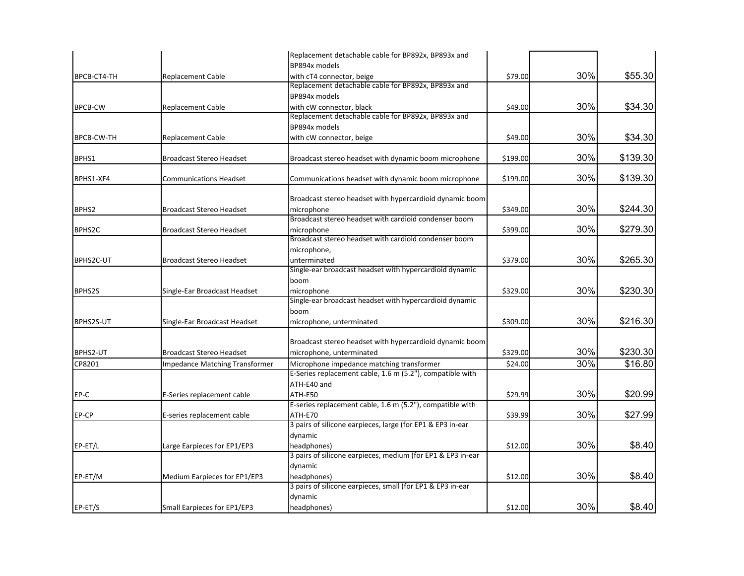|                                 | Replacement detachable cable for BP892x, BP893x and                                                                                                                                                                                                                                                                                                                          |                                                                                                                                                                                                                                                                                                                                                                                                                                                                                                                                                                                                                                                                                                                                                                                                                                                                                                        |                                                                                                                             |                                                                           |
|---------------------------------|------------------------------------------------------------------------------------------------------------------------------------------------------------------------------------------------------------------------------------------------------------------------------------------------------------------------------------------------------------------------------|--------------------------------------------------------------------------------------------------------------------------------------------------------------------------------------------------------------------------------------------------------------------------------------------------------------------------------------------------------------------------------------------------------------------------------------------------------------------------------------------------------------------------------------------------------------------------------------------------------------------------------------------------------------------------------------------------------------------------------------------------------------------------------------------------------------------------------------------------------------------------------------------------------|-----------------------------------------------------------------------------------------------------------------------------|---------------------------------------------------------------------------|
|                                 | BP894x models                                                                                                                                                                                                                                                                                                                                                                |                                                                                                                                                                                                                                                                                                                                                                                                                                                                                                                                                                                                                                                                                                                                                                                                                                                                                                        |                                                                                                                             |                                                                           |
| <b>Replacement Cable</b>        | with cT4 connector, beige                                                                                                                                                                                                                                                                                                                                                    | \$79.00                                                                                                                                                                                                                                                                                                                                                                                                                                                                                                                                                                                                                                                                                                                                                                                                                                                                                                | 30%                                                                                                                         | \$55.30                                                                   |
|                                 | Replacement detachable cable for BP892x, BP893x and                                                                                                                                                                                                                                                                                                                          |                                                                                                                                                                                                                                                                                                                                                                                                                                                                                                                                                                                                                                                                                                                                                                                                                                                                                                        |                                                                                                                             |                                                                           |
|                                 | BP894x models                                                                                                                                                                                                                                                                                                                                                                |                                                                                                                                                                                                                                                                                                                                                                                                                                                                                                                                                                                                                                                                                                                                                                                                                                                                                                        |                                                                                                                             |                                                                           |
| <b>Replacement Cable</b>        | with cW connector, black                                                                                                                                                                                                                                                                                                                                                     | \$49.00                                                                                                                                                                                                                                                                                                                                                                                                                                                                                                                                                                                                                                                                                                                                                                                                                                                                                                | 30%                                                                                                                         | \$34.30                                                                   |
|                                 | Replacement detachable cable for BP892x, BP893x and                                                                                                                                                                                                                                                                                                                          |                                                                                                                                                                                                                                                                                                                                                                                                                                                                                                                                                                                                                                                                                                                                                                                                                                                                                                        |                                                                                                                             |                                                                           |
|                                 | BP894x models                                                                                                                                                                                                                                                                                                                                                                |                                                                                                                                                                                                                                                                                                                                                                                                                                                                                                                                                                                                                                                                                                                                                                                                                                                                                                        |                                                                                                                             |                                                                           |
| <b>Replacement Cable</b>        | with cW connector, beige                                                                                                                                                                                                                                                                                                                                                     | \$49.00                                                                                                                                                                                                                                                                                                                                                                                                                                                                                                                                                                                                                                                                                                                                                                                                                                                                                                | 30%                                                                                                                         | \$34.30                                                                   |
| <b>Broadcast Stereo Headset</b> | Broadcast stereo headset with dynamic boom microphone                                                                                                                                                                                                                                                                                                                        | \$199.00                                                                                                                                                                                                                                                                                                                                                                                                                                                                                                                                                                                                                                                                                                                                                                                                                                                                                               | 30%                                                                                                                         | \$139.30                                                                  |
| <b>Communications Headset</b>   | Communications headset with dynamic boom microphone                                                                                                                                                                                                                                                                                                                          | \$199.00                                                                                                                                                                                                                                                                                                                                                                                                                                                                                                                                                                                                                                                                                                                                                                                                                                                                                               | 30%                                                                                                                         | \$139.30                                                                  |
|                                 |                                                                                                                                                                                                                                                                                                                                                                              |                                                                                                                                                                                                                                                                                                                                                                                                                                                                                                                                                                                                                                                                                                                                                                                                                                                                                                        |                                                                                                                             |                                                                           |
|                                 |                                                                                                                                                                                                                                                                                                                                                                              |                                                                                                                                                                                                                                                                                                                                                                                                                                                                                                                                                                                                                                                                                                                                                                                                                                                                                                        |                                                                                                                             | \$244.30                                                                  |
|                                 |                                                                                                                                                                                                                                                                                                                                                                              |                                                                                                                                                                                                                                                                                                                                                                                                                                                                                                                                                                                                                                                                                                                                                                                                                                                                                                        |                                                                                                                             |                                                                           |
|                                 |                                                                                                                                                                                                                                                                                                                                                                              |                                                                                                                                                                                                                                                                                                                                                                                                                                                                                                                                                                                                                                                                                                                                                                                                                                                                                                        |                                                                                                                             | \$279.30                                                                  |
|                                 |                                                                                                                                                                                                                                                                                                                                                                              |                                                                                                                                                                                                                                                                                                                                                                                                                                                                                                                                                                                                                                                                                                                                                                                                                                                                                                        |                                                                                                                             |                                                                           |
|                                 |                                                                                                                                                                                                                                                                                                                                                                              |                                                                                                                                                                                                                                                                                                                                                                                                                                                                                                                                                                                                                                                                                                                                                                                                                                                                                                        |                                                                                                                             |                                                                           |
|                                 |                                                                                                                                                                                                                                                                                                                                                                              |                                                                                                                                                                                                                                                                                                                                                                                                                                                                                                                                                                                                                                                                                                                                                                                                                                                                                                        |                                                                                                                             | \$265.30                                                                  |
|                                 |                                                                                                                                                                                                                                                                                                                                                                              |                                                                                                                                                                                                                                                                                                                                                                                                                                                                                                                                                                                                                                                                                                                                                                                                                                                                                                        |                                                                                                                             |                                                                           |
|                                 |                                                                                                                                                                                                                                                                                                                                                                              |                                                                                                                                                                                                                                                                                                                                                                                                                                                                                                                                                                                                                                                                                                                                                                                                                                                                                                        |                                                                                                                             |                                                                           |
|                                 |                                                                                                                                                                                                                                                                                                                                                                              |                                                                                                                                                                                                                                                                                                                                                                                                                                                                                                                                                                                                                                                                                                                                                                                                                                                                                                        |                                                                                                                             | \$230.30                                                                  |
|                                 |                                                                                                                                                                                                                                                                                                                                                                              |                                                                                                                                                                                                                                                                                                                                                                                                                                                                                                                                                                                                                                                                                                                                                                                                                                                                                                        |                                                                                                                             |                                                                           |
|                                 |                                                                                                                                                                                                                                                                                                                                                                              |                                                                                                                                                                                                                                                                                                                                                                                                                                                                                                                                                                                                                                                                                                                                                                                                                                                                                                        |                                                                                                                             |                                                                           |
|                                 |                                                                                                                                                                                                                                                                                                                                                                              |                                                                                                                                                                                                                                                                                                                                                                                                                                                                                                                                                                                                                                                                                                                                                                                                                                                                                                        |                                                                                                                             | \$216.30                                                                  |
|                                 |                                                                                                                                                                                                                                                                                                                                                                              |                                                                                                                                                                                                                                                                                                                                                                                                                                                                                                                                                                                                                                                                                                                                                                                                                                                                                                        |                                                                                                                             |                                                                           |
|                                 |                                                                                                                                                                                                                                                                                                                                                                              |                                                                                                                                                                                                                                                                                                                                                                                                                                                                                                                                                                                                                                                                                                                                                                                                                                                                                                        |                                                                                                                             |                                                                           |
|                                 |                                                                                                                                                                                                                                                                                                                                                                              |                                                                                                                                                                                                                                                                                                                                                                                                                                                                                                                                                                                                                                                                                                                                                                                                                                                                                                        |                                                                                                                             | \$230.30                                                                  |
|                                 |                                                                                                                                                                                                                                                                                                                                                                              |                                                                                                                                                                                                                                                                                                                                                                                                                                                                                                                                                                                                                                                                                                                                                                                                                                                                                                        |                                                                                                                             | \$16.80                                                                   |
|                                 |                                                                                                                                                                                                                                                                                                                                                                              |                                                                                                                                                                                                                                                                                                                                                                                                                                                                                                                                                                                                                                                                                                                                                                                                                                                                                                        |                                                                                                                             |                                                                           |
|                                 |                                                                                                                                                                                                                                                                                                                                                                              |                                                                                                                                                                                                                                                                                                                                                                                                                                                                                                                                                                                                                                                                                                                                                                                                                                                                                                        |                                                                                                                             |                                                                           |
|                                 |                                                                                                                                                                                                                                                                                                                                                                              |                                                                                                                                                                                                                                                                                                                                                                                                                                                                                                                                                                                                                                                                                                                                                                                                                                                                                                        |                                                                                                                             | \$20.99                                                                   |
|                                 |                                                                                                                                                                                                                                                                                                                                                                              |                                                                                                                                                                                                                                                                                                                                                                                                                                                                                                                                                                                                                                                                                                                                                                                                                                                                                                        |                                                                                                                             |                                                                           |
|                                 |                                                                                                                                                                                                                                                                                                                                                                              |                                                                                                                                                                                                                                                                                                                                                                                                                                                                                                                                                                                                                                                                                                                                                                                                                                                                                                        |                                                                                                                             | \$27.99                                                                   |
|                                 |                                                                                                                                                                                                                                                                                                                                                                              |                                                                                                                                                                                                                                                                                                                                                                                                                                                                                                                                                                                                                                                                                                                                                                                                                                                                                                        |                                                                                                                             |                                                                           |
|                                 |                                                                                                                                                                                                                                                                                                                                                                              |                                                                                                                                                                                                                                                                                                                                                                                                                                                                                                                                                                                                                                                                                                                                                                                                                                                                                                        |                                                                                                                             |                                                                           |
|                                 |                                                                                                                                                                                                                                                                                                                                                                              |                                                                                                                                                                                                                                                                                                                                                                                                                                                                                                                                                                                                                                                                                                                                                                                                                                                                                                        |                                                                                                                             | \$8.40                                                                    |
|                                 |                                                                                                                                                                                                                                                                                                                                                                              |                                                                                                                                                                                                                                                                                                                                                                                                                                                                                                                                                                                                                                                                                                                                                                                                                                                                                                        |                                                                                                                             |                                                                           |
|                                 | dynamic                                                                                                                                                                                                                                                                                                                                                                      |                                                                                                                                                                                                                                                                                                                                                                                                                                                                                                                                                                                                                                                                                                                                                                                                                                                                                                        |                                                                                                                             |                                                                           |
|                                 |                                                                                                                                                                                                                                                                                                                                                                              |                                                                                                                                                                                                                                                                                                                                                                                                                                                                                                                                                                                                                                                                                                                                                                                                                                                                                                        |                                                                                                                             | \$8.40                                                                    |
|                                 | 3 pairs of silicone earpieces, small (for EP1 & EP3 in-ear                                                                                                                                                                                                                                                                                                                   |                                                                                                                                                                                                                                                                                                                                                                                                                                                                                                                                                                                                                                                                                                                                                                                                                                                                                                        |                                                                                                                             |                                                                           |
|                                 | dynamic                                                                                                                                                                                                                                                                                                                                                                      |                                                                                                                                                                                                                                                                                                                                                                                                                                                                                                                                                                                                                                                                                                                                                                                                                                                                                                        |                                                                                                                             |                                                                           |
| Small Earpieces for EP1/EP3     | headphones)                                                                                                                                                                                                                                                                                                                                                                  | \$12.00                                                                                                                                                                                                                                                                                                                                                                                                                                                                                                                                                                                                                                                                                                                                                                                                                                                                                                | 30%                                                                                                                         | \$8.40                                                                    |
|                                 | <b>Broadcast Stereo Headset</b><br><b>Broadcast Stereo Headset</b><br><b>Broadcast Stereo Headset</b><br>Single-Ear Broadcast Headset<br>Single-Ear Broadcast Headset<br><b>Broadcast Stereo Headset</b><br><b>Impedance Matching Transformer</b><br>E-Series replacement cable<br>E-series replacement cable<br>Large Earpieces for EP1/EP3<br>Medium Earpieces for EP1/EP3 | Broadcast stereo headset with hypercardioid dynamic boom<br>microphone<br>Broadcast stereo headset with cardioid condenser boom<br>microphone<br>Broadcast stereo headset with cardioid condenser boom<br>microphone,<br>unterminated<br>Single-ear broadcast headset with hypercardioid dynamic<br>boom<br>microphone<br>Single-ear broadcast headset with hypercardioid dynamic<br>boom<br>microphone, unterminated<br>Broadcast stereo headset with hypercardioid dynamic boom<br>microphone, unterminated<br>Microphone impedance matching transformer<br>E-Series replacement cable, 1.6 m (5.2"), compatible with<br>ATH-E40 and<br>ATH-E50<br>E-series replacement cable, 1.6 m (5.2"), compatible with<br><b>ATH-E70</b><br>3 pairs of silicone earpieces, large (for EP1 & EP3 in-ear<br>dynamic<br>headphones)<br>3 pairs of silicone earpieces, medium (for EP1 & EP3 in-ear<br>headphones) | \$349.00<br>\$399.00<br>\$379.00<br>\$329.00<br>\$309.00<br>\$329.00<br>\$24.00<br>\$29.99<br>\$39.99<br>\$12.00<br>\$12.00 | 30%<br>30%<br>30%<br>30%<br>30%<br>30%<br>30%<br>30%<br>30%<br>30%<br>30% |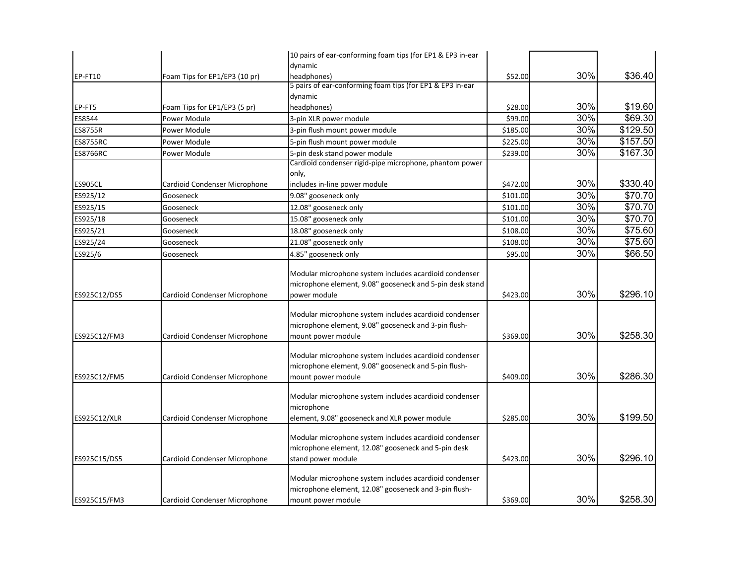|                 |                                              | 10 pairs of ear-conforming foam tips (for EP1 & EP3 in-ear                                                                            |          |     |          |
|-----------------|----------------------------------------------|---------------------------------------------------------------------------------------------------------------------------------------|----------|-----|----------|
|                 |                                              | dynamic                                                                                                                               |          |     |          |
| EP-FT10         | Foam Tips for EP1/EP3 (10 pr)                | headphones)                                                                                                                           | \$52.00  | 30% | \$36.40  |
|                 |                                              | 5 pairs of ear-conforming foam tips (for EP1 & EP3 in-ear                                                                             |          |     |          |
| EP-FT5          |                                              | dynamic<br>headphones)                                                                                                                | \$28.00  | 30% | \$19.60  |
| ES8544          | Foam Tips for EP1/EP3 (5 pr)<br>Power Module | 3-pin XLR power module                                                                                                                | \$99.00  | 30% | \$69.30  |
| <b>ES8755R</b>  | Power Module                                 | 3-pin flush mount power module                                                                                                        | \$185.00 | 30% | \$129.50 |
|                 |                                              |                                                                                                                                       |          | 30% |          |
| <b>ES8755RC</b> | Power Module                                 | 5-pin flush mount power module                                                                                                        | \$225.00 |     | \$157.50 |
| <b>ES8766RC</b> | Power Module                                 | 5-pin desk stand power module<br>Cardioid condenser rigid-pipe microphone, phantom power                                              | \$239.00 | 30% | \$167.30 |
|                 |                                              | only,                                                                                                                                 |          |     |          |
| <b>ES905CL</b>  | Cardioid Condenser Microphone                | includes in-line power module                                                                                                         | \$472.00 | 30% | \$330.40 |
| ES925/12        | Gooseneck                                    | 9.08" gooseneck only                                                                                                                  | \$101.00 | 30% | \$70.70  |
| ES925/15        | Gooseneck                                    | 12.08" gooseneck only                                                                                                                 | \$101.00 | 30% | \$70.70  |
| ES925/18        | Gooseneck                                    | 15.08" gooseneck only                                                                                                                 | \$101.00 | 30% | \$70.70  |
| ES925/21        | Gooseneck                                    | 18.08" gooseneck only                                                                                                                 | \$108.00 | 30% | \$75.60  |
| ES925/24        | Gooseneck                                    | 21.08" gooseneck only                                                                                                                 | \$108.00 | 30% | \$75.60  |
| ES925/6         | Gooseneck                                    | 4.85" gooseneck only                                                                                                                  | \$95.00  | 30% | \$66.50  |
|                 |                                              |                                                                                                                                       |          |     |          |
| ES925C12/DS5    | Cardioid Condenser Microphone                | Modular microphone system includes acardioid condenser<br>microphone element, 9.08" gooseneck and 5-pin desk stand<br>power module    | \$423.00 | 30% | \$296.10 |
| ES925C12/FM3    | Cardioid Condenser Microphone                | Modular microphone system includes acardioid condenser<br>microphone element, 9.08" gooseneck and 3-pin flush-<br>mount power module  | \$369.00 | 30% | \$258.30 |
| ES925C12/FM5    | Cardioid Condenser Microphone                | Modular microphone system includes acardioid condenser<br>microphone element, 9.08" gooseneck and 5-pin flush-<br>mount power module  | \$409.00 | 30% | \$286.30 |
| ES925C12/XLR    | Cardioid Condenser Microphone                | Modular microphone system includes acardioid condenser<br>microphone<br>element, 9.08" gooseneck and XLR power module                 | \$285.00 | 30% | \$199.50 |
| ES925C15/DS5    | Cardioid Condenser Microphone                | Modular microphone system includes acardioid condenser<br>microphone element, 12.08" gooseneck and 5-pin desk<br>stand power module   | \$423.00 | 30% | \$296.10 |
| ES925C15/FM3    | Cardioid Condenser Microphone                | Modular microphone system includes acardioid condenser<br>microphone element, 12.08" gooseneck and 3-pin flush-<br>mount power module | \$369.00 | 30% | \$258.30 |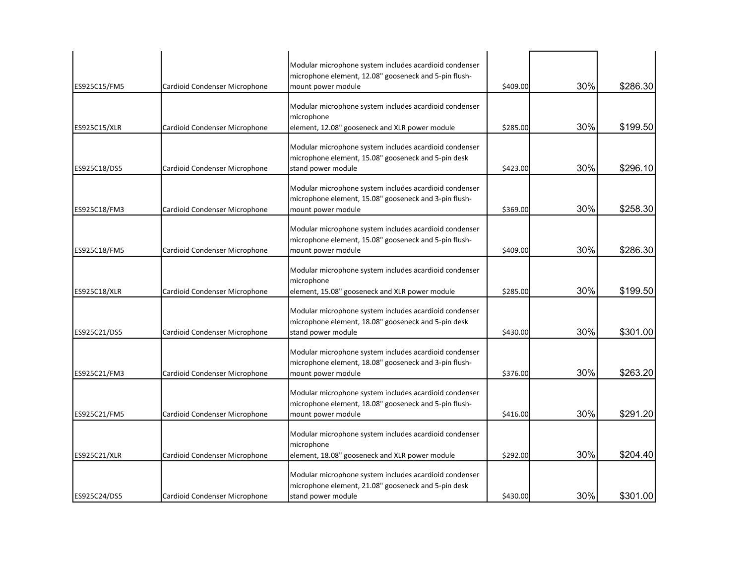|                     |                               | Modular microphone system includes acardioid condenser                                                                                |          |     |          |
|---------------------|-------------------------------|---------------------------------------------------------------------------------------------------------------------------------------|----------|-----|----------|
| ES925C15/FM5        | Cardioid Condenser Microphone | microphone element, 12.08" gooseneck and 5-pin flush-<br>mount power module                                                           | \$409.00 | 30% | \$286.30 |
| ES925C15/XLR        | Cardioid Condenser Microphone | Modular microphone system includes acardioid condenser<br>microphone<br>element, 12.08" gooseneck and XLR power module                | \$285.00 | 30% | \$199.50 |
| ES925C18/DS5        | Cardioid Condenser Microphone | Modular microphone system includes acardioid condenser<br>microphone element, 15.08" gooseneck and 5-pin desk<br>stand power module   | \$423.00 | 30% | \$296.10 |
| ES925C18/FM3        | Cardioid Condenser Microphone | Modular microphone system includes acardioid condenser<br>microphone element, 15.08" gooseneck and 3-pin flush-<br>mount power module | \$369.00 | 30% | \$258.30 |
| ES925C18/FM5        | Cardioid Condenser Microphone | Modular microphone system includes acardioid condenser<br>microphone element, 15.08" gooseneck and 5-pin flush-<br>mount power module | \$409.00 | 30% | \$286.30 |
| <b>ES925C18/XLR</b> | Cardioid Condenser Microphone | Modular microphone system includes acardioid condenser<br>microphone<br>element, 15.08" gooseneck and XLR power module                | \$285.00 | 30% | \$199.50 |
| ES925C21/DS5        | Cardioid Condenser Microphone | Modular microphone system includes acardioid condenser<br>microphone element, 18.08" gooseneck and 5-pin desk<br>stand power module   | \$430.00 | 30% | \$301.00 |
| ES925C21/FM3        | Cardioid Condenser Microphone | Modular microphone system includes acardioid condenser<br>microphone element, 18.08" gooseneck and 3-pin flush-<br>mount power module | \$376.00 | 30% | \$263.20 |
| ES925C21/FM5        | Cardioid Condenser Microphone | Modular microphone system includes acardioid condenser<br>microphone element, 18.08" gooseneck and 5-pin flush-<br>mount power module | \$416.00 | 30% | \$291.20 |
| ES925C21/XLR        | Cardioid Condenser Microphone | Modular microphone system includes acardioid condenser<br>microphone<br>element, 18.08" gooseneck and XLR power module                | \$292.00 | 30% | \$204.40 |
| ES925C24/DS5        | Cardioid Condenser Microphone | Modular microphone system includes acardioid condenser<br>microphone element, 21.08" gooseneck and 5-pin desk<br>stand power module   | \$430.00 | 30% | \$301.00 |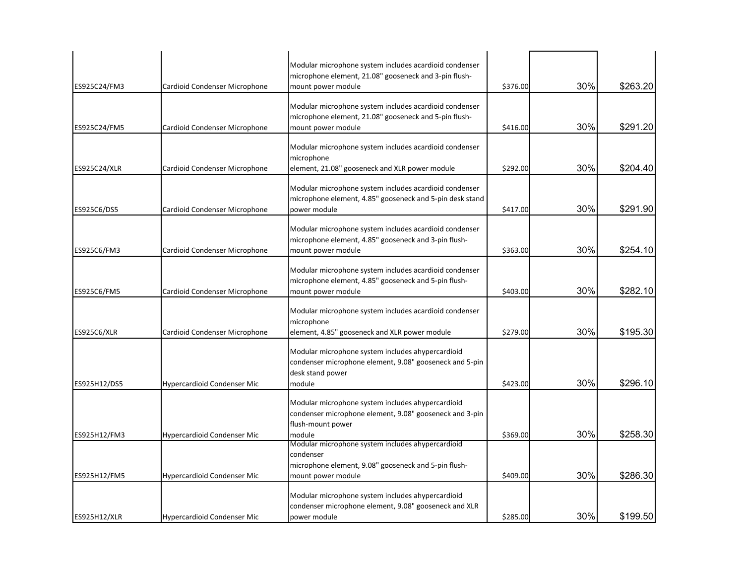| ES925C24/FM3       | Cardioid Condenser Microphone      | Modular microphone system includes acardioid condenser<br>microphone element, 21.08" gooseneck and 3-pin flush-<br>mount power module        | \$376.00 | 30% | \$263.20 |
|--------------------|------------------------------------|----------------------------------------------------------------------------------------------------------------------------------------------|----------|-----|----------|
| ES925C24/FM5       | Cardioid Condenser Microphone      | Modular microphone system includes acardioid condenser<br>microphone element, 21.08" gooseneck and 5-pin flush-<br>mount power module        | \$416.00 | 30% | \$291.20 |
| ES925C24/XLR       | Cardioid Condenser Microphone      | Modular microphone system includes acardioid condenser<br>microphone<br>element, 21.08" gooseneck and XLR power module                       | \$292.00 | 30% | \$204.40 |
| ES925C6/DS5        | Cardioid Condenser Microphone      | Modular microphone system includes acardioid condenser<br>microphone element, 4.85" gooseneck and 5-pin desk stand<br>power module           | \$417.00 | 30% | \$291.90 |
| ES925C6/FM3        | Cardioid Condenser Microphone      | Modular microphone system includes acardioid condenser<br>microphone element, 4.85" gooseneck and 3-pin flush-<br>mount power module         | \$363.00 | 30% | \$254.10 |
| ES925C6/FM5        | Cardioid Condenser Microphone      | Modular microphone system includes acardioid condenser<br>microphone element, 4.85" gooseneck and 5-pin flush-<br>mount power module         | \$403.00 | 30% | \$282.10 |
| <b>ES925C6/XLR</b> | Cardioid Condenser Microphone      | Modular microphone system includes acardioid condenser<br>microphone<br>element, 4.85" gooseneck and XLR power module                        | \$279.00 | 30% | \$195.30 |
| ES925H12/DS5       | <b>Hypercardioid Condenser Mic</b> | Modular microphone system includes ahypercardioid<br>condenser microphone element, 9.08" gooseneck and 5-pin<br>desk stand power<br>module   | \$423.00 | 30% | \$296.10 |
| ES925H12/FM3       | Hypercardioid Condenser Mic        | Modular microphone system includes ahypercardioid<br>condenser microphone element, 9.08" gooseneck and 3-pin<br>flush-mount power<br>module  | \$369.00 | 30% | \$258.30 |
| ES925H12/FM5       | Hypercardioid Condenser Mic        | Modular microphone system includes ahypercardioid<br>condenser<br>microphone element, 9.08" gooseneck and 5-pin flush-<br>mount power module | \$409.00 | 30% | \$286.30 |
| ES925H12/XLR       | Hypercardioid Condenser Mic        | Modular microphone system includes ahypercardioid<br>condenser microphone element, 9.08" gooseneck and XLR<br>power module                   | \$285.00 | 30% | \$199.50 |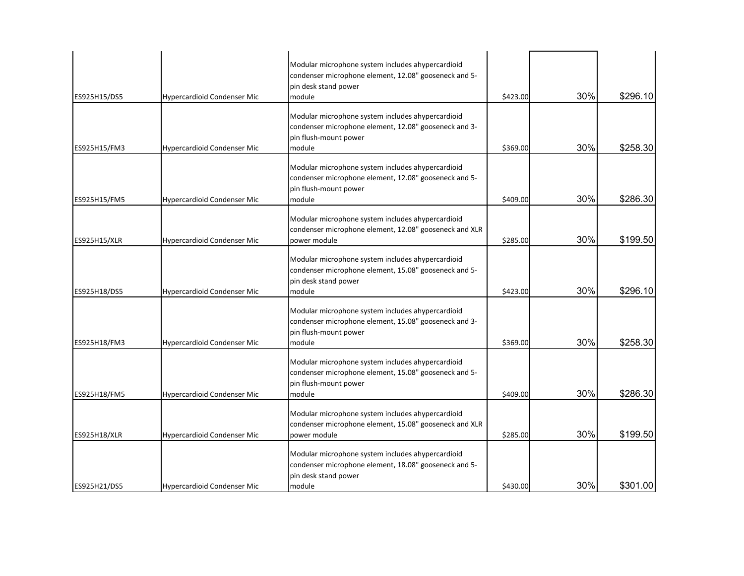| ES925H15/DS5 | <b>Hypercardioid Condenser Mic</b> | Modular microphone system includes ahypercardioid<br>condenser microphone element, 12.08" gooseneck and 5-<br>pin desk stand power<br>module  | \$423.00 | 30% | \$296.10 |
|--------------|------------------------------------|-----------------------------------------------------------------------------------------------------------------------------------------------|----------|-----|----------|
| ES925H15/FM3 | <b>Hypercardioid Condenser Mic</b> | Modular microphone system includes ahypercardioid<br>condenser microphone element, 12.08" gooseneck and 3-<br>pin flush-mount power<br>module | \$369.00 | 30% | \$258.30 |
| ES925H15/FM5 | Hypercardioid Condenser Mic        | Modular microphone system includes ahypercardioid<br>condenser microphone element, 12.08" gooseneck and 5-<br>pin flush-mount power<br>module | \$409.00 | 30% | \$286.30 |
| ES925H15/XLR | Hypercardioid Condenser Mic        | Modular microphone system includes ahypercardioid<br>condenser microphone element, 12.08" gooseneck and XLR<br>power module                   | \$285.00 | 30% | \$199.50 |
| ES925H18/DS5 | <b>Hypercardioid Condenser Mic</b> | Modular microphone system includes ahypercardioid<br>condenser microphone element, 15.08" gooseneck and 5-<br>pin desk stand power<br>module  | \$423.00 | 30% | \$296.10 |
| ES925H18/FM3 | Hypercardioid Condenser Mic        | Modular microphone system includes ahypercardioid<br>condenser microphone element, 15.08" gooseneck and 3-<br>pin flush-mount power<br>module | \$369.00 | 30% | \$258.30 |
| ES925H18/FM5 | <b>Hypercardioid Condenser Mic</b> | Modular microphone system includes ahypercardioid<br>condenser microphone element, 15.08" gooseneck and 5-<br>pin flush-mount power<br>module | \$409.00 | 30% | \$286.30 |
| ES925H18/XLR | <b>Hypercardioid Condenser Mic</b> | Modular microphone system includes ahypercardioid<br>condenser microphone element, 15.08" gooseneck and XLR<br>power module                   | \$285.00 | 30% | \$199.50 |
| ES925H21/DS5 | <b>Hypercardioid Condenser Mic</b> | Modular microphone system includes ahypercardioid<br>condenser microphone element, 18.08" gooseneck and 5-<br>pin desk stand power<br>module  | \$430.00 | 30% | \$301.00 |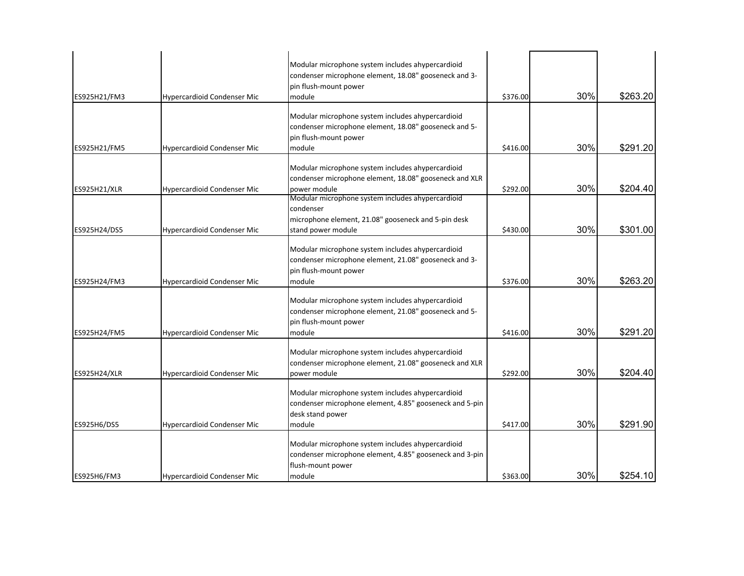|              |                                    | Modular microphone system includes ahypercardioid                 |          |     |          |
|--------------|------------------------------------|-------------------------------------------------------------------|----------|-----|----------|
|              |                                    | condenser microphone element, 18.08" gooseneck and 3-             |          |     |          |
|              |                                    | pin flush-mount power                                             |          |     |          |
| ES925H21/FM3 | Hypercardioid Condenser Mic        | module                                                            | \$376.00 | 30% | \$263.20 |
|              |                                    | Modular microphone system includes ahypercardioid                 |          |     |          |
|              |                                    | condenser microphone element, 18.08" gooseneck and 5-             |          |     |          |
|              |                                    | pin flush-mount power                                             |          |     |          |
| ES925H21/FM5 | Hypercardioid Condenser Mic        | module                                                            | \$416.00 | 30% | \$291.20 |
|              |                                    |                                                                   |          |     |          |
|              |                                    | Modular microphone system includes ahypercardioid                 |          |     |          |
|              |                                    | condenser microphone element, 18.08" gooseneck and XLR            |          |     |          |
| ES925H21/XLR | Hypercardioid Condenser Mic        | power module<br>Modular microphone system includes ahypercardioid | \$292.00 | 30% | \$204.40 |
|              |                                    | condenser                                                         |          |     |          |
|              |                                    | microphone element, 21.08" gooseneck and 5-pin desk               |          |     |          |
| ES925H24/DS5 | <b>Hypercardioid Condenser Mic</b> | stand power module                                                | \$430.00 | 30% | \$301.00 |
|              |                                    |                                                                   |          |     |          |
|              |                                    | Modular microphone system includes ahypercardioid                 |          |     |          |
|              |                                    | condenser microphone element, 21.08" gooseneck and 3-             |          |     |          |
|              |                                    | pin flush-mount power                                             |          |     |          |
| ES925H24/FM3 | Hypercardioid Condenser Mic        | module                                                            | \$376.00 | 30% | \$263.20 |
|              |                                    | Modular microphone system includes ahypercardioid                 |          |     |          |
|              |                                    | condenser microphone element, 21.08" gooseneck and 5-             |          |     |          |
|              |                                    | pin flush-mount power                                             |          |     |          |
| ES925H24/FM5 | Hypercardioid Condenser Mic        | module                                                            | \$416.00 | 30% | \$291.20 |
|              |                                    |                                                                   |          |     |          |
|              |                                    | Modular microphone system includes ahypercardioid                 |          |     |          |
|              |                                    | condenser microphone element, 21.08" gooseneck and XLR            |          |     |          |
| ES925H24/XLR | Hypercardioid Condenser Mic        | power module                                                      | \$292.00 | 30% | \$204.40 |
|              |                                    | Modular microphone system includes ahypercardioid                 |          |     |          |
|              |                                    | condenser microphone element, 4.85" gooseneck and 5-pin           |          |     |          |
|              |                                    | desk stand power                                                  |          |     |          |
| ES925H6/DS5  | Hypercardioid Condenser Mic        | module                                                            | \$417.00 | 30% | \$291.90 |
|              |                                    |                                                                   |          |     |          |
|              |                                    | Modular microphone system includes ahypercardioid                 |          |     |          |
|              |                                    | condenser microphone element, 4.85" gooseneck and 3-pin           |          |     |          |
| ES925H6/FM3  | <b>Hypercardioid Condenser Mic</b> | flush-mount power<br>module                                       | \$363.00 | 30% | \$254.10 |
|              |                                    |                                                                   |          |     |          |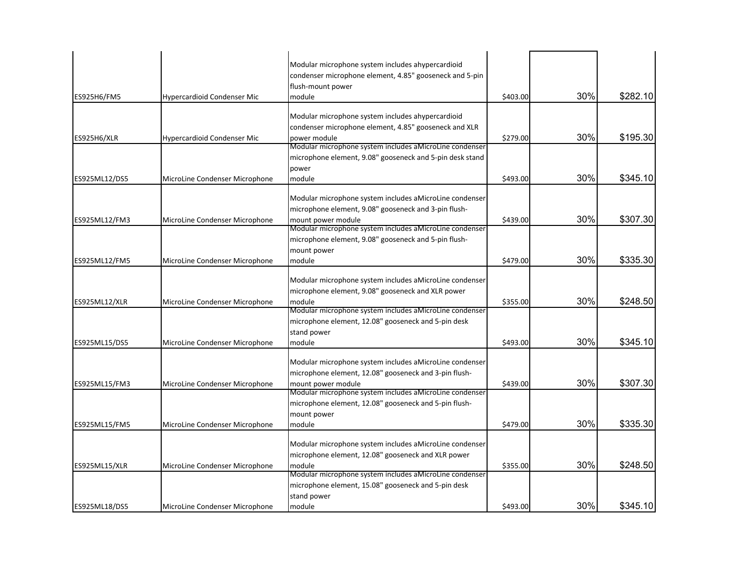| ES925H6/FM5   | Hypercardioid Condenser Mic    | Modular microphone system includes ahypercardioid<br>condenser microphone element, 4.85" gooseneck and 5-pin<br>flush-mount power<br>module | \$403.00 | 30% | \$282.10 |
|---------------|--------------------------------|---------------------------------------------------------------------------------------------------------------------------------------------|----------|-----|----------|
|               |                                | Modular microphone system includes ahypercardioid                                                                                           |          |     |          |
|               |                                | condenser microphone element, 4.85" gooseneck and XLR                                                                                       |          |     |          |
| ES925H6/XLR   | Hypercardioid Condenser Mic    | power module                                                                                                                                | \$279.00 | 30% | \$195.30 |
|               |                                | Modular microphone system includes aMicroLine condenser                                                                                     |          |     |          |
|               |                                | microphone element, 9.08" gooseneck and 5-pin desk stand                                                                                    |          |     |          |
|               |                                | power                                                                                                                                       |          |     |          |
| ES925ML12/DS5 | MicroLine Condenser Microphone | module                                                                                                                                      | \$493.00 | 30% | \$345.10 |
|               |                                | Modular microphone system includes a MicroLine condenser                                                                                    |          |     |          |
|               |                                | microphone element, 9.08" gooseneck and 3-pin flush-                                                                                        |          |     |          |
| ES925ML12/FM3 | MicroLine Condenser Microphone | mount power module                                                                                                                          | \$439.00 | 30% | \$307.30 |
|               |                                | Modular microphone system includes aMicroLine condenser                                                                                     |          |     |          |
|               |                                | microphone element, 9.08" gooseneck and 5-pin flush-                                                                                        |          |     |          |
|               |                                | mount power                                                                                                                                 |          |     |          |
| ES925ML12/FM5 | MicroLine Condenser Microphone | module                                                                                                                                      | \$479.00 | 30% | \$335.30 |
|               |                                |                                                                                                                                             |          |     |          |
|               |                                | Modular microphone system includes aMicroLine condenser                                                                                     |          |     |          |
|               |                                | microphone element, 9.08" gooseneck and XLR power                                                                                           |          |     |          |
| ES925ML12/XLR | MicroLine Condenser Microphone | module                                                                                                                                      | \$355.00 | 30% | \$248.50 |
|               |                                | Modular microphone system includes aMicroLine condenser                                                                                     |          |     |          |
|               |                                | microphone element, 12.08" gooseneck and 5-pin desk                                                                                         |          |     |          |
|               |                                | stand power                                                                                                                                 |          |     |          |
| ES925ML15/DS5 | MicroLine Condenser Microphone | module                                                                                                                                      | \$493.00 | 30% | \$345.10 |
|               |                                | Modular microphone system includes aMicroLine condenser                                                                                     |          |     |          |
|               |                                | microphone element, 12.08" gooseneck and 3-pin flush-                                                                                       |          |     |          |
| ES925ML15/FM3 | MicroLine Condenser Microphone | mount power module                                                                                                                          | \$439.00 | 30% | \$307.30 |
|               |                                | Modular microphone system includes aMicroLine condenser                                                                                     |          |     |          |
|               |                                | microphone element, 12.08" gooseneck and 5-pin flush-                                                                                       |          |     |          |
|               |                                | mount power                                                                                                                                 |          |     |          |
| ES925ML15/FM5 | MicroLine Condenser Microphone | module                                                                                                                                      | \$479.00 | 30% | \$335.30 |
|               |                                |                                                                                                                                             |          |     |          |
|               |                                | Modular microphone system includes aMicroLine condenser                                                                                     |          |     |          |
|               |                                | microphone element, 12.08" gooseneck and XLR power                                                                                          |          |     |          |
| ES925ML15/XLR | MicroLine Condenser Microphone | module                                                                                                                                      | \$355.00 | 30% | \$248.50 |
|               |                                | Modular microphone system includes aMicroLine condenser<br>microphone element, 15.08" gooseneck and 5-pin desk                              |          |     |          |
|               |                                | stand power                                                                                                                                 |          |     |          |
| ES925ML18/DS5 | MicroLine Condenser Microphone | module                                                                                                                                      | \$493.00 | 30% | \$345.10 |
|               |                                |                                                                                                                                             |          |     |          |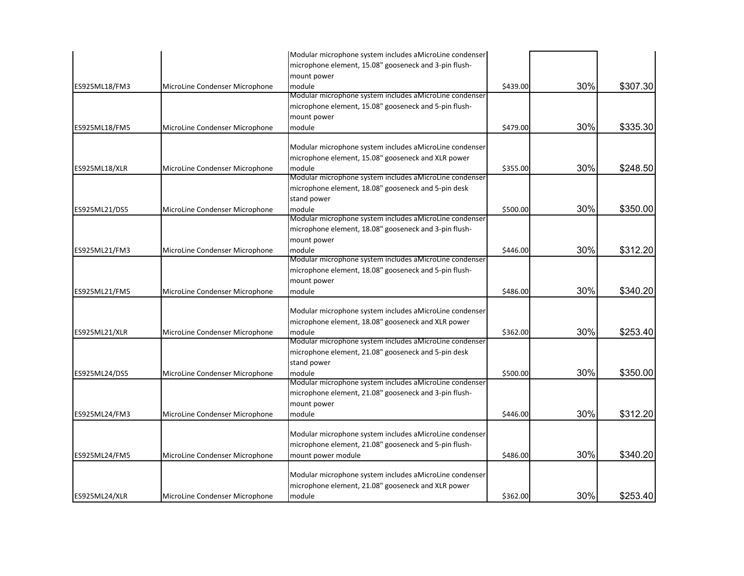|                      |                                | Modular microphone system includes aMicroLine condenser           |          |     |          |
|----------------------|--------------------------------|-------------------------------------------------------------------|----------|-----|----------|
|                      |                                | microphone element, 15.08" gooseneck and 3-pin flush-             |          |     |          |
|                      |                                | mount power                                                       |          |     |          |
| ES925ML18/FM3        | MicroLine Condenser Microphone | module                                                            | \$439.00 | 30% | \$307.30 |
|                      |                                | Modular microphone system includes aMicroLine condenser           |          |     |          |
|                      |                                | microphone element, 15.08" gooseneck and 5-pin flush-             |          |     |          |
|                      |                                | mount power                                                       |          |     |          |
| ES925ML18/FM5        | MicroLine Condenser Microphone | module                                                            | \$479.00 | 30% | \$335.30 |
|                      |                                | Modular microphone system includes aMicroLine condenser           |          |     |          |
|                      |                                | microphone element, 15.08" gooseneck and XLR power                |          |     |          |
| <b>ES925ML18/XLR</b> | MicroLine Condenser Microphone | module                                                            | \$355.00 | 30% | \$248.50 |
|                      |                                | Modular microphone system includes aMicroLine condenser           |          |     |          |
|                      |                                | microphone element, 18.08" gooseneck and 5-pin desk               |          |     |          |
|                      |                                | stand power                                                       |          |     |          |
| ES925ML21/DS5        | MicroLine Condenser Microphone | module                                                            | \$500.00 | 30% | \$350.00 |
|                      |                                | Modular microphone system includes aMicroLine condenser           |          |     |          |
|                      |                                | microphone element, 18.08" gooseneck and 3-pin flush-             |          |     |          |
|                      |                                | mount power                                                       |          |     |          |
| ES925ML21/FM3        | MicroLine Condenser Microphone | module                                                            | \$446.00 | 30% | \$312.20 |
|                      |                                | Modular microphone system includes aMicroLine condenser           |          |     |          |
|                      |                                | microphone element, 18.08" gooseneck and 5-pin flush-             |          |     |          |
|                      |                                | mount power                                                       |          |     |          |
| ES925ML21/FM5        | MicroLine Condenser Microphone | module                                                            | \$486.00 | 30% | \$340.20 |
|                      |                                |                                                                   |          |     |          |
|                      |                                | Modular microphone system includes aMicroLine condenser           |          |     |          |
|                      |                                | microphone element, 18.08" gooseneck and XLR power                |          | 30% |          |
| ES925ML21/XLR        | MicroLine Condenser Microphone | module<br>Modular microphone system includes aMicroLine condenser | \$362.00 |     | \$253.40 |
|                      |                                | microphone element, 21.08" gooseneck and 5-pin desk               |          |     |          |
|                      |                                | stand power                                                       |          |     |          |
| ES925ML24/DS5        | MicroLine Condenser Microphone | module                                                            | \$500.00 | 30% | \$350.00 |
|                      |                                | Modular microphone system includes aMicroLine condenser           |          |     |          |
|                      |                                | microphone element, 21.08" gooseneck and 3-pin flush-             |          |     |          |
|                      |                                | mount power                                                       |          |     |          |
| ES925ML24/FM3        | MicroLine Condenser Microphone | module                                                            | \$446.00 | 30% | \$312.20 |
|                      |                                |                                                                   |          |     |          |
|                      |                                | Modular microphone system includes aMicroLine condenser           |          |     |          |
|                      |                                | microphone element, 21.08" gooseneck and 5-pin flush-             |          |     |          |
| ES925ML24/FM5        | MicroLine Condenser Microphone | mount power module                                                | \$486.00 | 30% | \$340.20 |
|                      |                                | Modular microphone system includes aMicroLine condenser           |          |     |          |
|                      |                                | microphone element, 21.08" gooseneck and XLR power                |          |     |          |
| ES925ML24/XLR        | MicroLine Condenser Microphone | module                                                            | \$362.00 | 30% | \$253.40 |
|                      |                                |                                                                   |          |     |          |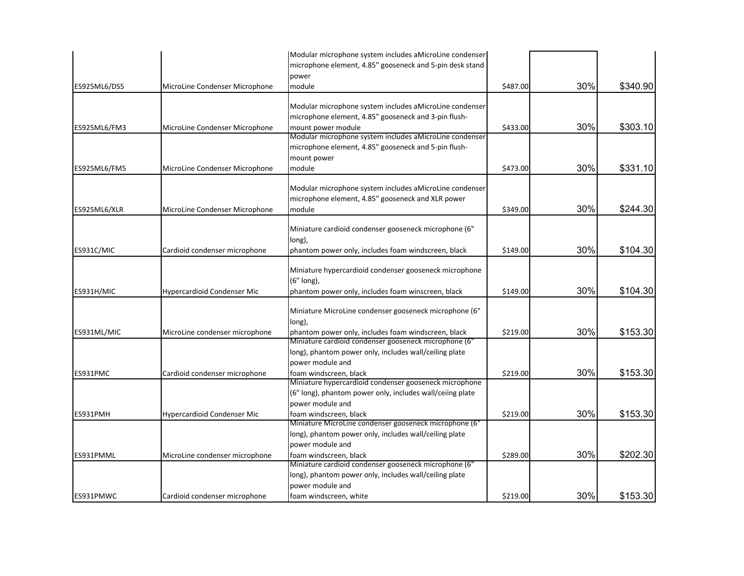|              |                                | Modular microphone system includes aMicroLine condenser                         |          |     |          |
|--------------|--------------------------------|---------------------------------------------------------------------------------|----------|-----|----------|
|              |                                | microphone element, 4.85" gooseneck and 5-pin desk stand                        |          |     |          |
|              |                                | power                                                                           |          |     |          |
| ES925ML6/DS5 | MicroLine Condenser Microphone | module                                                                          | \$487.00 | 30% | \$340.90 |
|              |                                |                                                                                 |          |     |          |
|              |                                | Modular microphone system includes a MicroLine condenser                        |          |     |          |
|              |                                | microphone element, 4.85" gooseneck and 3-pin flush-                            |          |     |          |
| ES925ML6/FM3 | MicroLine Condenser Microphone | mount power module                                                              | \$433.00 | 30% | \$303.10 |
|              |                                | Modular microphone system includes aMicroLine condenser                         |          |     |          |
|              |                                | microphone element, 4.85" gooseneck and 5-pin flush-                            |          |     |          |
|              |                                | mount power                                                                     |          |     |          |
| ES925ML6/FM5 | MicroLine Condenser Microphone | module                                                                          | \$473.00 | 30% | \$331.10 |
|              |                                | Modular microphone system includes aMicroLine condenser                         |          |     |          |
|              |                                | microphone element, 4.85" gooseneck and XLR power                               |          |     |          |
|              |                                |                                                                                 |          | 30% |          |
| ES925ML6/XLR | MicroLine Condenser Microphone | module                                                                          | \$349.00 |     | \$244.30 |
|              |                                | Miniature cardioid condenser gooseneck microphone (6"                           |          |     |          |
|              |                                | long),                                                                          |          |     |          |
| ES931C/MIC   | Cardioid condenser microphone  | phantom power only, includes foam windscreen, black                             | \$149.00 | 30% | \$104.30 |
|              |                                |                                                                                 |          |     |          |
|              |                                | Miniature hypercardioid condenser gooseneck microphone                          |          |     |          |
|              |                                | (6" long),                                                                      |          |     |          |
| ES931H/MIC   | Hypercardioid Condenser Mic    | phantom power only, includes foam winscreen, black                              | \$149.00 | 30% | \$104.30 |
|              |                                |                                                                                 |          |     |          |
|              |                                | Miniature MicroLine condenser gooseneck microphone (6"                          |          |     |          |
|              |                                | long),                                                                          |          |     |          |
| ES931ML/MIC  | MicroLine condenser microphone | phantom power only, includes foam windscreen, black                             | \$219.00 | 30% | \$153.30 |
|              |                                | Miniature cardioid condenser gooseneck microphone (6"                           |          |     |          |
|              |                                | long), phantom power only, includes wall/ceiling plate                          |          |     |          |
|              |                                | power module and                                                                |          |     |          |
| ES931PMC     | Cardioid condenser microphone  | foam windscreen, black                                                          | \$219.00 | 30% | \$153.30 |
|              |                                | Miniature hypercardioid condenser gooseneck microphone                          |          |     |          |
|              |                                | (6" long), phantom power only, includes wall/ceiing plate                       |          |     |          |
|              |                                | power module and                                                                |          |     |          |
| ES931PMH     | Hypercardioid Condenser Mic    | foam windscreen, black                                                          | \$219.00 | 30% | \$153.30 |
|              |                                | Miniature MicroLine condenser gooseneck microphone (6"                          |          |     |          |
|              |                                | long), phantom power only, includes wall/ceiling plate                          |          |     |          |
|              |                                | power module and                                                                |          |     |          |
| ES931PMML    | MicroLine condenser microphone | foam windscreen, black<br>Miniature cardioid condenser gooseneck microphone (6" | \$289.00 | 30% | \$202.30 |
|              |                                |                                                                                 |          |     |          |
|              |                                | long), phantom power only, includes wall/ceiling plate                          |          |     |          |
|              |                                | power module and                                                                |          |     |          |
| ES931PMWC    | Cardioid condenser microphone  | foam windscreen, white                                                          | \$219.00 | 30% | \$153.30 |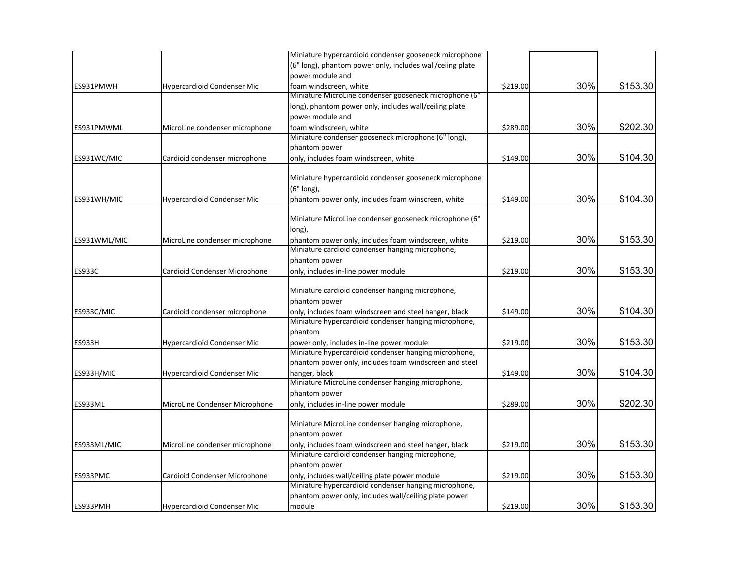|               |                                    | Miniature hypercardioid condenser gooseneck microphone    |          |     |          |
|---------------|------------------------------------|-----------------------------------------------------------|----------|-----|----------|
|               |                                    | (6" long), phantom power only, includes wall/ceiing plate |          |     |          |
|               |                                    | power module and                                          |          |     |          |
| ES931PMWH     | Hypercardioid Condenser Mic        | foam windscreen, white                                    | \$219.00 | 30% | \$153.30 |
|               |                                    | Miniature MicroLine condenser gooseneck microphone (6"    |          |     |          |
|               |                                    | long), phantom power only, includes wall/ceiling plate    |          |     |          |
|               |                                    | power module and                                          |          |     |          |
| ES931PMWML    | MicroLine condenser microphone     | foam windscreen, white                                    | \$289.00 | 30% | \$202.30 |
|               |                                    | Miniature condenser gooseneck microphone (6" long),       |          |     |          |
|               |                                    | phantom power                                             |          |     |          |
| ES931WC/MIC   | Cardioid condenser microphone      | only, includes foam windscreen, white                     | \$149.00 | 30% | \$104.30 |
|               |                                    | Miniature hypercardioid condenser gooseneck microphone    |          |     |          |
|               |                                    | (6" long),                                                |          |     |          |
| ES931WH/MIC   | Hypercardioid Condenser Mic        | phantom power only, includes foam winscreen, white        | \$149.00 | 30% | \$104.30 |
|               |                                    | Miniature MicroLine condenser gooseneck microphone (6"    |          |     |          |
|               |                                    | long),                                                    |          |     |          |
| ES931WML/MIC  | MicroLine condenser microphone     | phantom power only, includes foam windscreen, white       | \$219.00 | 30% | \$153.30 |
|               |                                    | Miniature cardioid condenser hanging microphone,          |          |     |          |
|               |                                    | phantom power                                             |          |     |          |
| <b>ES933C</b> | Cardioid Condenser Microphone      | only, includes in-line power module                       | \$219.00 | 30% | \$153.30 |
|               |                                    |                                                           |          |     |          |
|               |                                    | Miniature cardioid condenser hanging microphone,          |          |     |          |
|               |                                    | phantom power                                             |          |     |          |
| ES933C/MIC    | Cardioid condenser microphone      | only, includes foam windscreen and steel hanger, black    | \$149.00 | 30% | \$104.30 |
|               |                                    | Miniature hypercardioid condenser hanging microphone,     |          |     |          |
|               |                                    | phantom                                                   |          |     |          |
| <b>ES933H</b> | <b>Hypercardioid Condenser Mic</b> | power only, includes in-line power module                 | \$219.00 | 30% | \$153.30 |
|               |                                    | Miniature hypercardioid condenser hanging microphone,     |          |     |          |
|               |                                    | phantom power only, includes foam windscreen and steel    |          |     |          |
| ES933H/MIC    | Hypercardioid Condenser Mic        | hanger, black                                             | \$149.00 | 30% | \$104.30 |
|               |                                    | Miniature MicroLine condenser hanging microphone,         |          |     |          |
|               |                                    | phantom power                                             |          |     |          |
| ES933ML       | MicroLine Condenser Microphone     | only, includes in-line power module                       | \$289.00 | 30% | \$202.30 |
|               |                                    | Miniature MicroLine condenser hanging microphone,         |          |     |          |
|               |                                    | phantom power                                             |          |     |          |
| ES933ML/MIC   | MicroLine condenser microphone     | only, includes foam windscreen and steel hanger, black    | \$219.00 | 30% | \$153.30 |
|               |                                    | Miniature cardioid condenser hanging microphone,          |          |     |          |
|               |                                    | phantom power                                             |          |     |          |
| ES933PMC      | Cardioid Condenser Microphone      | only, includes wall/ceiling plate power module            | \$219.00 | 30% | \$153.30 |
|               |                                    | Miniature hypercardioid condenser hanging microphone,     |          |     |          |
|               |                                    | phantom power only, includes wall/ceiling plate power     |          |     |          |
| ES933PMH      | <b>Hypercardioid Condenser Mic</b> | module                                                    | \$219.00 | 30% | \$153.30 |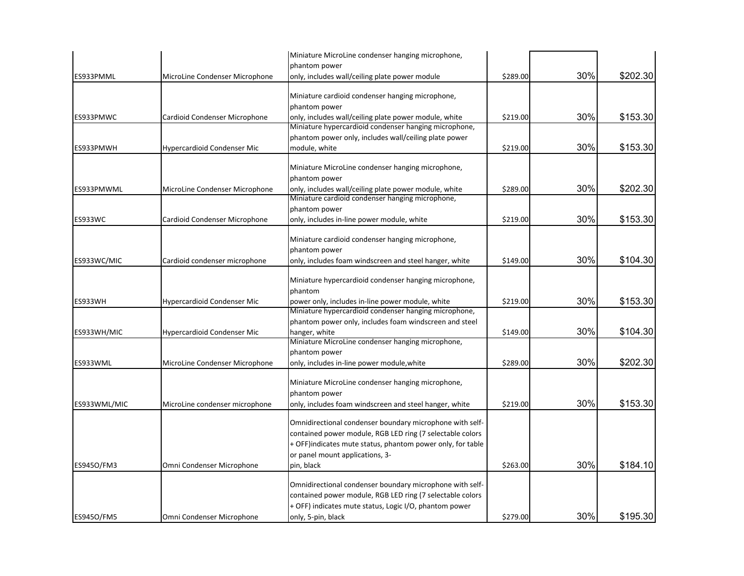|                |                                    | Miniature MicroLine condenser hanging microphone,                            |          |     |          |
|----------------|------------------------------------|------------------------------------------------------------------------------|----------|-----|----------|
|                |                                    | phantom power                                                                |          |     |          |
| ES933PMML      | MicroLine Condenser Microphone     | only, includes wall/ceiling plate power module                               | \$289.00 | 30% | \$202.30 |
|                |                                    | Miniature cardioid condenser hanging microphone,                             |          |     |          |
|                |                                    | phantom power                                                                |          |     |          |
| ES933PMWC      | Cardioid Condenser Microphone      | only, includes wall/ceiling plate power module, white                        | \$219.00 | 30% | \$153.30 |
|                |                                    | Miniature hypercardioid condenser hanging microphone,                        |          |     |          |
|                |                                    | phantom power only, includes wall/ceiling plate power                        |          |     |          |
| ES933PMWH      | <b>Hypercardioid Condenser Mic</b> | module, white                                                                | \$219.00 | 30% | \$153.30 |
|                |                                    | Miniature MicroLine condenser hanging microphone,                            |          |     |          |
|                |                                    | phantom power                                                                |          |     |          |
| ES933PMWML     | MicroLine Condenser Microphone     | only, includes wall/ceiling plate power module, white                        | \$289.00 | 30% | \$202.30 |
|                |                                    | Miniature cardioid condenser hanging microphone,                             |          |     |          |
|                |                                    | phantom power                                                                |          |     |          |
| <b>ES933WC</b> | Cardioid Condenser Microphone      | only, includes in-line power module, white                                   | \$219.00 | 30% | \$153.30 |
|                |                                    |                                                                              |          |     |          |
|                |                                    | Miniature cardioid condenser hanging microphone,                             |          |     |          |
|                |                                    | phantom power                                                                |          |     |          |
| ES933WC/MIC    | Cardioid condenser microphone      | only, includes foam windscreen and steel hanger, white                       | \$149.00 | 30% | \$104.30 |
|                |                                    | Miniature hypercardioid condenser hanging microphone,                        |          |     |          |
|                |                                    | phantom                                                                      |          |     |          |
| ES933WH        | <b>Hypercardioid Condenser Mic</b> | power only, includes in-line power module, white                             | \$219.00 | 30% | \$153.30 |
|                |                                    | Miniature hypercardioid condenser hanging microphone,                        |          |     |          |
|                |                                    | phantom power only, includes foam windscreen and steel                       |          |     |          |
| ES933WH/MIC    | <b>Hypercardioid Condenser Mic</b> | hanger, white                                                                | \$149.00 | 30% | \$104.30 |
|                |                                    | Miniature MicroLine condenser hanging microphone,                            |          |     |          |
|                |                                    | phantom power                                                                |          |     |          |
| ES933WML       | MicroLine Condenser Microphone     | only, includes in-line power module, white                                   | \$289.00 | 30% | \$202.30 |
|                |                                    |                                                                              |          |     |          |
|                |                                    | Miniature MicroLine condenser hanging microphone,                            |          |     |          |
|                |                                    | phantom power                                                                | \$219.00 | 30% | \$153.30 |
| ES933WML/MIC   | MicroLine condenser microphone     | only, includes foam windscreen and steel hanger, white                       |          |     |          |
|                |                                    | Omnidirectional condenser boundary microphone with self-                     |          |     |          |
|                |                                    | contained power module, RGB LED ring (7 selectable colors                    |          |     |          |
|                |                                    | + OFF) indicates mute status, phantom power only, for table                  |          |     |          |
|                |                                    | or panel mount applications, 3-                                              |          |     |          |
| ES9450/FM3     | Omni Condenser Microphone          | pin, black                                                                   | \$263.00 | 30% | \$184.10 |
|                |                                    |                                                                              |          |     |          |
|                |                                    | Omnidirectional condenser boundary microphone with self-                     |          |     |          |
|                |                                    | contained power module, RGB LED ring (7 selectable colors                    |          |     |          |
| ES9450/FM5     | Omni Condenser Microphone          | + OFF) indicates mute status, Logic I/O, phantom power<br>only, 5-pin, black | \$279.00 | 30% | \$195.30 |
|                |                                    |                                                                              |          |     |          |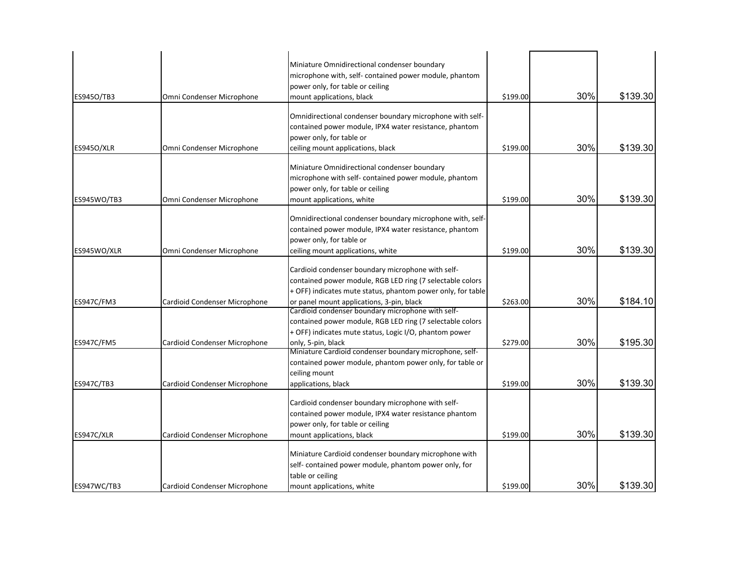| ES945O/TB3        | Omni Condenser Microphone     | Miniature Omnidirectional condenser boundary<br>microphone with, self- contained power module, phantom<br>power only, for table or ceiling<br>mount applications, black                                                    | \$199.00 | 30% | \$139.30 |
|-------------------|-------------------------------|----------------------------------------------------------------------------------------------------------------------------------------------------------------------------------------------------------------------------|----------|-----|----------|
| <b>ES9450/XLR</b> | Omni Condenser Microphone     | Omnidirectional condenser boundary microphone with self-<br>contained power module, IPX4 water resistance, phantom<br>power only, for table or<br>ceiling mount applications, black                                        | \$199.00 | 30% | \$139.30 |
| ES945WO/TB3       | Omni Condenser Microphone     | Miniature Omnidirectional condenser boundary<br>microphone with self- contained power module, phantom<br>power only, for table or ceiling<br>mount applications, white                                                     | \$199.00 | 30% | \$139.30 |
| ES945WO/XLR       | Omni Condenser Microphone     | Omnidirectional condenser boundary microphone with, self-<br>contained power module, IPX4 water resistance, phantom<br>power only, for table or<br>ceiling mount applications, white                                       | \$199.00 | 30% | \$139.30 |
| ES947C/FM3        | Cardioid Condenser Microphone | Cardioid condenser boundary microphone with self-<br>contained power module, RGB LED ring (7 selectable colors<br>+ OFF) indicates mute status, phantom power only, for table<br>or panel mount applications, 3-pin, black | \$263.00 | 30% | \$184.10 |
| <b>ES947C/FM5</b> | Cardioid Condenser Microphone | Cardioid condenser boundary microphone with self-<br>contained power module, RGB LED ring (7 selectable colors<br>+ OFF) indicates mute status, Logic I/O, phantom power<br>only, 5-pin, black                             | \$279.00 | 30% | \$195.30 |
| <b>ES947C/TB3</b> | Cardioid Condenser Microphone | Miniature Cardioid condenser boundary microphone, self-<br>contained power module, phantom power only, for table or<br>ceiling mount<br>applications, black                                                                | \$199.00 | 30% | \$139.30 |
| ES947C/XLR        | Cardioid Condenser Microphone | Cardioid condenser boundary microphone with self-<br>contained power module, IPX4 water resistance phantom<br>power only, for table or ceiling<br>mount applications, black                                                | \$199.00 | 30% | \$139.30 |
| ES947WC/TB3       | Cardioid Condenser Microphone | Miniature Cardioid condenser boundary microphone with<br>self- contained power module, phantom power only, for<br>table or ceiling<br>mount applications, white                                                            | \$199.00 | 30% | \$139.30 |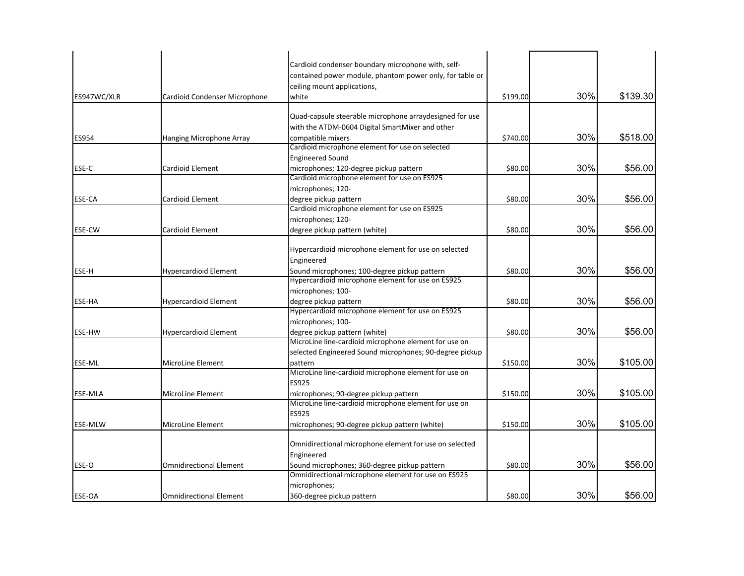| ES947WC/XLR    | Cardioid Condenser Microphone  | Cardioid condenser boundary microphone with, self-<br>contained power module, phantom power only, for table or<br>ceiling mount applications,<br>white | \$199.00 | 30% | \$139.30 |
|----------------|--------------------------------|--------------------------------------------------------------------------------------------------------------------------------------------------------|----------|-----|----------|
|                |                                |                                                                                                                                                        |          |     |          |
|                |                                | Quad-capsule steerable microphone arraydesigned for use                                                                                                |          |     |          |
|                |                                | with the ATDM-0604 Digital SmartMixer and other                                                                                                        |          | 30% |          |
| ES954          | Hanging Microphone Array       | compatible mixers                                                                                                                                      | \$740.00 |     | \$518.00 |
|                |                                | Cardioid microphone element for use on selected                                                                                                        |          |     |          |
|                |                                | <b>Engineered Sound</b>                                                                                                                                |          |     |          |
| ESE-C          | <b>Cardioid Element</b>        | microphones; 120-degree pickup pattern                                                                                                                 | \$80.00  | 30% | \$56.00  |
|                |                                | Cardioid microphone element for use on ES925                                                                                                           |          |     |          |
|                |                                | microphones; 120-                                                                                                                                      |          |     |          |
| <b>ESE-CA</b>  | Cardioid Element               | degree pickup pattern                                                                                                                                  | \$80.00  | 30% | \$56.00  |
|                |                                | Cardioid microphone element for use on ES925                                                                                                           |          |     |          |
|                |                                | microphones; 120-                                                                                                                                      |          |     |          |
| <b>ESE-CW</b>  | <b>Cardioid Element</b>        | degree pickup pattern (white)                                                                                                                          | \$80.00  | 30% | \$56.00  |
|                |                                | Hypercardioid microphone element for use on selected<br>Engineered                                                                                     |          |     |          |
| ESE-H          | <b>Hypercardioid Element</b>   | Sound microphones; 100-degree pickup pattern                                                                                                           | \$80.00  | 30% | \$56.00  |
|                |                                | Hypercardioid microphone element for use on ES925                                                                                                      |          |     |          |
|                |                                | microphones; 100-                                                                                                                                      |          |     |          |
| <b>ESE-HA</b>  | <b>Hypercardioid Element</b>   | degree pickup pattern                                                                                                                                  | \$80.00  | 30% | \$56.00  |
|                |                                | Hypercardioid microphone element for use on ES925                                                                                                      |          |     |          |
|                |                                | microphones; 100-                                                                                                                                      |          |     |          |
| <b>ESE-HW</b>  | <b>Hypercardioid Element</b>   | degree pickup pattern (white)                                                                                                                          | \$80.00  | 30% | \$56.00  |
|                |                                | MicroLine line-cardioid microphone element for use on                                                                                                  |          |     |          |
|                |                                | selected Engineered Sound microphones; 90-degree pickup                                                                                                |          |     |          |
| ESE-ML         | MicroLine Element              | pattern                                                                                                                                                | \$150.00 | 30% | \$105.00 |
|                |                                | MicroLine line-cardioid microphone element for use on                                                                                                  |          |     |          |
|                |                                | <b>ES925</b>                                                                                                                                           |          |     |          |
| <b>ESE-MLA</b> | MicroLine Element              | microphones; 90-degree pickup pattern                                                                                                                  | \$150.00 | 30% | \$105.00 |
|                |                                | MicroLine line-cardioid microphone element for use on                                                                                                  |          |     |          |
|                |                                | ES925                                                                                                                                                  |          |     |          |
| <b>ESE-MLW</b> | MicroLine Element              | microphones; 90-degree pickup pattern (white)                                                                                                          | \$150.00 | 30% | \$105.00 |
|                |                                | Omnidirectional microphone element for use on selected                                                                                                 |          |     |          |
|                |                                | Engineered                                                                                                                                             |          |     |          |
| ESE-O          | <b>Omnidirectional Element</b> | Sound microphones; 360-degree pickup pattern                                                                                                           | \$80.00  | 30% | \$56.00  |
|                |                                | Omnidirectional microphone element for use on ES925                                                                                                    |          |     |          |
|                |                                | microphones;                                                                                                                                           |          |     |          |
| <b>ESE-OA</b>  | <b>Omnidirectional Element</b> | 360-degree pickup pattern                                                                                                                              | \$80.00  | 30% | \$56.00  |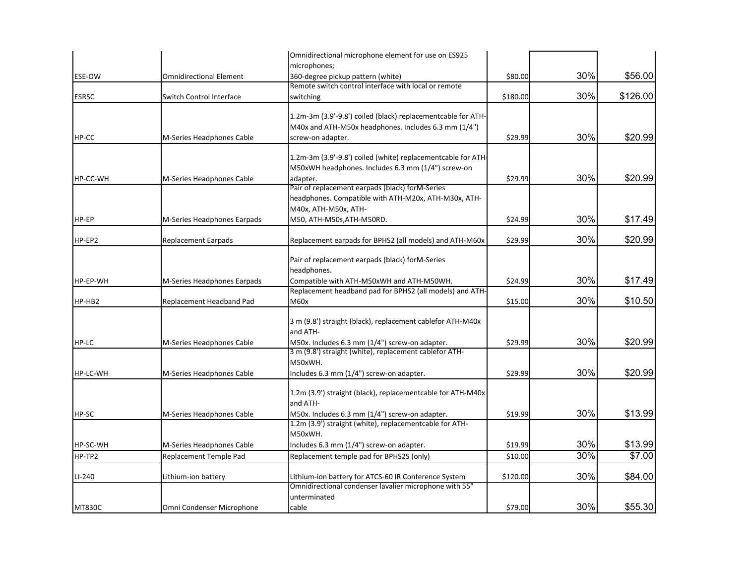|                 |                                | Omnidirectional microphone element for use on ES925                                                       |          |     |          |
|-----------------|--------------------------------|-----------------------------------------------------------------------------------------------------------|----------|-----|----------|
|                 |                                | microphones;                                                                                              |          |     |          |
| ESE-OW          | <b>Omnidirectional Element</b> | 360-degree pickup pattern (white)                                                                         | \$80.00  | 30% | \$56.00  |
|                 |                                | Remote switch control interface with local or remote                                                      |          |     |          |
| <b>ESRSC</b>    | Switch Control Interface       | switching                                                                                                 | \$180.00 | 30% | \$126.00 |
|                 |                                | 1.2m-3m (3.9'-9.8') coiled (black) replacementcable for ATH-                                              |          |     |          |
|                 |                                | M40x and ATH-M50x headphones. Includes 6.3 mm (1/4")                                                      |          |     |          |
| HP-CC           | M-Series Headphones Cable      | screw-on adapter.                                                                                         | \$29.99  | 30% | \$20.99  |
|                 |                                |                                                                                                           |          |     |          |
|                 |                                | 1.2m-3m (3.9'-9.8') coiled (white) replacementcable for ATH-                                              |          |     |          |
|                 |                                | M50xWH headphones. Includes 6.3 mm (1/4") screw-on                                                        |          |     |          |
| <b>HP-CC-WH</b> | M-Series Headphones Cable      | adapter.                                                                                                  | \$29.99  | 30% | \$20.99  |
|                 |                                | Pair of replacement earpads (black) forM-Series                                                           |          |     |          |
|                 |                                | headphones. Compatible with ATH-M20x, ATH-M30x, ATH-                                                      |          |     |          |
|                 |                                | M40x, ATH-M50x, ATH-                                                                                      |          |     |          |
| HP-EP           | M-Series Headphones Earpads    | M50, ATH-M50s, ATH-M50RD.                                                                                 | \$24.99  | 30% | \$17.49  |
|                 |                                |                                                                                                           |          |     |          |
| HP-EP2          | <b>Replacement Earpads</b>     | Replacement earpads for BPHS2 (all models) and ATH-M60x                                                   | \$29.99  | 30% | \$20.99  |
|                 |                                | Pair of replacement earpads (black) forM-Series                                                           |          |     |          |
|                 |                                | headphones.                                                                                               |          |     |          |
| HP-EP-WH        | M-Series Headphones Earpads    | Compatible with ATH-M50xWH and ATH-M50WH.                                                                 | \$24.99  | 30% | \$17.49  |
|                 |                                | Replacement headband pad for BPHS2 (all models) and ATH-                                                  |          |     |          |
| HP-HB2          | Replacement Headband Pad       | M60x                                                                                                      | \$15.00  | 30% | \$10.50  |
|                 |                                |                                                                                                           |          |     |          |
|                 |                                | 3 m (9.8') straight (black), replacement cablefor ATH-M40x                                                |          |     |          |
|                 |                                | and ATH-                                                                                                  |          |     |          |
| HP-LC           | M-Series Headphones Cable      | M50x. Includes 6.3 mm (1/4") screw-on adapter.                                                            | \$29.99  | 30% | \$20.99  |
|                 |                                | 3 m (9.8') straight (white), replacement cablefor ATH-                                                    |          |     |          |
|                 |                                | M50xWH.                                                                                                   |          |     |          |
| HP-LC-WH        | M-Series Headphones Cable      | Includes 6.3 mm (1/4") screw-on adapter.                                                                  | \$29.99  | 30% | \$20.99  |
|                 |                                |                                                                                                           |          |     |          |
|                 |                                | 1.2m (3.9') straight (black), replacementcable for ATH-M40x                                               |          |     |          |
|                 |                                | and ATH-                                                                                                  |          | 30% |          |
| HP-SC           | M-Series Headphones Cable      | M50x. Includes 6.3 mm (1/4") screw-on adapter.<br>1.2m (3.9') straight (white), replacementcable for ATH- | \$19.99  |     | \$13.99  |
|                 |                                | M50xWH.                                                                                                   |          |     |          |
| HP-SC-WH        | M-Series Headphones Cable      | Includes 6.3 mm (1/4") screw-on adapter.                                                                  | \$19.99  | 30% | \$13.99  |
| HP-TP2          | Replacement Temple Pad         | Replacement temple pad for BPHS2S (only)                                                                  | \$10.00  | 30% | \$7.00   |
|                 |                                |                                                                                                           |          |     |          |
| $LI-240$        | Lithium-ion battery            | Lithium-ion battery for ATCS-60 IR Conference System                                                      | \$120.00 | 30% | \$84.00  |
|                 |                                | Omnidirectional condenser lavalier microphone with 55"                                                    |          |     |          |
|                 |                                | unterminated                                                                                              |          |     |          |
| <b>MT830C</b>   | Omni Condenser Microphone      | cable                                                                                                     | \$79.00  | 30% | \$55.30  |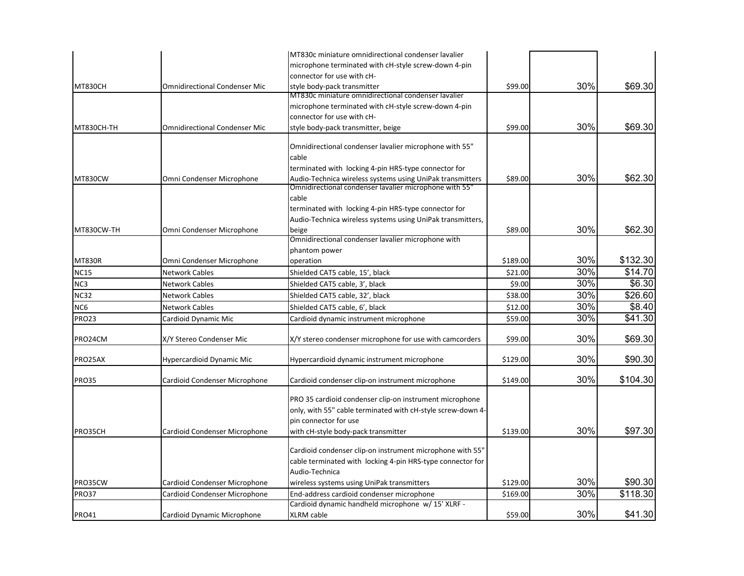|                    |                                      | MT830c miniature omnidirectional condenser lavalier                                                                                             |          |     |          |
|--------------------|--------------------------------------|-------------------------------------------------------------------------------------------------------------------------------------------------|----------|-----|----------|
|                    |                                      | microphone terminated with cH-style screw-down 4-pin                                                                                            |          |     |          |
|                    |                                      | connector for use with cH-                                                                                                                      |          |     |          |
| <b>MT830CH</b>     | <b>Omnidirectional Condenser Mic</b> | style body-pack transmitter                                                                                                                     | \$99.00  | 30% | \$69.30  |
|                    |                                      | MT830c miniature omnidirectional condenser lavalier                                                                                             |          |     |          |
|                    |                                      | microphone terminated with cH-style screw-down 4-pin                                                                                            |          |     |          |
|                    |                                      | connector for use with cH-                                                                                                                      |          |     |          |
| MT830CH-TH         | <b>Omnidirectional Condenser Mic</b> | style body-pack transmitter, beige                                                                                                              | \$99.00  | 30% | \$69.30  |
|                    |                                      | Omnidirectional condenser lavalier microphone with 55"                                                                                          |          |     |          |
|                    |                                      | cable                                                                                                                                           |          |     |          |
|                    |                                      | terminated with locking 4-pin HRS-type connector for                                                                                            |          |     |          |
| <b>MT830CW</b>     | Omni Condenser Microphone            | Audio-Technica wireless systems using UniPak transmitters                                                                                       | \$89.00  | 30% | \$62.30  |
|                    |                                      | Omnidirectional condenser lavalier microphone with 55'                                                                                          |          |     |          |
|                    |                                      | cable                                                                                                                                           |          |     |          |
|                    |                                      | terminated with locking 4-pin HRS-type connector for                                                                                            |          |     |          |
|                    |                                      | Audio-Technica wireless systems using UniPak transmitters,                                                                                      |          |     |          |
| MT830CW-TH         | Omni Condenser Microphone            | beige                                                                                                                                           | \$89.00  | 30% | \$62.30  |
|                    |                                      | Omnidirectional condenser lavalier microphone with<br>phantom power                                                                             |          |     |          |
| <b>MT830R</b>      | Omni Condenser Microphone            | operation                                                                                                                                       | \$189.00 | 30% | \$132.30 |
| <b>NC15</b>        | <b>Network Cables</b>                | Shielded CAT5 cable, 15', black                                                                                                                 | \$21.00  | 30% | \$14.70  |
|                    | <b>Network Cables</b>                |                                                                                                                                                 |          | 30% | \$6.30   |
| NC <sub>3</sub>    |                                      | Shielded CAT5 cable, 3', black                                                                                                                  | \$9.00   | 30% | \$26.60  |
| <b>NC32</b>        | <b>Network Cables</b>                | Shielded CAT5 cable, 32', black                                                                                                                 | \$38.00  |     |          |
| NC6                | <b>Network Cables</b>                | Shielded CAT5 cable, 6', black                                                                                                                  | \$12.00  | 30% | \$8.40   |
| <b>PRO23</b>       | Cardioid Dynamic Mic                 | Cardioid dynamic instrument microphone                                                                                                          | \$59.00  | 30% | \$41.30  |
| PRO24CM            | X/Y Stereo Condenser Mic             | X/Y stereo condenser microphone for use with camcorders                                                                                         | \$99.00  | 30% | \$69.30  |
| PRO25AX            | Hypercardioid Dynamic Mic            | Hypercardioid dynamic instrument microphone                                                                                                     | \$129.00 | 30% | \$90.30  |
| <b>PRO35</b>       | Cardioid Condenser Microphone        | Cardioid condenser clip-on instrument microphone                                                                                                | \$149.00 | 30% | \$104.30 |
|                    |                                      | PRO 35 cardioid condenser clip-on instrument microphone<br>only, with 55" cable terminated with cH-style screw-down 4-<br>pin connector for use |          |     |          |
| PRO35CH<br>PRO35CW | Cardioid Condenser Microphone        | with cH-style body-pack transmitter                                                                                                             | \$139.00 | 30% | \$97.30  |
|                    |                                      | Cardioid condenser clip-on instrument microphone with 55"<br>cable terminated with locking 4-pin HRS-type connector for<br>Audio-Technica       |          |     |          |
|                    | Cardioid Condenser Microphone        | wireless systems using UniPak transmitters                                                                                                      | \$129.00 | 30% | \$90.30  |
| <b>PRO37</b>       | Cardioid Condenser Microphone        | End-address cardioid condenser microphone                                                                                                       | \$169.00 | 30% | \$118.30 |
|                    |                                      | Cardioid dynamic handheld microphone w/ 15' XLRF -                                                                                              |          |     |          |
| <b>PRO41</b>       | Cardioid Dynamic Microphone          | XLRM cable                                                                                                                                      | \$59.00  | 30% | \$41.30  |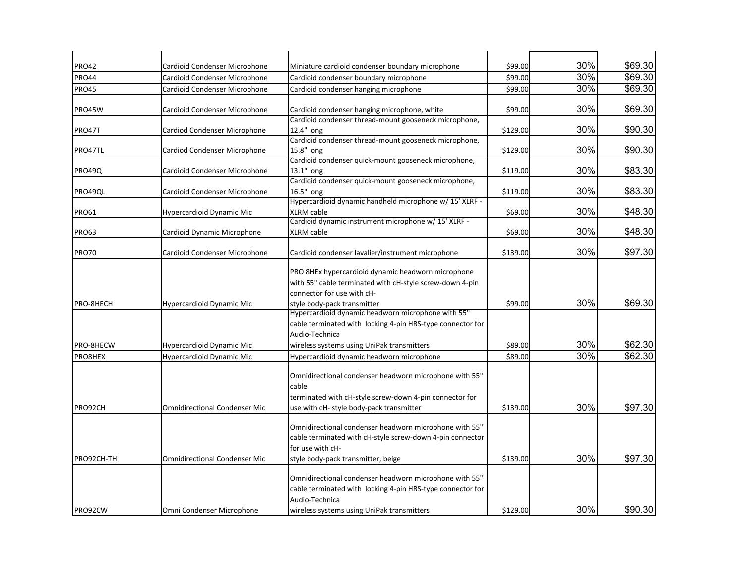| <b>PRO42</b>  | Cardioid Condenser Microphone        | Miniature cardioid condenser boundary microphone                                                                                                                                     | \$99.00  | 30% | \$69.30 |
|---------------|--------------------------------------|--------------------------------------------------------------------------------------------------------------------------------------------------------------------------------------|----------|-----|---------|
| <b>PRO44</b>  | Cardioid Condenser Microphone        | Cardioid condenser boundary microphone                                                                                                                                               | \$99.00  | 30% | \$69.30 |
| <b>PRO45</b>  | Cardioid Condenser Microphone        | Cardioid condenser hanging microphone                                                                                                                                                | \$99.00  | 30% | \$69.30 |
| PRO45W        | Cardioid Condenser Microphone        | Cardioid condenser hanging microphone, white                                                                                                                                         | \$99.00  | 30% | \$69.30 |
| PRO47T        | Cardiod Condenser Microphone         | Cardioid condenser thread-mount gooseneck microphone,<br>12.4" long                                                                                                                  | \$129.00 | 30% | \$90.30 |
|               |                                      | Cardioid condenser thread-mount gooseneck microphone,                                                                                                                                |          |     |         |
| PRO47TL       | Cardiod Condenser Microphone         | 15.8" long                                                                                                                                                                           | \$129.00 | 30% | \$90.30 |
|               |                                      | Cardioid condenser quick-mount gooseneck microphone,                                                                                                                                 |          |     |         |
| <b>PRO49Q</b> | Cardioid Condenser Microphone        | 13.1" long                                                                                                                                                                           | \$119.00 | 30% | \$83.30 |
|               |                                      | Cardioid condenser quick-mount gooseneck microphone,                                                                                                                                 |          |     |         |
| PRO49QL       | Cardioid Condenser Microphone        | 16.5" long                                                                                                                                                                           | \$119.00 | 30% | \$83.30 |
|               |                                      | Hypercardioid dynamic handheld microphone w/ 15' XLRF -                                                                                                                              |          |     |         |
| <b>PRO61</b>  | Hypercardioid Dynamic Mic            | XLRM cable                                                                                                                                                                           | \$69.00  | 30% | \$48.30 |
|               |                                      | Cardioid dynamic instrument microphone w/ 15' XLRF -                                                                                                                                 |          |     |         |
| <b>PRO63</b>  | Cardioid Dynamic Microphone          | XLRM cable                                                                                                                                                                           | \$69.00  | 30% | \$48.30 |
| <b>PRO70</b>  | Cardioid Condenser Microphone        | Cardioid condenser lavalier/instrument microphone                                                                                                                                    | \$139.00 | 30% | \$97.30 |
| PRO-8HECH     | Hypercardioid Dynamic Mic            | PRO 8HEx hypercardioid dynamic headworn microphone<br>with 55" cable terminated with cH-style screw-down 4-pin<br>connector for use with cH-<br>style body-pack transmitter          | \$99.00  | 30% | \$69.30 |
| PRO-8HECW     | Hypercardioid Dynamic Mic            | Hypercardioid dynamic headworn microphone with 55"<br>cable terminated with locking 4-pin HRS-type connector for<br>Audio-Technica<br>wireless systems using UniPak transmitters     | \$89.00  | 30% | \$62.30 |
| PRO8HEX       | <b>Hypercardioid Dynamic Mic</b>     | Hypercardioid dynamic headworn microphone                                                                                                                                            | \$89.00  | 30% | \$62.30 |
| PRO92CH       | <b>Omnidirectional Condenser Mic</b> | Omnidirectional condenser headworn microphone with 55"<br>cable<br>terminated with cH-style screw-down 4-pin connector for<br>use with cH- style body-pack transmitter               | \$139.00 | 30% | \$97.30 |
| PRO92CH-TH    | <b>Omnidirectional Condenser Mic</b> | Omnidirectional condenser headworn microphone with 55"<br>cable terminated with cH-style screw-down 4-pin connector<br>for use with cH-<br>style body-pack transmitter, beige        | \$139.00 | 30% | \$97.30 |
| PRO92CW       | Omni Condenser Microphone            | Omnidirectional condenser headworn microphone with 55"<br>cable terminated with locking 4-pin HRS-type connector for<br>Audio-Technica<br>wireless systems using UniPak transmitters | \$129.00 | 30% | \$90.30 |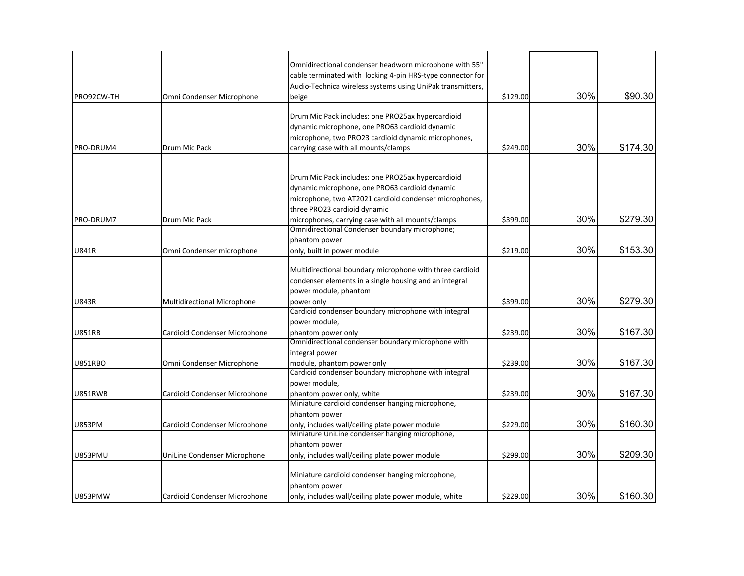| PRO92CW-TH     | Omni Condenser Microphone          | Omnidirectional condenser headworn microphone with 55"<br>cable terminated with locking 4-pin HRS-type connector for<br>Audio-Technica wireless systems using UniPak transmitters,<br>beige                                                        | \$129.00 | 30% | \$90.30  |
|----------------|------------------------------------|----------------------------------------------------------------------------------------------------------------------------------------------------------------------------------------------------------------------------------------------------|----------|-----|----------|
| PRO-DRUM4      | Drum Mic Pack                      | Drum Mic Pack includes: one PRO25ax hypercardioid<br>dynamic microphone, one PRO63 cardioid dynamic<br>microphone, two PRO23 cardioid dynamic microphones,<br>carrying case with all mounts/clamps                                                 | \$249.00 | 30% | \$174.30 |
| PRO-DRUM7      | Drum Mic Pack                      | Drum Mic Pack includes: one PRO25ax hypercardioid<br>dynamic microphone, one PRO63 cardioid dynamic<br>microphone, two AT2021 cardioid condenser microphones,<br>three PRO23 cardioid dynamic<br>microphones, carrying case with all mounts/clamps | \$399.00 | 30% | \$279.30 |
| <b>U841R</b>   | Omni Condenser microphone          | Omnidirectional Condenser boundary microphone;<br>phantom power<br>only, built in power module                                                                                                                                                     | \$219.00 | 30% | \$153.30 |
| <b>U843R</b>   | <b>Multidirectional Microphone</b> | Multidirectional boundary microphone with three cardioid<br>condenser elements in a single housing and an integral<br>power module, phantom<br>power only                                                                                          | \$399.00 | 30% | \$279.30 |
| <b>U851RB</b>  | Cardioid Condenser Microphone      | Cardioid condenser boundary microphone with integral<br>power module,<br>phantom power only                                                                                                                                                        | \$239.00 | 30% | \$167.30 |
| <b>U851RBO</b> | Omni Condenser Microphone          | Omnidirectional condenser boundary microphone with<br>integral power<br>module, phantom power only                                                                                                                                                 | \$239.00 | 30% | \$167.30 |
| U851RWB        | Cardioid Condenser Microphone      | Cardioid condenser boundary microphone with integral<br>power module,<br>phantom power only, white<br>Miniature cardioid condenser hanging microphone,                                                                                             | \$239.00 | 30% | \$167.30 |
| <b>U853PM</b>  | Cardioid Condenser Microphone      | phantom power<br>only, includes wall/ceiling plate power module<br>Miniature UniLine condenser hanging microphone,                                                                                                                                 | \$229.00 | 30% | \$160.30 |
| <b>U853PMU</b> | UniLine Condenser Microphone       | phantom power<br>only, includes wall/ceiling plate power module                                                                                                                                                                                    | \$299.00 | 30% | \$209.30 |
| <b>U853PMW</b> | Cardioid Condenser Microphone      | Miniature cardioid condenser hanging microphone,<br>phantom power<br>only, includes wall/ceiling plate power module, white                                                                                                                         | \$229.00 | 30% | \$160.30 |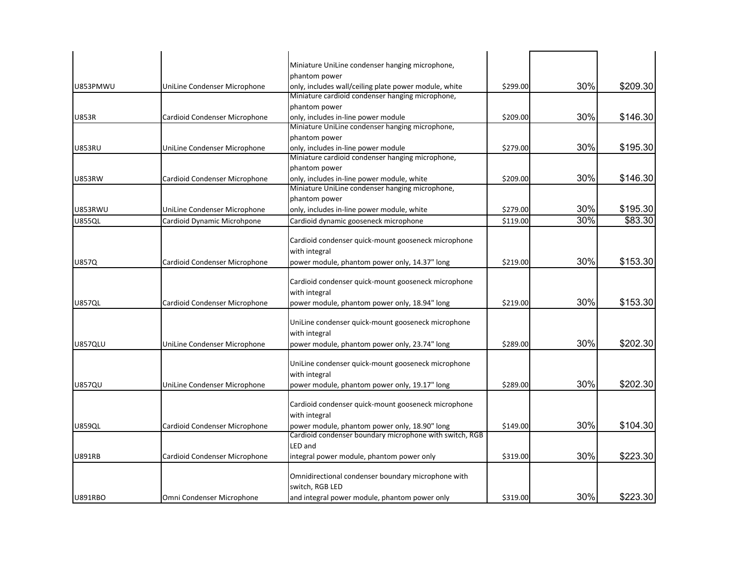|                |                               | Miniature UniLine condenser hanging microphone,                                                          |          |     |          |
|----------------|-------------------------------|----------------------------------------------------------------------------------------------------------|----------|-----|----------|
|                |                               | phantom power                                                                                            |          |     |          |
| U853PMWU       | UniLine Condenser Microphone  | only, includes wall/ceiling plate power module, white                                                    | \$299.00 | 30% | \$209.30 |
|                |                               | Miniature cardioid condenser hanging microphone,                                                         |          |     |          |
|                |                               | phantom power                                                                                            |          |     |          |
| <b>U853R</b>   | Cardioid Condenser Microphone | only, includes in-line power module                                                                      | \$209.00 | 30% | \$146.30 |
|                |                               | Miniature UniLine condenser hanging microphone,                                                          |          |     |          |
|                |                               | phantom power                                                                                            |          |     |          |
| <b>U853RU</b>  | UniLine Condenser Microphone  | only, includes in-line power module                                                                      | \$279.00 | 30% | \$195.30 |
|                |                               | Miniature cardioid condenser hanging microphone,                                                         |          |     |          |
|                |                               | phantom power                                                                                            |          |     |          |
| <b>U853RW</b>  | Cardioid Condenser Microphone | only, includes in-line power module, white                                                               | \$209.00 | 30% | \$146.30 |
|                |                               | Miniature UniLine condenser hanging microphone,                                                          |          |     |          |
|                |                               | phantom power                                                                                            |          |     |          |
| <b>U853RWU</b> | UniLine Condenser Microphone  | only, includes in-line power module, white                                                               | \$279.00 | 30% | \$195.30 |
| <b>U855QL</b>  | Cardioid Dynamic Microhpone   | Cardioid dynamic gooseneck microphone                                                                    | \$119.00 | 30% | \$83.30  |
|                |                               |                                                                                                          |          |     |          |
|                |                               | Cardioid condenser quick-mount gooseneck microphone                                                      |          |     |          |
|                |                               | with integral                                                                                            |          |     |          |
| <b>U857Q</b>   | Cardioid Condenser Microphone | power module, phantom power only, 14.37" long                                                            | \$219.00 | 30% | \$153.30 |
|                |                               |                                                                                                          |          |     |          |
|                |                               | Cardioid condenser quick-mount gooseneck microphone                                                      |          |     |          |
|                |                               | with integral                                                                                            |          |     |          |
| <b>U857QL</b>  | Cardioid Condenser Microphone | power module, phantom power only, 18.94" long                                                            | \$219.00 | 30% | \$153.30 |
|                |                               |                                                                                                          |          |     |          |
|                |                               | UniLine condenser quick-mount gooseneck microphone                                                       |          |     |          |
|                |                               | with integral                                                                                            |          |     |          |
| <b>U857QLU</b> | UniLine Condenser Microphone  | power module, phantom power only, 23.74" long                                                            | \$289.00 | 30% | \$202.30 |
|                |                               |                                                                                                          |          |     |          |
|                |                               | UniLine condenser quick-mount gooseneck microphone                                                       |          |     |          |
|                |                               | with integral                                                                                            |          |     |          |
| <b>U857QU</b>  | UniLine Condenser Microphone  | power module, phantom power only, 19.17" long                                                            | \$289.00 | 30% | \$202.30 |
|                |                               |                                                                                                          |          |     |          |
|                |                               | Cardioid condenser quick-mount gooseneck microphone                                                      |          |     |          |
|                |                               | with integral                                                                                            |          |     |          |
| <b>U859QL</b>  | Cardioid Condenser Microphone | power module, phantom power only, 18.90" long<br>Cardioid condenser boundary microphone with switch, RGB | \$149.00 | 30% | \$104.30 |
|                |                               |                                                                                                          |          |     |          |
|                |                               | LED and                                                                                                  |          | 30% |          |
| <b>U891RB</b>  | Cardioid Condenser Microphone | integral power module, phantom power only                                                                | \$319.00 |     | \$223.30 |
|                |                               |                                                                                                          |          |     |          |
|                |                               | Omnidirectional condenser boundary microphone with<br>switch, RGB LED                                    |          |     |          |
|                |                               |                                                                                                          |          | 30% | \$223.30 |
| <b>U891RBO</b> | Omni Condenser Microphone     | and integral power module, phantom power only                                                            | \$319.00 |     |          |